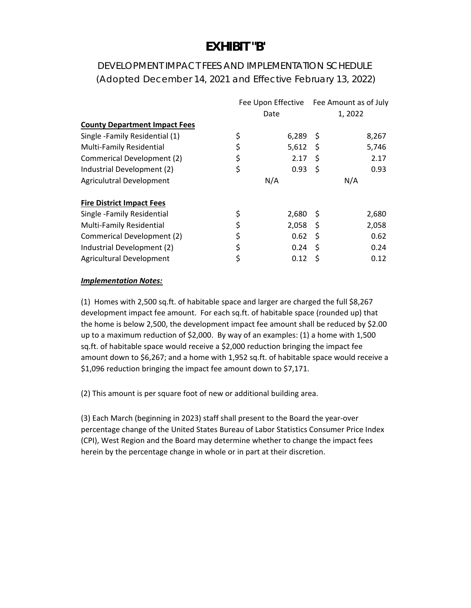### **EXHIBIT "B'**

### DEVELOPMENT IMPACT FEES AND IMPLEMENTATION SCHEDULE (Adopted December 14, 2021 and Effective February 13, 2022)

|                                      |    |       |     | Fee Upon Effective Fee Amount as of July |  |
|--------------------------------------|----|-------|-----|------------------------------------------|--|
|                                      |    | Date  |     | 1,2022                                   |  |
| <b>County Department Impact Fees</b> |    |       |     |                                          |  |
| Single -Family Residential (1)       | \$ | 6,289 | -S  | 8,267                                    |  |
| <b>Multi-Family Residential</b>      | \$ | 5,612 | - S | 5,746                                    |  |
| Commerical Development (2)           | \$ | 2.17  | \$  | 2.17                                     |  |
| Industrial Development (2)           | \$ | 0.93  | \$. | 0.93                                     |  |
| Agriculutral Development             |    | N/A   |     | N/A                                      |  |
| <b>Fire District Impact Fees</b>     |    |       |     |                                          |  |
| Single -Family Residential           | \$ | 2,680 | - S | 2,680                                    |  |
| <b>Multi-Family Residential</b>      | \$ | 2,058 | -\$ | 2,058                                    |  |
| Commerical Development (2)           | \$ | 0.62  | \$  | 0.62                                     |  |
| Industrial Development (2)           | \$ | 0.24  | -S  | 0.24                                     |  |
| Agricultural Development             | \$ | 0.12  | S   | 0.12                                     |  |

#### *Implementation Notes:*

(1) Homes with 2,500 sq.ft. of habitable space and larger are charged the full \$8,267 development impact fee amount. For each sq.ft. of habitable space (rounded up) that the home is below 2,500, the development impact fee amount shall be reduced by \$2.00 up to a maximum reduction of \$2,000. By way of an examples: (1) a home with 1,500 sq.ft. of habitable space would receive a \$2,000 reduction bringing the impact fee amount down to \$6,267; and a home with 1,952 sq.ft. of habitable space would receive a \$1,096 reduction bringing the impact fee amount down to \$7,171.

(2) This amount is per square foot of new or additional building area.

(3) Each March (beginning in 2023) staff shall present to the Board the year‐over percentage change of the United States Bureau of Labor Statistics Consumer Price Index (CPI), West Region and the Board may determine whether to change the impact fees herein by the percentage change in whole or in part at their discretion.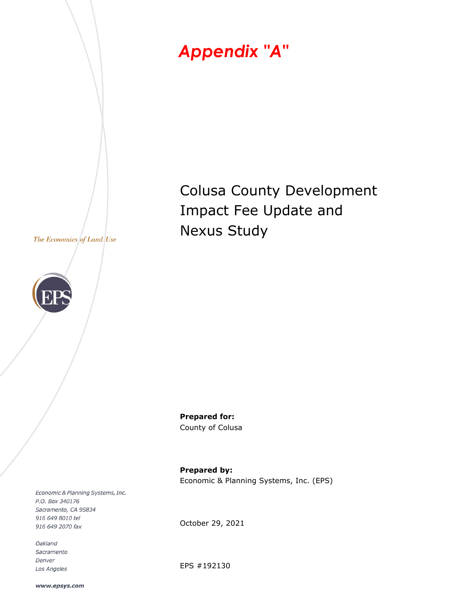



Colusa County Development Impact Fee Update and Nexus Study

**Prepared for:**  County of Colusa

**Prepared by:**  Economic & Planning Systems, Inc. (EPS)

Economic & Planning Systems, Inc. P.O. Box 340176 Sacramento, CA 95834 916 649 8010 tel 916 649 2070 fax

Oakland Sacramento Denver Los Angeles October 29, 2021

EPS #192130

www.epsys.com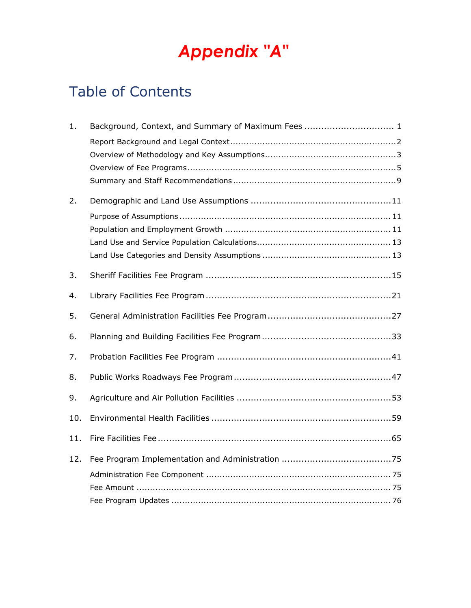## Table of Contents

| 1.  | Background, Context, and Summary of Maximum Fees  1 |
|-----|-----------------------------------------------------|
|     |                                                     |
|     |                                                     |
|     |                                                     |
|     |                                                     |
| 2.  |                                                     |
|     |                                                     |
|     |                                                     |
|     |                                                     |
|     |                                                     |
| 3.  |                                                     |
| 4.  |                                                     |
| 5.  |                                                     |
| 6.  |                                                     |
| 7.  |                                                     |
| 8.  |                                                     |
| 9.  |                                                     |
| 10. |                                                     |
| 11. |                                                     |
| 12. |                                                     |
|     |                                                     |
|     |                                                     |
|     |                                                     |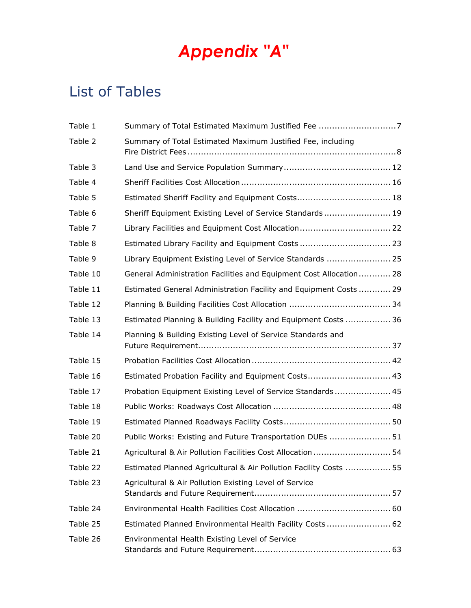### List of Tables

| Table 1  | Summary of Total Estimated Maximum Justified Fee 7                 |
|----------|--------------------------------------------------------------------|
| Table 2  | Summary of Total Estimated Maximum Justified Fee, including        |
| Table 3  |                                                                    |
| Table 4  |                                                                    |
| Table 5  |                                                                    |
| Table 6  | Sheriff Equipment Existing Level of Service Standards 19           |
| Table 7  |                                                                    |
| Table 8  |                                                                    |
| Table 9  | Library Equipment Existing Level of Service Standards  25          |
| Table 10 | General Administration Facilities and Equipment Cost Allocation 28 |
| Table 11 | Estimated General Administration Facility and Equipment Costs  29  |
| Table 12 |                                                                    |
| Table 13 | Estimated Planning & Building Facility and Equipment Costs  36     |
| Table 14 | Planning & Building Existing Level of Service Standards and        |
| Table 15 |                                                                    |
| Table 16 | Estimated Probation Facility and Equipment Costs 43                |
| Table 17 | Probation Equipment Existing Level of Service Standards 45         |
| Table 18 |                                                                    |
| Table 19 |                                                                    |
| Table 20 | Public Works: Existing and Future Transportation DUEs  51          |
| Table 21 | Agricultural & Air Pollution Facilities Cost Allocation  54        |
| Table 22 | Estimated Planned Agricultural & Air Pollution Facility Costs  55  |
| Table 23 | Agricultural & Air Pollution Existing Level of Service             |
| Table 24 |                                                                    |
| Table 25 | Estimated Planned Environmental Health Facility Costs 62           |
| Table 26 | Environmental Health Existing Level of Service                     |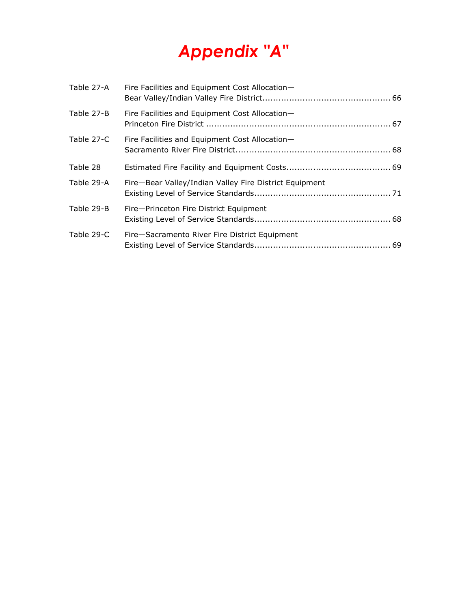| Table 27-A | Fire Facilities and Equipment Cost Allocation-         |  |
|------------|--------------------------------------------------------|--|
| Table 27-B | Fire Facilities and Equipment Cost Allocation-         |  |
| Table 27-C | Fire Facilities and Equipment Cost Allocation-         |  |
| Table 28   |                                                        |  |
| Table 29-A | Fire-Bear Valley/Indian Valley Fire District Equipment |  |
| Table 29-B | Fire-Princeton Fire District Equipment                 |  |
| Table 29-C | Fire-Sacramento River Fire District Equipment          |  |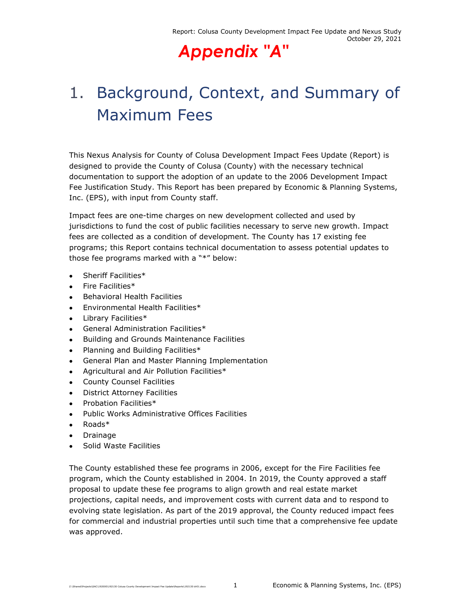# 1. Background, Context, and Summary of Maximum Fees

This Nexus Analysis for County of Colusa Development Impact Fees Update (Report) is designed to provide the County of Colusa (County) with the necessary technical documentation to support the adoption of an update to the 2006 Development Impact Fee Justification Study. This Report has been prepared by Economic & Planning Systems, Inc. (EPS), with input from County staff.

Impact fees are one-time charges on new development collected and used by jurisdictions to fund the cost of public facilities necessary to serve new growth. Impact fees are collected as a condition of development. The County has 17 existing fee programs; this Report contains technical documentation to assess potential updates to those fee programs marked with a "\*" below:

- Sheriff Facilities\*
- $\bullet$  Fire Facilities $*$
- **•** Behavioral Health Facilities
- Environmental Health Facilities\*
- Library Facilities\*
- General Administration Facilities\*
- **•** Building and Grounds Maintenance Facilities
- Planning and Building Facilities\*
- General Plan and Master Planning Implementation
- Agricultural and Air Pollution Facilities\*
- County Counsel Facilities
- District Attorney Facilities
- Probation Facilities\*
- Public Works Administrative Offices Facilities
- Roads\*
- Drainage
- Solid Waste Facilities

The County established these fee programs in 2006, except for the Fire Facilities fee program, which the County established in 2004. In 2019, the County approved a staff proposal to update these fee programs to align growth and real estate market projections, capital needs, and improvement costs with current data and to respond to evolving state legislation. As part of the 2019 approval, the County reduced impact fees for commercial and industrial properties until such time that a comprehensive fee update was approved.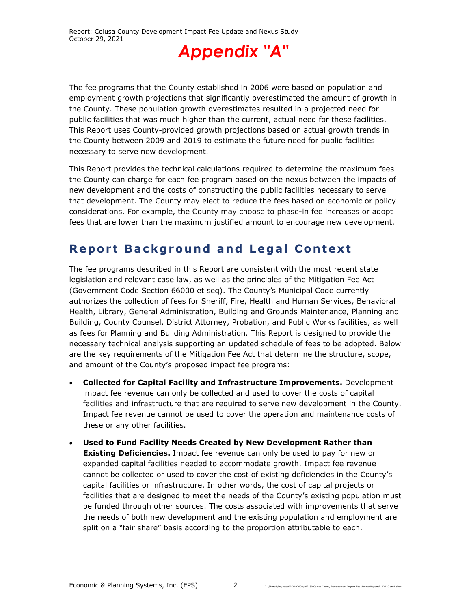

The fee programs that the County established in 2006 were based on population and employment growth projections that significantly overestimated the amount of growth in the County. These population growth overestimates resulted in a projected need for public facilities that was much higher than the current, actual need for these facilities. This Report uses County-provided growth projections based on actual growth trends in the County between 2009 and 2019 to estimate the future need for public facilities necessary to serve new development.

This Report provides the technical calculations required to determine the maximum fees the County can charge for each fee program based on the nexus between the impacts of new development and the costs of constructing the public facilities necessary to serve that development. The County may elect to reduce the fees based on economic or policy considerations. For example, the County may choose to phase-in fee increases or adopt fees that are lower than the maximum justified amount to encourage new development.

### **Report Background and Legal Context**

The fee programs described in this Report are consistent with the most recent state legislation and relevant case law, as well as the principles of the Mitigation Fee Act (Government Code Section 66000 et seq). The County's Municipal Code currently authorizes the collection of fees for Sheriff, Fire, Health and Human Services, Behavioral Health, Library, General Administration, Building and Grounds Maintenance, Planning and Building, County Counsel, District Attorney, Probation, and Public Works facilities, as well as fees for Planning and Building Administration. This Report is designed to provide the necessary technical analysis supporting an updated schedule of fees to be adopted. Below are the key requirements of the Mitigation Fee Act that determine the structure, scope, and amount of the County's proposed impact fee programs:

- **Collected for Capital Facility and Infrastructure Improvements.** Development impact fee revenue can only be collected and used to cover the costs of capital facilities and infrastructure that are required to serve new development in the County. Impact fee revenue cannot be used to cover the operation and maintenance costs of these or any other facilities.
- **Used to Fund Facility Needs Created by New Development Rather than Existing Deficiencies.** Impact fee revenue can only be used to pay for new or expanded capital facilities needed to accommodate growth. Impact fee revenue cannot be collected or used to cover the cost of existing deficiencies in the County's capital facilities or infrastructure. In other words, the cost of capital projects or facilities that are designed to meet the needs of the County's existing population must be funded through other sources. The costs associated with improvements that serve the needs of both new development and the existing population and employment are split on a "fair share" basis according to the proportion attributable to each.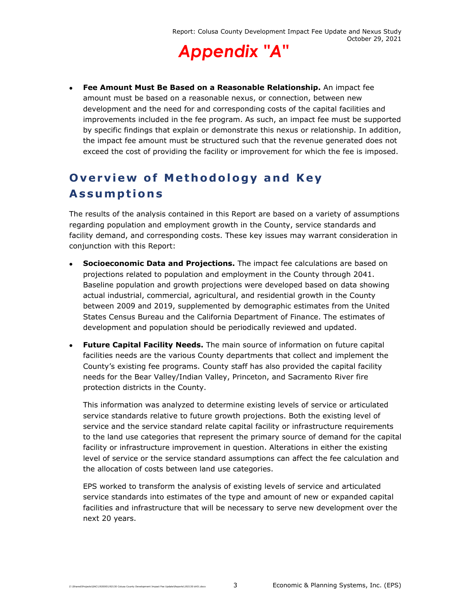

 **Fee Amount Must Be Based on a Reasonable Relationship.** An impact fee amount must be based on a reasonable nexus, or connection, between new development and the need for and corresponding costs of the capital facilities and improvements included in the fee program. As such, an impact fee must be supported by specific findings that explain or demonstrate this nexus or relationship. In addition, the impact fee amount must be structured such that the revenue generated does not exceed the cost of providing the facility or improvement for which the fee is imposed.

### **Overview of Methodology and Key Assumptions**

The results of the analysis contained in this Report are based on a variety of assumptions regarding population and employment growth in the County, service standards and facility demand, and corresponding costs. These key issues may warrant consideration in conjunction with this Report:

- **Socioeconomic Data and Projections.** The impact fee calculations are based on projections related to population and employment in the County through 2041. Baseline population and growth projections were developed based on data showing actual industrial, commercial, agricultural, and residential growth in the County between 2009 and 2019, supplemented by demographic estimates from the United States Census Bureau and the California Department of Finance. The estimates of development and population should be periodically reviewed and updated.
- **Future Capital Facility Needs.** The main source of information on future capital facilities needs are the various County departments that collect and implement the County's existing fee programs. County staff has also provided the capital facility needs for the Bear Valley/Indian Valley, Princeton, and Sacramento River fire protection districts in the County.

This information was analyzed to determine existing levels of service or articulated service standards relative to future growth projections. Both the existing level of service and the service standard relate capital facility or infrastructure requirements to the land use categories that represent the primary source of demand for the capital facility or infrastructure improvement in question. Alterations in either the existing level of service or the service standard assumptions can affect the fee calculation and the allocation of costs between land use categories.

EPS worked to transform the analysis of existing levels of service and articulated service standards into estimates of the type and amount of new or expanded capital facilities and infrastructure that will be necessary to serve new development over the next 20 years.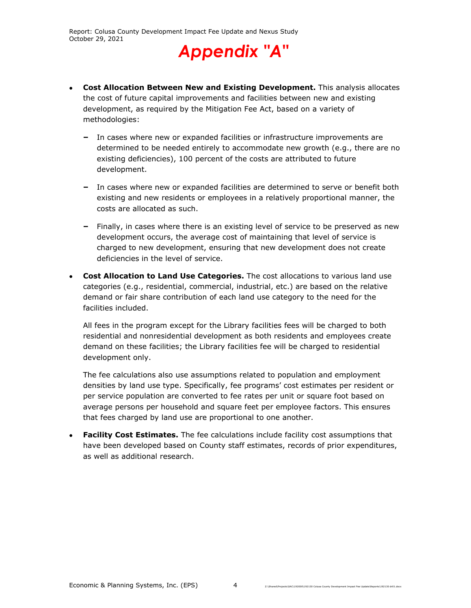

- **Cost Allocation Between New and Existing Development.** This analysis allocates the cost of future capital improvements and facilities between new and existing development, as required by the Mitigation Fee Act, based on a variety of methodologies:
	- **‒** In cases where new or expanded facilities or infrastructure improvements are determined to be needed entirely to accommodate new growth (e.g., there are no existing deficiencies), 100 percent of the costs are attributed to future development.
	- **‒** In cases where new or expanded facilities are determined to serve or benefit both existing and new residents or employees in a relatively proportional manner, the costs are allocated as such.
	- **‒** Finally, in cases where there is an existing level of service to be preserved as new development occurs, the average cost of maintaining that level of service is charged to new development, ensuring that new development does not create deficiencies in the level of service.
- **Cost Allocation to Land Use Categories.** The cost allocations to various land use categories (e.g., residential, commercial, industrial, etc.) are based on the relative demand or fair share contribution of each land use category to the need for the facilities included.

All fees in the program except for the Library facilities fees will be charged to both residential and nonresidential development as both residents and employees create demand on these facilities; the Library facilities fee will be charged to residential development only.

The fee calculations also use assumptions related to population and employment densities by land use type. Specifically, fee programs' cost estimates per resident or per service population are converted to fee rates per unit or square foot based on average persons per household and square feet per employee factors. This ensures that fees charged by land use are proportional to one another.

 **Facility Cost Estimates.** The fee calculations include facility cost assumptions that have been developed based on County staff estimates, records of prior expenditures, as well as additional research.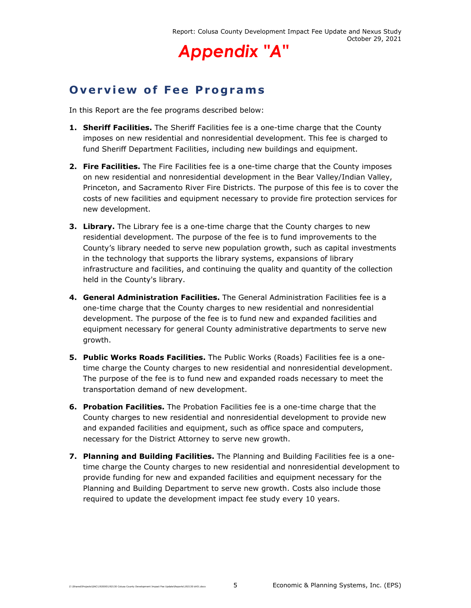

### **Overview of Fee Programs**

In this Report are the fee programs described below:

- **1. Sheriff Facilities.** The Sheriff Facilities fee is a one-time charge that the County imposes on new residential and nonresidential development. This fee is charged to fund Sheriff Department Facilities, including new buildings and equipment.
- **2. Fire Facilities.** The Fire Facilities fee is a one-time charge that the County imposes on new residential and nonresidential development in the Bear Valley/Indian Valley, Princeton, and Sacramento River Fire Districts. The purpose of this fee is to cover the costs of new facilities and equipment necessary to provide fire protection services for new development.
- **3. Library.** The Library fee is a one-time charge that the County charges to new residential development. The purpose of the fee is to fund improvements to the County's library needed to serve new population growth, such as capital investments in the technology that supports the library systems, expansions of library infrastructure and facilities, and continuing the quality and quantity of the collection held in the County's library.
- **4. General Administration Facilities.** The General Administration Facilities fee is a one-time charge that the County charges to new residential and nonresidential development. The purpose of the fee is to fund new and expanded facilities and equipment necessary for general County administrative departments to serve new growth.
- **5. Public Works Roads Facilities.** The Public Works (Roads) Facilities fee is a onetime charge the County charges to new residential and nonresidential development. The purpose of the fee is to fund new and expanded roads necessary to meet the transportation demand of new development.
- **6. Probation Facilities.** The Probation Facilities fee is a one-time charge that the County charges to new residential and nonresidential development to provide new and expanded facilities and equipment, such as office space and computers, necessary for the District Attorney to serve new growth.
- **7. Planning and Building Facilities.** The Planning and Building Facilities fee is a onetime charge the County charges to new residential and nonresidential development to provide funding for new and expanded facilities and equipment necessary for the Planning and Building Department to serve new growth. Costs also include those required to update the development impact fee study every 10 years.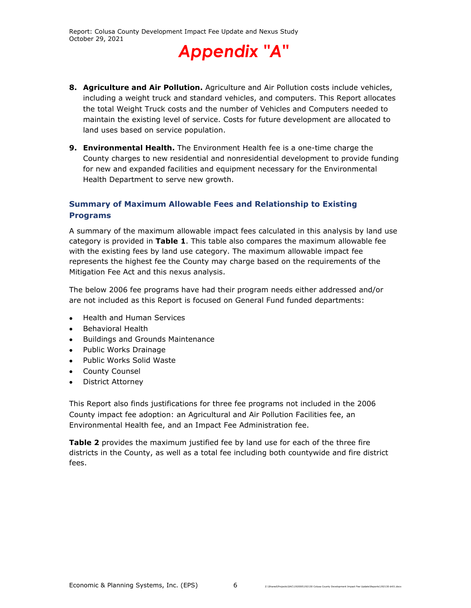

- **8. Agriculture and Air Pollution.** Agriculture and Air Pollution costs include vehicles, including a weight truck and standard vehicles, and computers. This Report allocates the total Weight Truck costs and the number of Vehicles and Computers needed to maintain the existing level of service. Costs for future development are allocated to land uses based on service population.
- **9. Environmental Health.** The Environment Health fee is a one-time charge the County charges to new residential and nonresidential development to provide funding for new and expanded facilities and equipment necessary for the Environmental Health Department to serve new growth.

#### **Summary of Maximum Allowable Fees and Relationship to Existing Programs**

A summary of the maximum allowable impact fees calculated in this analysis by land use category is provided in **Table 1**. This table also compares the maximum allowable fee with the existing fees by land use category. The maximum allowable impact fee represents the highest fee the County may charge based on the requirements of the Mitigation Fee Act and this nexus analysis.

The below 2006 fee programs have had their program needs either addressed and/or are not included as this Report is focused on General Fund funded departments:

- Health and Human Services
- Behavioral Health
- Buildings and Grounds Maintenance
- Public Works Drainage
- Public Works Solid Waste
- County Counsel
- District Attorney

This Report also finds justifications for three fee programs not included in the 2006 County impact fee adoption: an Agricultural and Air Pollution Facilities fee, an Environmental Health fee, and an Impact Fee Administration fee.

**Table 2** provides the maximum justified fee by land use for each of the three fire districts in the County, as well as a total fee including both countywide and fire district fees.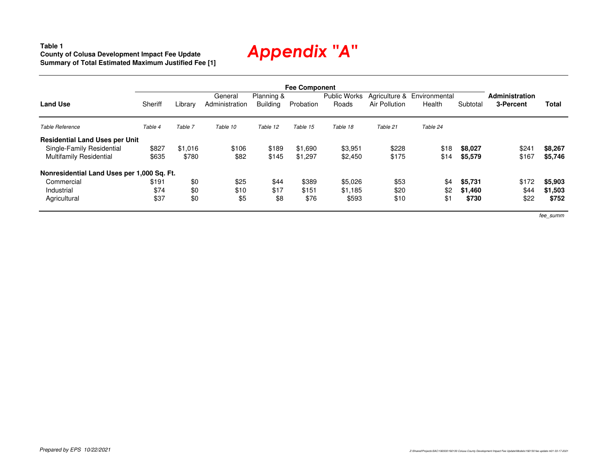**Table 1 County of Colusa Development Impact Fee UpdateSummary of Total Estimated Maximum Justified Fee [1]**

|                                            |         |         |                           |                               | <b>Fee Component</b> |                              |                                |                         |          |                                    |         |
|--------------------------------------------|---------|---------|---------------------------|-------------------------------|----------------------|------------------------------|--------------------------------|-------------------------|----------|------------------------------------|---------|
| <b>Land Use</b>                            | Sheriff | Library | General<br>Administration | Planning &<br><b>Building</b> | Probation            | <b>Public Works</b><br>Roads | Agriculture &<br>Air Pollution | Environmental<br>Health | Subtotal | <b>Administration</b><br>3-Percent | Total   |
| Table Reference                            | Table 4 | Table 7 | Table 10                  | Table 12                      | Table 15             | Table 18                     | Table 21                       | Table 24                |          |                                    |         |
| <b>Residential Land Uses per Unit</b>      |         |         |                           |                               |                      |                              |                                |                         |          |                                    |         |
| Single-Family Residential                  | \$827   | \$1,016 | \$106                     | \$189                         | \$1.690              | \$3,951                      | \$228                          | \$18                    | \$8,027  | \$24                               | \$8,267 |
| <b>Multifamily Residential</b>             | \$635   | \$780   | \$82                      | \$145                         | \$1,297              | \$2,450                      | \$175                          | \$14                    | \$5,579  | \$167                              | \$5,746 |
| Nonresidential Land Uses per 1,000 Sq. Ft. |         |         |                           |                               |                      |                              |                                |                         |          |                                    |         |
| Commercial                                 | \$191   | \$0     | \$25                      | \$44                          | \$389                | \$5,026                      | \$53                           | \$4                     | \$5,731  | \$172                              | \$5,903 |
| Industrial                                 | \$74    | \$0     | \$10                      | \$17                          | \$151                | \$1.185                      | \$20                           | \$2                     | \$1,460  | \$44                               | \$1,503 |
| Agricultural                               | \$37    | \$0     | \$5                       | \$8                           | \$76                 | \$593                        | \$10                           | \$1                     | \$730    | \$22                               | \$752   |

fee\_summ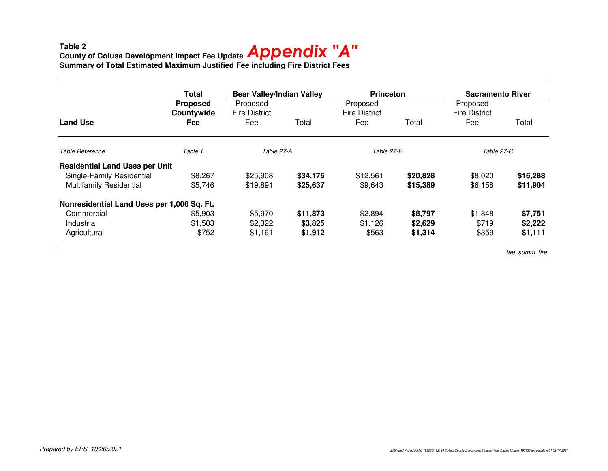### **Table 2 County of Colusa Development Impact Fee Update Summary of Total Estimated Maximum Justified Fee including Fire District Fees** *Appendix "A"*

|                                            | Total                                       | <b>Bear Valley/Indian Valley</b>        |          | <b>Princeton</b>                        |          | <b>Sacramento River</b>                 |          |
|--------------------------------------------|---------------------------------------------|-----------------------------------------|----------|-----------------------------------------|----------|-----------------------------------------|----------|
| <b>Land Use</b>                            | <b>Proposed</b><br>Countywide<br><b>Fee</b> | Proposed<br><b>Fire District</b><br>Fee | Total    | Proposed<br><b>Fire District</b><br>Fee | Total    | Proposed<br><b>Fire District</b><br>Fee | Total    |
| Table Reference                            | Table 1                                     | Table 27-A                              |          | Table 27-B                              |          | Table 27-C                              |          |
| <b>Residential Land Uses per Unit</b>      |                                             |                                         |          |                                         |          |                                         |          |
| Single-Family Residential                  | \$8,267                                     | \$25,908                                | \$34,176 | \$12,561                                | \$20,828 | \$8,020                                 | \$16,288 |
| <b>Multifamily Residential</b>             | \$5,746                                     | \$19.891                                | \$25,637 | \$9,643                                 | \$15,389 | \$6,158                                 | \$11,904 |
| Nonresidential Land Uses per 1,000 Sq. Ft. |                                             |                                         |          |                                         |          |                                         |          |
| Commercial                                 | \$5,903                                     | \$5,970                                 | \$11,873 | \$2,894                                 | \$8,797  | \$1,848                                 | \$7,751  |
| Industrial                                 | \$1,503                                     | \$2,322                                 | \$3,825  | \$1,126                                 | \$2,629  | \$719                                   | \$2,222  |
| Agricultural                               | \$752                                       | \$1,161                                 | \$1,912  | \$563                                   | \$1,314  | \$359                                   | \$1,111  |

fee\_summ\_fire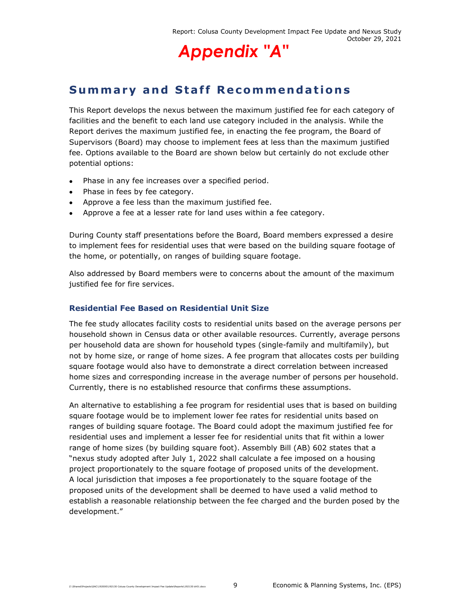

### **Summary and Staff Recommendations**

This Report develops the nexus between the maximum justified fee for each category of facilities and the benefit to each land use category included in the analysis. While the Report derives the maximum justified fee, in enacting the fee program, the Board of Supervisors (Board) may choose to implement fees at less than the maximum justified fee. Options available to the Board are shown below but certainly do not exclude other potential options:

- Phase in any fee increases over a specified period.
- Phase in fees by fee category.
- Approve a fee less than the maximum justified fee.
- Approve a fee at a lesser rate for land uses within a fee category.

During County staff presentations before the Board, Board members expressed a desire to implement fees for residential uses that were based on the building square footage of the home, or potentially, on ranges of building square footage.

Also addressed by Board members were to concerns about the amount of the maximum justified fee for fire services.

#### **Residential Fee Based on Residential Unit Size**

The fee study allocates facility costs to residential units based on the average persons per household shown in Census data or other available resources. Currently, average persons per household data are shown for household types (single-family and multifamily), but not by home size, or range of home sizes. A fee program that allocates costs per building square footage would also have to demonstrate a direct correlation between increased home sizes and corresponding increase in the average number of persons per household. Currently, there is no established resource that confirms these assumptions.

An alternative to establishing a fee program for residential uses that is based on building square footage would be to implement lower fee rates for residential units based on ranges of building square footage. The Board could adopt the maximum justified fee for residential uses and implement a lesser fee for residential units that fit within a lower range of home sizes (by building square foot). Assembly Bill (AB) 602 states that a "nexus study adopted after July 1, 2022 shall calculate a fee imposed on a housing project proportionately to the square footage of proposed units of the development. A local jurisdiction that imposes a fee proportionately to the square footage of the proposed units of the development shall be deemed to have used a valid method to establish a reasonable relationship between the fee charged and the burden posed by the development."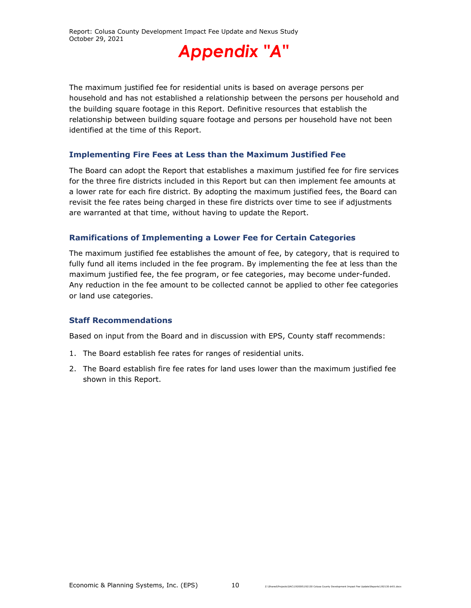

The maximum justified fee for residential units is based on average persons per household and has not established a relationship between the persons per household and the building square footage in this Report. Definitive resources that establish the relationship between building square footage and persons per household have not been identified at the time of this Report.

#### **Implementing Fire Fees at Less than the Maximum Justified Fee**

The Board can adopt the Report that establishes a maximum justified fee for fire services for the three fire districts included in this Report but can then implement fee amounts at a lower rate for each fire district. By adopting the maximum justified fees, the Board can revisit the fee rates being charged in these fire districts over time to see if adjustments are warranted at that time, without having to update the Report.

#### **Ramifications of Implementing a Lower Fee for Certain Categories**

The maximum justified fee establishes the amount of fee, by category, that is required to fully fund all items included in the fee program. By implementing the fee at less than the maximum justified fee, the fee program, or fee categories, may become under-funded. Any reduction in the fee amount to be collected cannot be applied to other fee categories or land use categories.

#### **Staff Recommendations**

Based on input from the Board and in discussion with EPS, County staff recommends:

- 1. The Board establish fee rates for ranges of residential units.
- 2. The Board establish fire fee rates for land uses lower than the maximum justified fee shown in this Report.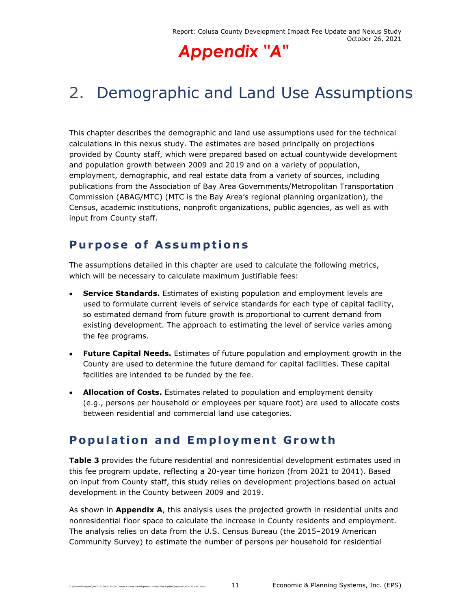# 2. Demographic and Land Use Assumptions

This chapter describes the demographic and land use assumptions used for the technical calculations in this nexus study. The estimates are based principally on projections provided by County staff, which were prepared based on actual countywide development and population growth between 2009 and 2019 and on a variety of population, employment, demographic, and real estate data from a variety of sources, including publications from the Association of Bay Area Governments/Metropolitan Transportation Commission (ABAG/MTC) (MTC is the Bay Area's regional planning organization), the Census, academic institutions, nonprofit organizations, public agencies, as well as with input from County staff.

### **Purpose of Assumptions**

The assumptions detailed in this chapter are used to calculate the following metrics, which will be necessary to calculate maximum justifiable fees:

- **Service Standards.** Estimates of existing population and employment levels are used to formulate current levels of service standards for each type of capital facility, so estimated demand from future growth is proportional to current demand from existing development. The approach to estimating the level of service varies among the fee programs.
- **Future Capital Needs.** Estimates of future population and employment growth in the County are used to determine the future demand for capital facilities. These capital facilities are intended to be funded by the fee.
- **Allocation of Costs.** Estimates related to population and employment density (e.g., persons per household or employees per square foot) are used to allocate costs between residential and commercial land use categories.

### **Population and Employment Growth**

**Table 3** provides the future residential and nonresidential development estimates used in this fee program update, reflecting a 20-year time horizon (from 2021 to 2041). Based on input from County staff, this study relies on development projections based on actual development in the County between 2009 and 2019.

As shown in **Appendix A**, this analysis uses the projected growth in residential units and nonresidential floor space to calculate the increase in County residents and employment. The analysis relies on data from the U.S. Census Bureau (the 2015–2019 American Community Survey) to estimate the number of persons per household for residential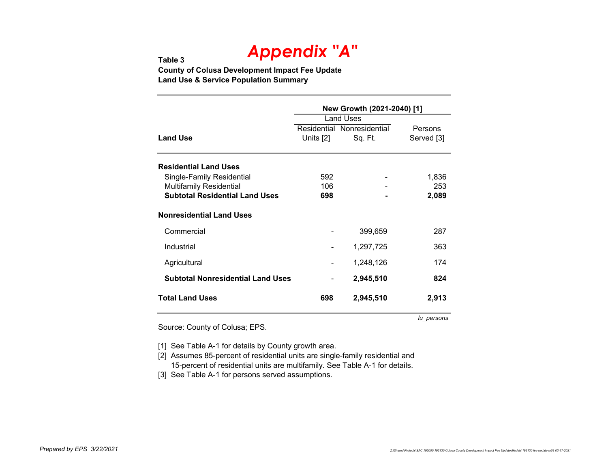#### **Table 3County of Colusa Development Impact Fee Update Land Use & Service Population Summary**

|                                          | New Growth (2021-2040) [1] |                            |            |  |  |  |
|------------------------------------------|----------------------------|----------------------------|------------|--|--|--|
|                                          |                            | Land Uses                  |            |  |  |  |
|                                          |                            | Residential Nonresidential | Persons    |  |  |  |
| <b>Land Use</b>                          | Units [2]                  | Sq. Ft.                    | Served [3] |  |  |  |
| <b>Residential Land Uses</b>             |                            |                            |            |  |  |  |
| Single-Family Residential                | 592                        |                            | 1,836      |  |  |  |
| <b>Multifamily Residential</b>           | 106                        |                            | 253        |  |  |  |
| <b>Subtotal Residential Land Uses</b>    | 698                        |                            | 2,089      |  |  |  |
| <b>Nonresidential Land Uses</b>          |                            |                            |            |  |  |  |
| Commercial                               |                            | 399,659                    | 287        |  |  |  |
| Industrial                               |                            | 1,297,725                  | 363        |  |  |  |
| Agricultural                             |                            | 1,248,126                  | 174        |  |  |  |
| <b>Subtotal Nonresidential Land Uses</b> |                            | 2,945,510                  | 824        |  |  |  |
| <b>Total Land Uses</b>                   | 698                        | 2,945,510                  | 2,913      |  |  |  |

Source: County of Colusa; EPS.

*lu\_persons*

[1] See Table A-1 for details by County growth area.

[2] Assumes 85-percent of residential units are single-family residential and 15-percent of residential units are multifamily. See Table A-1 for details.

[3] See Table A-1 for persons served assumptions.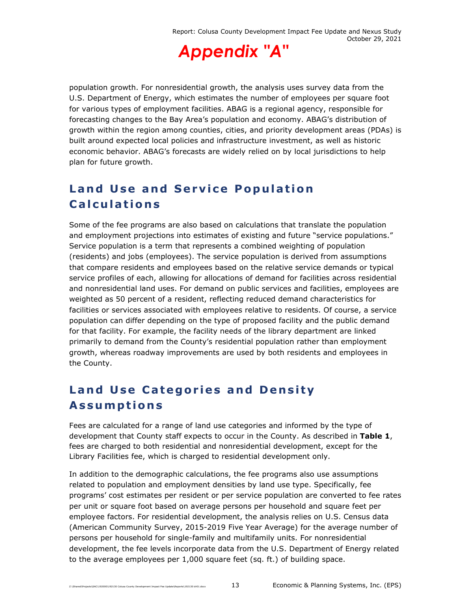

population growth. For nonresidential growth, the analysis uses survey data from the U.S. Department of Energy, which estimates the number of employees per square foot for various types of employment facilities. ABAG is a regional agency, responsible for forecasting changes to the Bay Area's population and economy. ABAG's distribution of growth within the region among counties, cities, and priority development areas (PDAs) is built around expected local policies and infrastructure investment, as well as historic economic behavior. ABAG's forecasts are widely relied on by local jurisdictions to help plan for future growth.

### **Land Use and Service Population Calculations**

Some of the fee programs are also based on calculations that translate the population and employment projections into estimates of existing and future "service populations." Service population is a term that represents a combined weighting of population (residents) and jobs (employees). The service population is derived from assumptions that compare residents and employees based on the relative service demands or typical service profiles of each, allowing for allocations of demand for facilities across residential and nonresidential land uses. For demand on public services and facilities, employees are weighted as 50 percent of a resident, reflecting reduced demand characteristics for facilities or services associated with employees relative to residents. Of course, a service population can differ depending on the type of proposed facility and the public demand for that facility. For example, the facility needs of the library department are linked primarily to demand from the County's residential population rather than employment growth, whereas roadway improvements are used by both residents and employees in the County.

### **Land Use Categories and Density Assumptions**

Fees are calculated for a range of land use categories and informed by the type of development that County staff expects to occur in the County. As described in **Table 1**, fees are charged to both residential and nonresidential development, except for the Library Facilities fee, which is charged to residential development only.

In addition to the demographic calculations, the fee programs also use assumptions related to population and employment densities by land use type. Specifically, fee programs' cost estimates per resident or per service population are converted to fee rates per unit or square foot based on average persons per household and square feet per employee factors. For residential development, the analysis relies on U.S. Census data (American Community Survey, 2015-2019 Five Year Average) for the average number of persons per household for single-family and multifamily units. For nonresidential development, the fee levels incorporate data from the U.S. Department of Energy related to the average employees per 1,000 square feet (sq. ft.) of building space.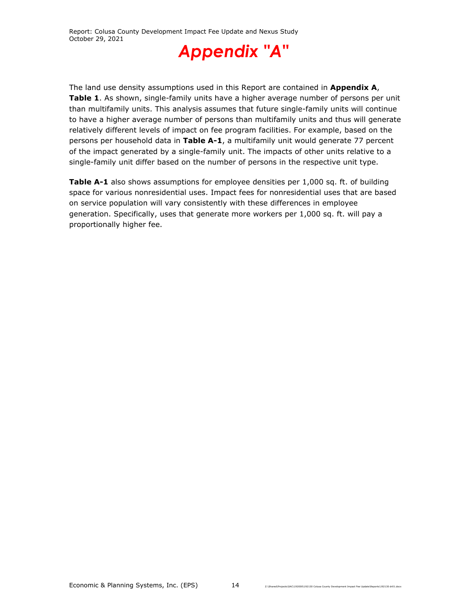

The land use density assumptions used in this Report are contained in **Appendix A**, **Table 1**. As shown, single-family units have a higher average number of persons per unit than multifamily units. This analysis assumes that future single-family units will continue to have a higher average number of persons than multifamily units and thus will generate relatively different levels of impact on fee program facilities. For example, based on the persons per household data in **Table A-1**, a multifamily unit would generate 77 percent of the impact generated by a single-family unit. The impacts of other units relative to a single-family unit differ based on the number of persons in the respective unit type.

**Table A-1** also shows assumptions for employee densities per 1,000 sq. ft. of building space for various nonresidential uses. Impact fees for nonresidential uses that are based on service population will vary consistently with these differences in employee generation. Specifically, uses that generate more workers per 1,000 sq. ft. will pay a proportionally higher fee.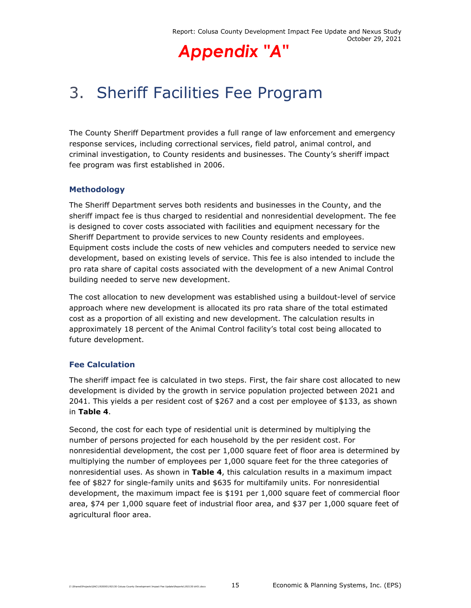## 3. Sheriff Facilities Fee Program

The County Sheriff Department provides a full range of law enforcement and emergency response services, including correctional services, field patrol, animal control, and criminal investigation, to County residents and businesses. The County's sheriff impact fee program was first established in 2006.

#### **Methodology**

The Sheriff Department serves both residents and businesses in the County, and the sheriff impact fee is thus charged to residential and nonresidential development. The fee is designed to cover costs associated with facilities and equipment necessary for the Sheriff Department to provide services to new County residents and employees. Equipment costs include the costs of new vehicles and computers needed to service new development, based on existing levels of service. This fee is also intended to include the pro rata share of capital costs associated with the development of a new Animal Control building needed to serve new development.

The cost allocation to new development was established using a buildout-level of service approach where new development is allocated its pro rata share of the total estimated cost as a proportion of all existing and new development. The calculation results in approximately 18 percent of the Animal Control facility's total cost being allocated to future development.

#### **Fee Calculation**

The sheriff impact fee is calculated in two steps. First, the fair share cost allocated to new development is divided by the growth in service population projected between 2021 and 2041. This yields a per resident cost of \$267 and a cost per employee of \$133, as shown in **Table 4**.

Second, the cost for each type of residential unit is determined by multiplying the number of persons projected for each household by the per resident cost. For nonresidential development, the cost per 1,000 square feet of floor area is determined by multiplying the number of employees per 1,000 square feet for the three categories of nonresidential uses. As shown in **Table 4**, this calculation results in a maximum impact fee of \$827 for single-family units and \$635 for multifamily units. For nonresidential development, the maximum impact fee is \$191 per 1,000 square feet of commercial floor area, \$74 per 1,000 square feet of industrial floor area, and \$37 per 1,000 square feet of agricultural floor area.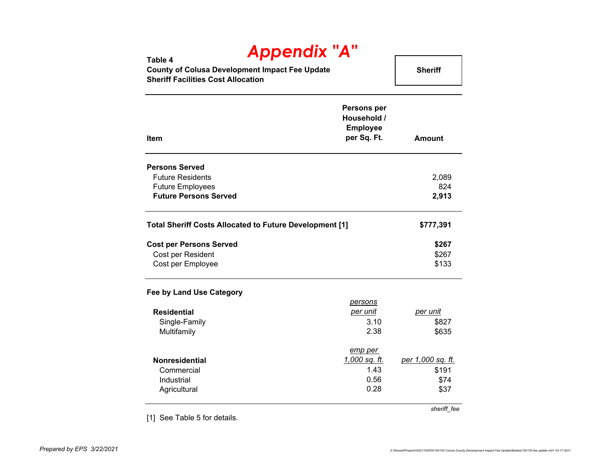| $TY$ $VY$ $VY$ $VY$<br>Table 4                 |                |
|------------------------------------------------|----------------|
| County of Colusa Development Impact Fee Update | <b>Sheriff</b> |
| <b>Sheriff Facilities Cost Allocation</b>      |                |

| Item                                                           | <b>Persons per</b><br>Household /<br><b>Employee</b><br>per Sq. Ft. | <b>Amount</b>            |
|----------------------------------------------------------------|---------------------------------------------------------------------|--------------------------|
| <b>Persons Served</b>                                          |                                                                     |                          |
| <b>Future Residents</b>                                        |                                                                     | 2,089                    |
| <b>Future Employees</b>                                        |                                                                     | 824                      |
| <b>Future Persons Served</b>                                   |                                                                     | 2,913                    |
| <b>Total Sheriff Costs Allocated to Future Development [1]</b> |                                                                     | \$777,391                |
| <b>Cost per Persons Served</b>                                 |                                                                     | \$267                    |
| Cost per Resident                                              |                                                                     | \$267                    |
| Cost per Employee                                              |                                                                     | \$133                    |
| Fee by Land Use Category                                       |                                                                     |                          |
|                                                                | persons                                                             |                          |
| <b>Residential</b>                                             | <u>per unit</u>                                                     | <u>per unit</u>          |
| Single-Family                                                  | 3.10                                                                | \$827                    |
| Multifamily                                                    | 2.38                                                                | \$635                    |
|                                                                | emp per                                                             |                          |
| <b>Nonresidential</b>                                          | <u>1,000 sq. ft.</u>                                                | <u>per 1,000 sq. ft.</u> |

Commercial \$191 Industrial \$74 Agricultural \$37

[1] See Table 5 for details.

*sheriff\_fee*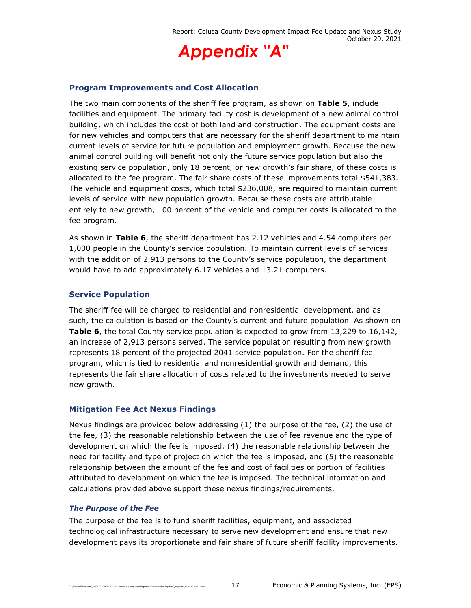

#### **Program Improvements and Cost Allocation**

The two main components of the sheriff fee program, as shown on **Table 5**, include facilities and equipment. The primary facility cost is development of a new animal control building, which includes the cost of both land and construction. The equipment costs are for new vehicles and computers that are necessary for the sheriff department to maintain current levels of service for future population and employment growth. Because the new animal control building will benefit not only the future service population but also the existing service population, only 18 percent, or new growth's fair share, of these costs is allocated to the fee program. The fair share costs of these improvements total \$541,383. The vehicle and equipment costs, which total \$236,008, are required to maintain current levels of service with new population growth. Because these costs are attributable entirely to new growth, 100 percent of the vehicle and computer costs is allocated to the fee program.

As shown in **Table 6**, the sheriff department has 2.12 vehicles and 4.54 computers per 1,000 people in the County's service population. To maintain current levels of services with the addition of 2,913 persons to the County's service population, the department would have to add approximately 6.17 vehicles and 13.21 computers.

#### **Service Population**

The sheriff fee will be charged to residential and nonresidential development, and as such, the calculation is based on the County's current and future population. As shown on **Table 6**, the total County service population is expected to grow from 13,229 to 16,142, an increase of 2,913 persons served. The service population resulting from new growth represents 18 percent of the projected 2041 service population. For the sheriff fee program, which is tied to residential and nonresidential growth and demand, this represents the fair share allocation of costs related to the investments needed to serve new growth.

#### **Mitigation Fee Act Nexus Findings**

Nexus findings are provided below addressing  $(1)$  the purpose of the fee,  $(2)$  the use of the fee, (3) the reasonable relationship between the use of fee revenue and the type of development on which the fee is imposed, (4) the reasonable relationship between the need for facility and type of project on which the fee is imposed, and (5) the reasonable relationship between the amount of the fee and cost of facilities or portion of facilities attributed to development on which the fee is imposed. The technical information and calculations provided above support these nexus findings/requirements.

#### *The Purpose of the Fee*

The purpose of the fee is to fund sheriff facilities, equipment, and associated technological infrastructure necessary to serve new development and ensure that new development pays its proportionate and fair share of future sheriff facility improvements.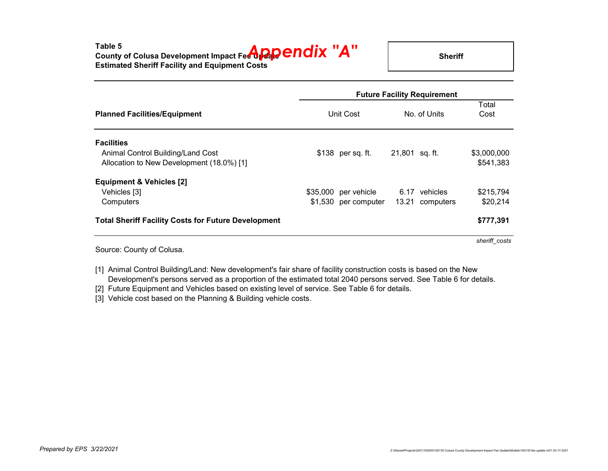|                                                            | <b>Future Facility Requirement</b> |                      |                |                 |               |  |
|------------------------------------------------------------|------------------------------------|----------------------|----------------|-----------------|---------------|--|
| <b>Planned Facilities/Equipment</b>                        | Unit Cost                          |                      | No. of Units   |                 | Total<br>Cost |  |
| <b>Facilities</b>                                          |                                    |                      |                |                 |               |  |
| Animal Control Building/Land Cost                          |                                    | $$138$ per sq. ft.   | 21,801 sq. ft. |                 | \$3,000,000   |  |
| Allocation to New Development (18.0%) [1]                  |                                    |                      |                |                 | \$541,383     |  |
| <b>Equipment &amp; Vehicles [2]</b>                        |                                    |                      |                |                 |               |  |
| Vehicles [3]                                               | \$35,000                           | per vehicle          |                | 6.17 vehicles   | \$215,794     |  |
| Computers                                                  |                                    | \$1,530 per computer |                | 13.21 computers | \$20,214      |  |
| <b>Total Sheriff Facility Costs for Future Development</b> |                                    |                      |                |                 | \$777,391     |  |
|                                                            |                                    |                      |                |                 | sheriff costs |  |

Source: County of Colusa.

[1] Animal Control Building/Land: New development's fair share of facility construction costs is based on the New Development's persons served as a proportion of the estimated total 2040 persons served. See Table 6 for details.

[2] Future Equipment and Vehicles based on existing level of service. See Table 6 for details.

[3] Vehicle cost based on the Planning & Building vehicle costs.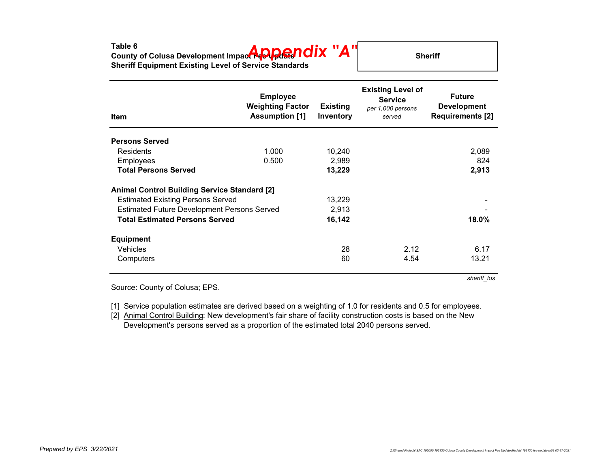| Table 6<br>Table 6<br>County of Colusa Development Impact 40 Punce ndix "A"<br><b>Sheriff Equipment Existing Level of Service Standards</b> | <b>Sheriff</b> |
|---------------------------------------------------------------------------------------------------------------------------------------------|----------------|
|---------------------------------------------------------------------------------------------------------------------------------------------|----------------|

| <b>Item</b>                                         | <b>Employee</b><br><b>Weighting Factor</b><br><b>Assumption [1]</b> | <b>Existing</b><br>Inventory | <b>Existing Level of</b><br><b>Service</b><br>per 1,000 persons<br>served | <b>Future</b><br><b>Development</b><br><b>Requirements [2]</b> |
|-----------------------------------------------------|---------------------------------------------------------------------|------------------------------|---------------------------------------------------------------------------|----------------------------------------------------------------|
| <b>Persons Served</b>                               |                                                                     |                              |                                                                           |                                                                |
| Residents                                           | 1.000                                                               | 10,240                       |                                                                           | 2,089                                                          |
| <b>Employees</b>                                    | 0.500                                                               | 2,989                        |                                                                           | 824                                                            |
| <b>Total Persons Served</b>                         |                                                                     | 13,229                       |                                                                           | 2,913                                                          |
| <b>Animal Control Building Service Standard [2]</b> |                                                                     |                              |                                                                           |                                                                |
| <b>Estimated Existing Persons Served</b>            |                                                                     | 13,229                       |                                                                           |                                                                |
| <b>Estimated Future Development Persons Served</b>  |                                                                     | 2,913                        |                                                                           |                                                                |
| <b>Total Estimated Persons Served</b>               |                                                                     | 16,142                       |                                                                           | 18.0%                                                          |
| <b>Equipment</b>                                    |                                                                     |                              |                                                                           |                                                                |
| <b>Vehicles</b>                                     |                                                                     | 28                           | 2.12                                                                      | 6.17                                                           |
| Computers                                           |                                                                     | 60                           | 4.54                                                                      | 13.21                                                          |
|                                                     |                                                                     |                              |                                                                           | sheriff los                                                    |

Source: County of Colusa; EPS.

[1] Service population estimates are derived based on a weighting of 1.0 for residents and 0.5 for employees.

[2] Animal Control Building: New development's fair share of facility construction costs is based on the New Development's persons served as a proportion of the estimated total 2040 persons served.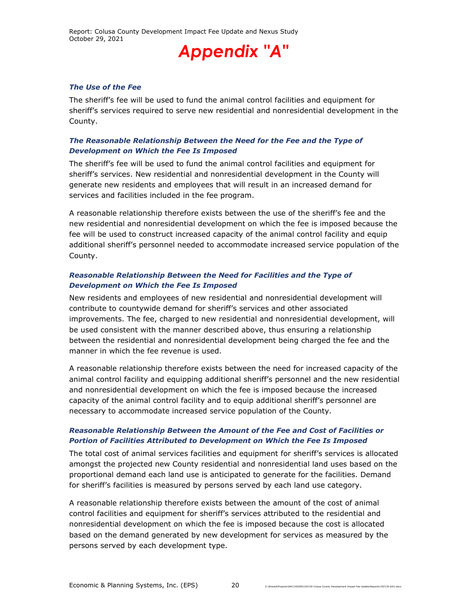#### *The Use of the Fee*

The sheriff's fee will be used to fund the animal control facilities and equipment for sheriff's services required to serve new residential and nonresidential development in the County.

#### *The Reasonable Relationship Between the Need for the Fee and the Type of Development on Which the Fee Is Imposed*

The sheriff's fee will be used to fund the animal control facilities and equipment for sheriff's services. New residential and nonresidential development in the County will generate new residents and employees that will result in an increased demand for services and facilities included in the fee program.

A reasonable relationship therefore exists between the use of the sheriff's fee and the new residential and nonresidential development on which the fee is imposed because the fee will be used to construct increased capacity of the animal control facility and equip additional sheriff's personnel needed to accommodate increased service population of the County.

#### *Reasonable Relationship Between the Need for Facilities and the Type of Development on Which the Fee Is Imposed*

New residents and employees of new residential and nonresidential development will contribute to countywide demand for sheriff's services and other associated improvements. The fee, charged to new residential and nonresidential development, will be used consistent with the manner described above, thus ensuring a relationship between the residential and nonresidential development being charged the fee and the manner in which the fee revenue is used.

A reasonable relationship therefore exists between the need for increased capacity of the animal control facility and equipping additional sheriff's personnel and the new residential and nonresidential development on which the fee is imposed because the increased capacity of the animal control facility and to equip additional sheriff's personnel are necessary to accommodate increased service population of the County.

#### *Reasonable Relationship Between the Amount of the Fee and Cost of Facilities or Portion of Facilities Attributed to Development on Which the Fee Is Imposed*

The total cost of animal services facilities and equipment for sheriff's services is allocated amongst the projected new County residential and nonresidential land uses based on the proportional demand each land use is anticipated to generate for the facilities. Demand for sheriff's facilities is measured by persons served by each land use category.

A reasonable relationship therefore exists between the amount of the cost of animal control facilities and equipment for sheriff's services attributed to the residential and nonresidential development on which the fee is imposed because the cost is allocated based on the demand generated by new development for services as measured by the persons served by each development type.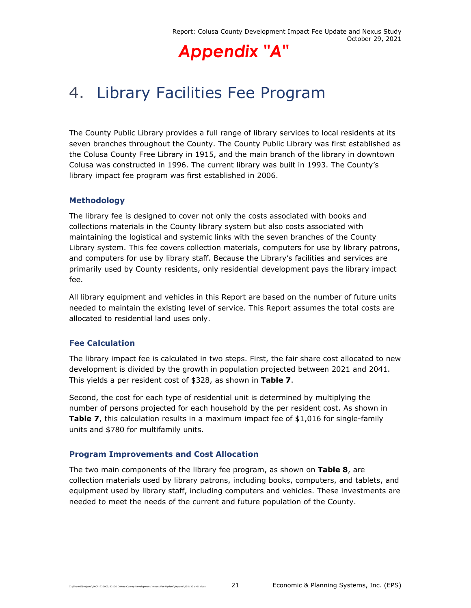## 4. Library Facilities Fee Program

The County Public Library provides a full range of library services to local residents at its seven branches throughout the County. The County Public Library was first established as the Colusa County Free Library in 1915, and the main branch of the library in downtown Colusa was constructed in 1996. The current library was built in 1993. The County's library impact fee program was first established in 2006.

#### **Methodology**

The library fee is designed to cover not only the costs associated with books and collections materials in the County library system but also costs associated with maintaining the logistical and systemic links with the seven branches of the County Library system. This fee covers collection materials, computers for use by library patrons, and computers for use by library staff. Because the Library's facilities and services are primarily used by County residents, only residential development pays the library impact fee.

All library equipment and vehicles in this Report are based on the number of future units needed to maintain the existing level of service. This Report assumes the total costs are allocated to residential land uses only.

#### **Fee Calculation**

The library impact fee is calculated in two steps. First, the fair share cost allocated to new development is divided by the growth in population projected between 2021 and 2041. This yields a per resident cost of \$328, as shown in **Table 7**.

Second, the cost for each type of residential unit is determined by multiplying the number of persons projected for each household by the per resident cost. As shown in **Table 7**, this calculation results in a maximum impact fee of \$1,016 for single-family units and \$780 for multifamily units.

#### **Program Improvements and Cost Allocation**

The two main components of the library fee program, as shown on **Table 8**, are collection materials used by library patrons, including books, computers, and tablets, and equipment used by library staff, including computers and vehicles. These investments are needed to meet the needs of the current and future population of the County.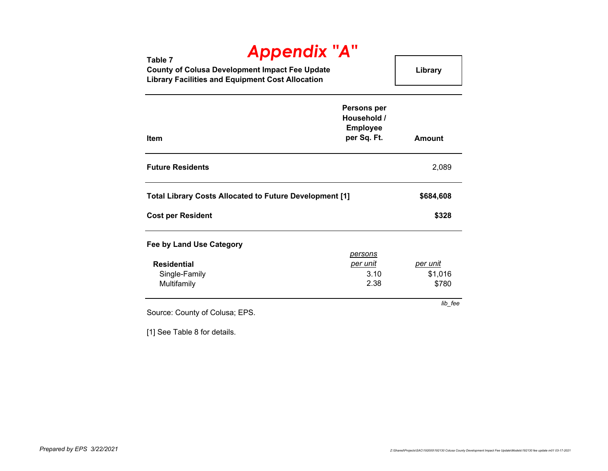### **Table 7 County of Colusa Development Impact Fee Update Library Facilities and Equipment Cost Allocation Library** *Appendix "A"*

| <b>Item</b>                                                    | <b>Persons per</b><br>Household /<br><b>Employee</b><br>per Sq. Ft. | <b>Amount</b>   |
|----------------------------------------------------------------|---------------------------------------------------------------------|-----------------|
| <b>Future Residents</b>                                        |                                                                     | 2,089           |
| <b>Total Library Costs Allocated to Future Development [1]</b> |                                                                     | \$684,608       |
| <b>Cost per Resident</b>                                       |                                                                     | \$328           |
| <b>Fee by Land Use Category</b>                                | <u>persons</u>                                                      |                 |
| <b>Residential</b>                                             | <u>per unit</u>                                                     | <u>per unit</u> |
| Single-Family                                                  | 3.10                                                                | \$1,016         |
| Multifamily                                                    | 2.38                                                                | \$780           |
| Source: County of Colusa; EPS.                                 |                                                                     | lib_fee         |

[1] See Table 8 for details.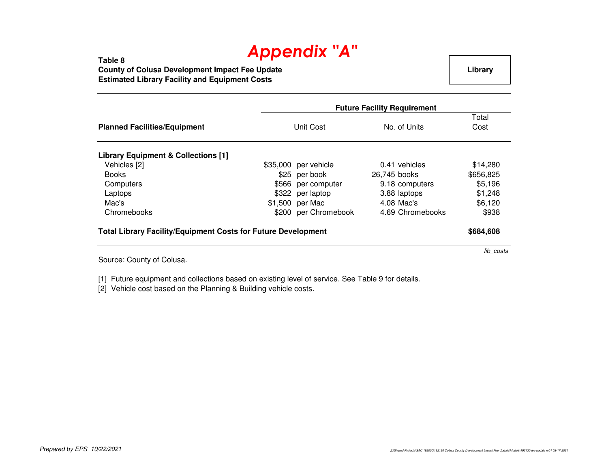**Table 8 County of Colusa Development Impact Fee UpdateEstimated Library Facility and Equipment Costs**

**Library**

lib\_costs

|                                                                      | <b>Future Facility Requirement</b> |                      |                  |               |
|----------------------------------------------------------------------|------------------------------------|----------------------|------------------|---------------|
| <b>Planned Facilities/Equipment</b>                                  |                                    | Unit Cost            | No. of Units     | Total<br>Cost |
| <b>Library Equipment &amp; Collections [1]</b>                       |                                    |                      |                  |               |
| Vehicles [2]                                                         |                                    | \$35,000 per vehicle | 0.41 vehicles    | \$14,280      |
| <b>Books</b>                                                         |                                    | \$25 per book        | 26,745 books     | \$656,825     |
| Computers                                                            |                                    | \$566 per computer   | 9.18 computers   | \$5,196       |
| Laptops                                                              |                                    | \$322 per laptop     | 3.88 laptops     | \$1,248       |
| Mac's                                                                |                                    | \$1,500 per Mac      | 4.08 Mac's       | \$6,120       |
| Chromebooks                                                          |                                    | \$200 per Chromebook | 4.69 Chromebooks | \$938         |
| <b>Total Library Facility/Equipment Costs for Future Development</b> |                                    |                      |                  | \$684,608     |

Source: County of Colusa.

[1] Future equipment and collections based on existing level of service. See Table 9 for details.

[2] Vehicle cost based on the Planning & Building vehicle costs.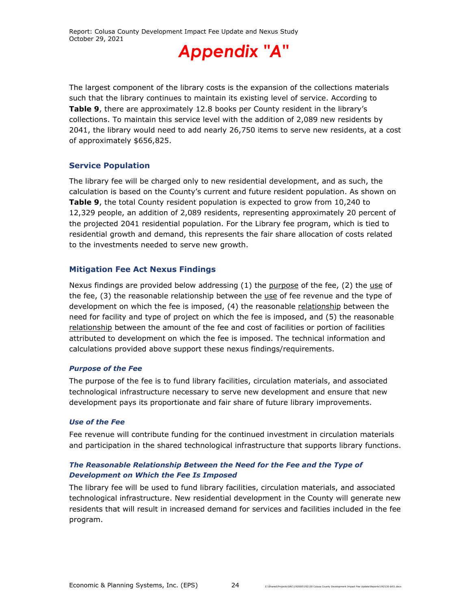

The largest component of the library costs is the expansion of the collections materials such that the library continues to maintain its existing level of service. According to **Table 9**, there are approximately 12.8 books per County resident in the library's collections. To maintain this service level with the addition of 2,089 new residents by 2041, the library would need to add nearly 26,750 items to serve new residents, at a cost of approximately \$656,825.

#### **Service Population**

The library fee will be charged only to new residential development, and as such, the calculation is based on the County's current and future resident population. As shown on **Table 9**, the total County resident population is expected to grow from 10,240 to 12,329 people, an addition of 2,089 residents, representing approximately 20 percent of the projected 2041 residential population. For the Library fee program, which is tied to residential growth and demand, this represents the fair share allocation of costs related to the investments needed to serve new growth.

#### **Mitigation Fee Act Nexus Findings**

Nexus findings are provided below addressing (1) the purpose of the fee, (2) the use of the fee, (3) the reasonable relationship between the use of fee revenue and the type of development on which the fee is imposed, (4) the reasonable relationship between the need for facility and type of project on which the fee is imposed, and (5) the reasonable relationship between the amount of the fee and cost of facilities or portion of facilities attributed to development on which the fee is imposed. The technical information and calculations provided above support these nexus findings/requirements.

#### *Purpose of the Fee*

The purpose of the fee is to fund library facilities, circulation materials, and associated technological infrastructure necessary to serve new development and ensure that new development pays its proportionate and fair share of future library improvements.

#### *Use of the Fee*

Fee revenue will contribute funding for the continued investment in circulation materials and participation in the shared technological infrastructure that supports library functions.

#### *The Reasonable Relationship Between the Need for the Fee and the Type of Development on Which the Fee Is Imposed*

The library fee will be used to fund library facilities, circulation materials, and associated technological infrastructure. New residential development in the County will generate new residents that will result in increased demand for services and facilities included in the fee program.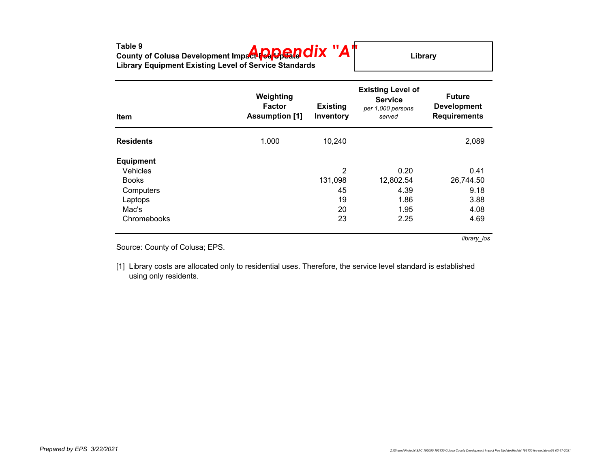| Table 9<br>County of Colusa Development Impact <b>Peppen OIX "A"</b><br><b>Library Equipment Existing Level of Service Standards</b> | Library                  |
|--------------------------------------------------------------------------------------------------------------------------------------|--------------------------|
|                                                                                                                                      | <b>Existing Level of</b> |

| Item             | Weighting<br><b>Factor</b><br><b>Assumption [1]</b> | <b>Existing</b><br>Inventory | <b>LAISUILY LEVEL UI</b><br><b>Service</b><br>per 1,000 persons<br>served | <b>Future</b><br><b>Development</b><br><b>Requirements</b> |
|------------------|-----------------------------------------------------|------------------------------|---------------------------------------------------------------------------|------------------------------------------------------------|
| <b>Residents</b> | 1.000                                               | 10,240                       |                                                                           | 2,089                                                      |
| <b>Equipment</b> |                                                     |                              |                                                                           |                                                            |
| Vehicles         |                                                     | 2                            | 0.20                                                                      | 0.41                                                       |
| <b>Books</b>     |                                                     | 131,098                      | 12,802.54                                                                 | 26,744.50                                                  |
| Computers        |                                                     | 45                           | 4.39                                                                      | 9.18                                                       |
| Laptops          |                                                     | 19                           | 1.86                                                                      | 3.88                                                       |
| Mac's            |                                                     | 20                           | 1.95                                                                      | 4.08                                                       |
| Chromebooks      |                                                     | 23                           | 2.25                                                                      | 4.69                                                       |
|                  |                                                     |                              |                                                                           | library los                                                |

Source: County of Colusa; EPS.

[1] Library costs are allocated only to residential uses. Therefore, the service level standard is established using only residents.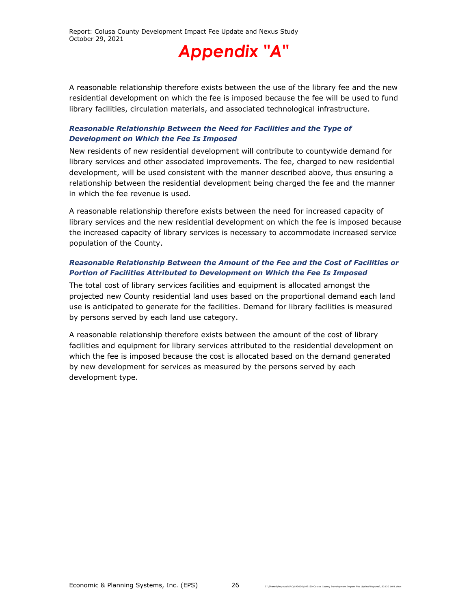A reasonable relationship therefore exists between the use of the library fee and the new residential development on which the fee is imposed because the fee will be used to fund library facilities, circulation materials, and associated technological infrastructure.

#### *Reasonable Relationship Between the Need for Facilities and the Type of Development on Which the Fee Is Imposed*

New residents of new residential development will contribute to countywide demand for library services and other associated improvements. The fee, charged to new residential development, will be used consistent with the manner described above, thus ensuring a relationship between the residential development being charged the fee and the manner in which the fee revenue is used.

A reasonable relationship therefore exists between the need for increased capacity of library services and the new residential development on which the fee is imposed because the increased capacity of library services is necessary to accommodate increased service population of the County.

#### *Reasonable Relationship Between the Amount of the Fee and the Cost of Facilities or Portion of Facilities Attributed to Development on Which the Fee Is Imposed*

The total cost of library services facilities and equipment is allocated amongst the projected new County residential land uses based on the proportional demand each land use is anticipated to generate for the facilities. Demand for library facilities is measured by persons served by each land use category.

A reasonable relationship therefore exists between the amount of the cost of library facilities and equipment for library services attributed to the residential development on which the fee is imposed because the cost is allocated based on the demand generated by new development for services as measured by the persons served by each development type.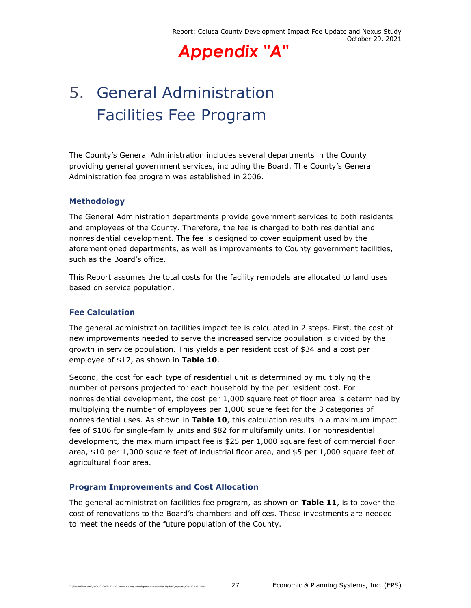# 5. General Administration Facilities Fee Program

The County's General Administration includes several departments in the County providing general government services, including the Board. The County's General Administration fee program was established in 2006.

#### **Methodology**

The General Administration departments provide government services to both residents and employees of the County. Therefore, the fee is charged to both residential and nonresidential development. The fee is designed to cover equipment used by the aforementioned departments, as well as improvements to County government facilities, such as the Board's office.

This Report assumes the total costs for the facility remodels are allocated to land uses based on service population.

#### **Fee Calculation**

The general administration facilities impact fee is calculated in 2 steps. First, the cost of new improvements needed to serve the increased service population is divided by the growth in service population. This yields a per resident cost of \$34 and a cost per employee of \$17, as shown in **Table 10**.

Second, the cost for each type of residential unit is determined by multiplying the number of persons projected for each household by the per resident cost. For nonresidential development, the cost per 1,000 square feet of floor area is determined by multiplying the number of employees per 1,000 square feet for the 3 categories of nonresidential uses. As shown in **Table 10**, this calculation results in a maximum impact fee of \$106 for single-family units and \$82 for multifamily units. For nonresidential development, the maximum impact fee is \$25 per 1,000 square feet of commercial floor area, \$10 per 1,000 square feet of industrial floor area, and \$5 per 1,000 square feet of agricultural floor area.

#### **Program Improvements and Cost Allocation**

The general administration facilities fee program, as shown on **Table 11**, is to cover the cost of renovations to the Board's chambers and offices. These investments are needed to meet the needs of the future population of the County.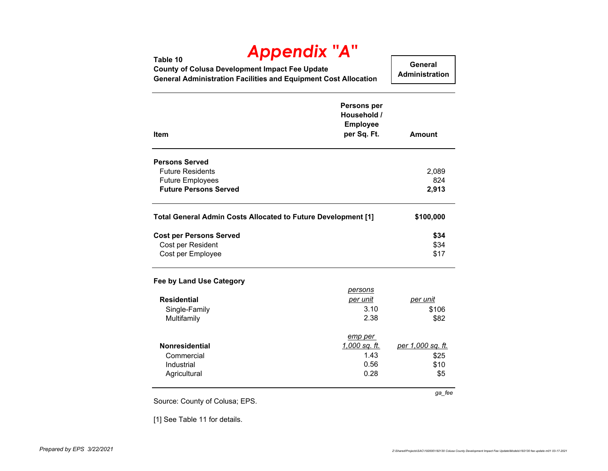| Table 10<br><b>County of Colusa Development Impact Fee Update</b><br><b>General Administration Facilities and Equipment Cost Allocation</b> | <b>Appendix "A"</b>                                          | General<br><b>Administration</b> |
|---------------------------------------------------------------------------------------------------------------------------------------------|--------------------------------------------------------------|----------------------------------|
| <b>Item</b>                                                                                                                                 | Persons per<br>Household /<br><b>Employee</b><br>per Sq. Ft. | Amount                           |
| <b>Persons Served</b>                                                                                                                       |                                                              |                                  |
| <b>Future Residents</b>                                                                                                                     |                                                              | 2,089                            |
| <b>Future Employees</b>                                                                                                                     |                                                              | 824                              |
| <b>Future Persons Served</b>                                                                                                                |                                                              | 2,913                            |
| Total General Admin Costs Allocated to Future Development [1]                                                                               |                                                              | \$100,000                        |
| <b>Cost per Persons Served</b>                                                                                                              |                                                              | \$34                             |
| Cost per Resident                                                                                                                           |                                                              | \$34                             |
| Cost per Employee                                                                                                                           |                                                              | \$17                             |
| Fee by Land Use Category                                                                                                                    |                                                              |                                  |
|                                                                                                                                             | persons                                                      |                                  |
| <b>Residential</b>                                                                                                                          | per unit                                                     | per unit                         |
| Single-Family                                                                                                                               | 3.10                                                         | \$106                            |
| Multifamily                                                                                                                                 | 2.38                                                         | \$82                             |
|                                                                                                                                             | emp per                                                      |                                  |
| <b>Nonresidential</b>                                                                                                                       | <u>1,000 sq. ft.</u>                                         | per 1,000 sq. ft.                |
| Commercial                                                                                                                                  | 1.43                                                         | \$25                             |
| Industrial                                                                                                                                  | 0.56                                                         | \$10                             |
| Agricultural                                                                                                                                | 0.28                                                         | \$5                              |
|                                                                                                                                             |                                                              | ga_fee                           |

[1] See Table 11 for details.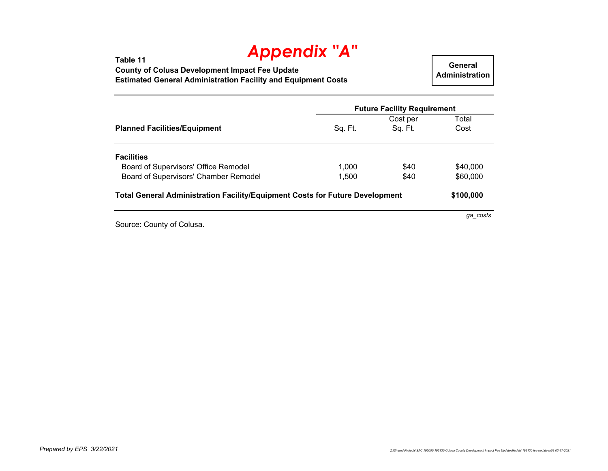**Table 11 County of Colusa Development Impact Fee Update Estimated General Administration Facility and Equipment Costs**

**General Administration**

|          | <b>Future Facility Requirement</b>                                                  |  |  |
|----------|-------------------------------------------------------------------------------------|--|--|
| Cost per | Total                                                                               |  |  |
| Sq. Ft.  | Cost                                                                                |  |  |
|          |                                                                                     |  |  |
| \$40     | \$40,000                                                                            |  |  |
| \$40     | \$60,000                                                                            |  |  |
|          | \$100,000                                                                           |  |  |
|          | <b>Total General Administration Facility/Equipment Costs for Future Development</b> |  |  |

Source: County of Colusa.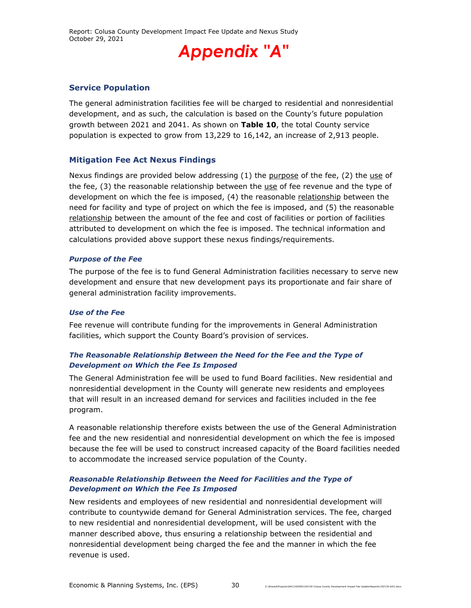#### **Service Population**

The general administration facilities fee will be charged to residential and nonresidential development, and as such, the calculation is based on the County's future population growth between 2021 and 2041. As shown on **Table 10**, the total County service population is expected to grow from 13,229 to 16,142, an increase of 2,913 people.

#### **Mitigation Fee Act Nexus Findings**

Nexus findings are provided below addressing  $(1)$  the purpose of the fee,  $(2)$  the use of the fee, (3) the reasonable relationship between the use of fee revenue and the type of development on which the fee is imposed, (4) the reasonable relationship between the need for facility and type of project on which the fee is imposed, and (5) the reasonable relationship between the amount of the fee and cost of facilities or portion of facilities attributed to development on which the fee is imposed. The technical information and calculations provided above support these nexus findings/requirements.

#### *Purpose of the Fee*

The purpose of the fee is to fund General Administration facilities necessary to serve new development and ensure that new development pays its proportionate and fair share of general administration facility improvements.

#### *Use of the Fee*

Fee revenue will contribute funding for the improvements in General Administration facilities, which support the County Board's provision of services.

#### *The Reasonable Relationship Between the Need for the Fee and the Type of Development on Which the Fee Is Imposed*

The General Administration fee will be used to fund Board facilities. New residential and nonresidential development in the County will generate new residents and employees that will result in an increased demand for services and facilities included in the fee program.

A reasonable relationship therefore exists between the use of the General Administration fee and the new residential and nonresidential development on which the fee is imposed because the fee will be used to construct increased capacity of the Board facilities needed to accommodate the increased service population of the County.

#### *Reasonable Relationship Between the Need for Facilities and the Type of Development on Which the Fee Is Imposed*

New residents and employees of new residential and nonresidential development will contribute to countywide demand for General Administration services. The fee, charged to new residential and nonresidential development, will be used consistent with the manner described above, thus ensuring a relationship between the residential and nonresidential development being charged the fee and the manner in which the fee revenue is used.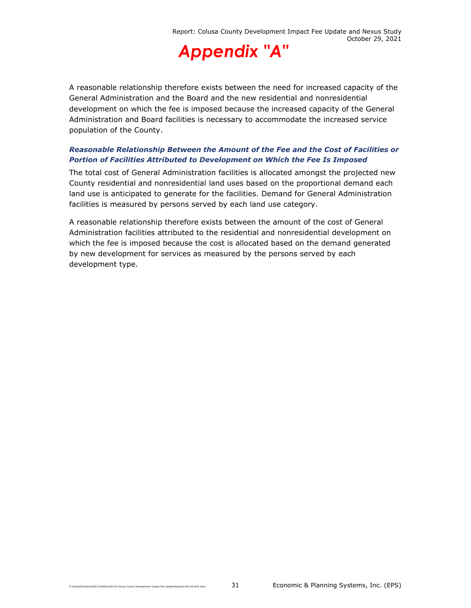

A reasonable relationship therefore exists between the need for increased capacity of the General Administration and the Board and the new residential and nonresidential development on which the fee is imposed because the increased capacity of the General Administration and Board facilities is necessary to accommodate the increased service population of the County.

#### *Reasonable Relationship Between the Amount of the Fee and the Cost of Facilities or Portion of Facilities Attributed to Development on Which the Fee Is Imposed*

The total cost of General Administration facilities is allocated amongst the projected new County residential and nonresidential land uses based on the proportional demand each land use is anticipated to generate for the facilities. Demand for General Administration facilities is measured by persons served by each land use category.

A reasonable relationship therefore exists between the amount of the cost of General Administration facilities attributed to the residential and nonresidential development on which the fee is imposed because the cost is allocated based on the demand generated by new development for services as measured by the persons served by each development type.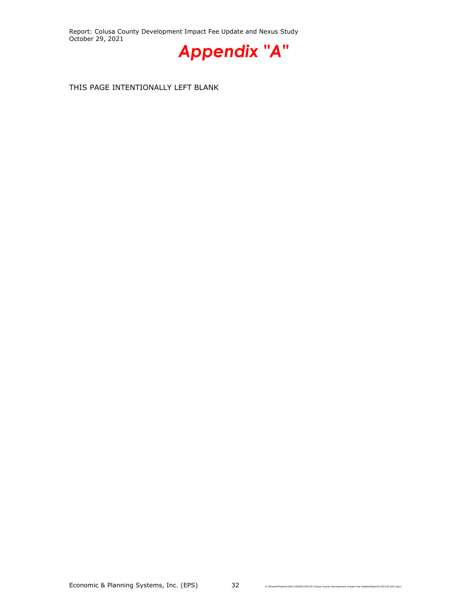Report: Colusa County Development Impact Fee Update and Nexus Study October 29, 2021



THIS PAGE INTENTIONALLY LEFT BLANK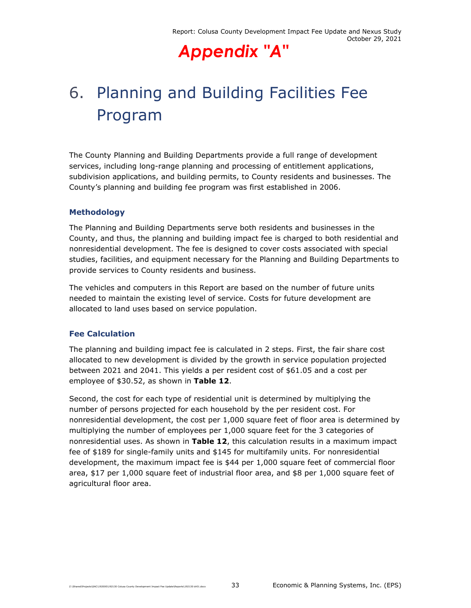# 6. Planning and Building Facilities Fee Program

The County Planning and Building Departments provide a full range of development services, including long-range planning and processing of entitlement applications, subdivision applications, and building permits, to County residents and businesses. The County's planning and building fee program was first established in 2006.

## **Methodology**

The Planning and Building Departments serve both residents and businesses in the County, and thus, the planning and building impact fee is charged to both residential and nonresidential development. The fee is designed to cover costs associated with special studies, facilities, and equipment necessary for the Planning and Building Departments to provide services to County residents and business.

The vehicles and computers in this Report are based on the number of future units needed to maintain the existing level of service. Costs for future development are allocated to land uses based on service population.

## **Fee Calculation**

The planning and building impact fee is calculated in 2 steps. First, the fair share cost allocated to new development is divided by the growth in service population projected between 2021 and 2041. This yields a per resident cost of \$61.05 and a cost per employee of \$30.52, as shown in **Table 12**.

Second, the cost for each type of residential unit is determined by multiplying the number of persons projected for each household by the per resident cost. For nonresidential development, the cost per 1,000 square feet of floor area is determined by multiplying the number of employees per 1,000 square feet for the 3 categories of nonresidential uses. As shown in **Table 12**, this calculation results in a maximum impact fee of \$189 for single-family units and \$145 for multifamily units. For nonresidential development, the maximum impact fee is \$44 per 1,000 square feet of commercial floor area, \$17 per 1,000 square feet of industrial floor area, and \$8 per 1,000 square feet of agricultural floor area.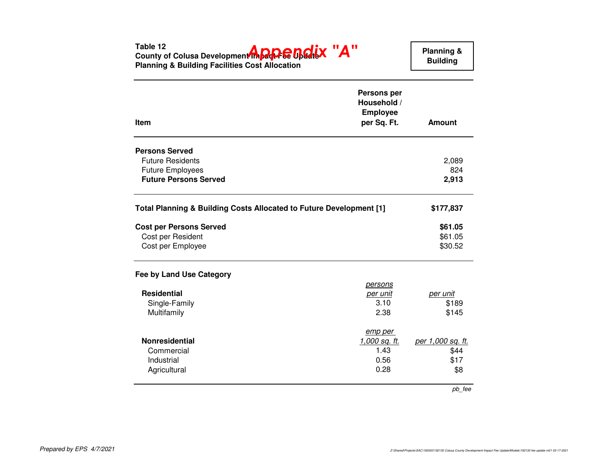| County of Colusa Development in <b>page Fee Update A</b><br><b>Planning &amp; Building Facilities Cost Allocation</b>      |                                                                     | <b>Building</b>                  |
|----------------------------------------------------------------------------------------------------------------------------|---------------------------------------------------------------------|----------------------------------|
| Item                                                                                                                       | <b>Persons per</b><br>Household /<br><b>Employee</b><br>per Sq. Ft. | <b>Amount</b>                    |
| <b>Persons Served</b>                                                                                                      |                                                                     |                                  |
| <b>Future Residents</b>                                                                                                    |                                                                     | 2,089                            |
| <b>Future Employees</b>                                                                                                    |                                                                     | 824                              |
| <b>Future Persons Served</b>                                                                                               |                                                                     | 2,913                            |
|                                                                                                                            |                                                                     |                                  |
|                                                                                                                            |                                                                     | \$177,837<br>\$61.05             |
| Total Planning & Building Costs Allocated to Future Development [1]<br><b>Cost per Persons Served</b><br>Cost per Resident |                                                                     | \$61.05                          |
| Cost per Employee                                                                                                          |                                                                     | \$30.52                          |
|                                                                                                                            |                                                                     |                                  |
|                                                                                                                            | <i>persons</i>                                                      |                                  |
| <b>Residential</b>                                                                                                         | <u>per unit</u>                                                     | per unit                         |
| Single-Family                                                                                                              | 3.10                                                                | \$189                            |
| Multifamily                                                                                                                | 2.38                                                                | \$145                            |
|                                                                                                                            | emp per                                                             |                                  |
| Fee by Land Use Category<br><b>Nonresidential</b>                                                                          | 1,000 sq. ft.                                                       |                                  |
| Commercial                                                                                                                 | 1.43                                                                | \$44                             |
| Industrial<br>Agricultural                                                                                                 | 0.56<br>0.28                                                        | per 1,000 sq. ft.<br>\$17<br>\$8 |

pb\_fee

**Planning &**

**Table 12**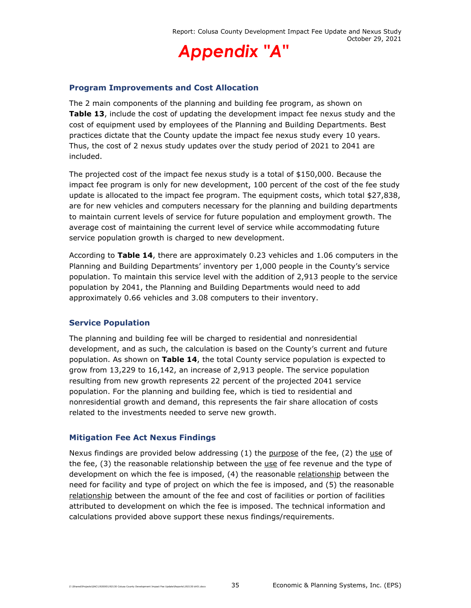

### **Program Improvements and Cost Allocation**

The 2 main components of the planning and building fee program, as shown on **Table 13**, include the cost of updating the development impact fee nexus study and the cost of equipment used by employees of the Planning and Building Departments. Best practices dictate that the County update the impact fee nexus study every 10 years. Thus, the cost of 2 nexus study updates over the study period of 2021 to 2041 are included.

The projected cost of the impact fee nexus study is a total of \$150,000. Because the impact fee program is only for new development, 100 percent of the cost of the fee study update is allocated to the impact fee program. The equipment costs, which total \$27,838, are for new vehicles and computers necessary for the planning and building departments to maintain current levels of service for future population and employment growth. The average cost of maintaining the current level of service while accommodating future service population growth is charged to new development.

According to **Table 14**, there are approximately 0.23 vehicles and 1.06 computers in the Planning and Building Departments' inventory per 1,000 people in the County's service population. To maintain this service level with the addition of 2,913 people to the service population by 2041, the Planning and Building Departments would need to add approximately 0.66 vehicles and 3.08 computers to their inventory.

## **Service Population**

The planning and building fee will be charged to residential and nonresidential development, and as such, the calculation is based on the County's current and future population. As shown on **Table 14**, the total County service population is expected to grow from 13,229 to 16,142, an increase of 2,913 people. The service population resulting from new growth represents 22 percent of the projected 2041 service population. For the planning and building fee, which is tied to residential and nonresidential growth and demand, this represents the fair share allocation of costs related to the investments needed to serve new growth.

#### **Mitigation Fee Act Nexus Findings**

Nexus findings are provided below addressing  $(1)$  the purpose of the fee,  $(2)$  the use of the fee, (3) the reasonable relationship between the use of fee revenue and the type of development on which the fee is imposed, (4) the reasonable relationship between the need for facility and type of project on which the fee is imposed, and (5) the reasonable relationship between the amount of the fee and cost of facilities or portion of facilities attributed to development on which the fee is imposed. The technical information and calculations provided above support these nexus findings/requirements.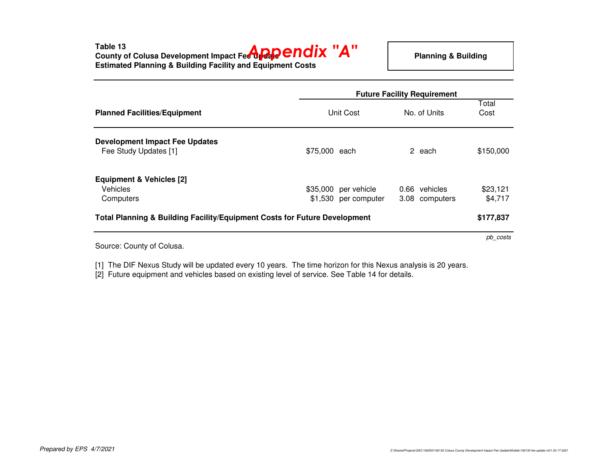**Table 13**

**County of Colusa Development Impact Fee Upp CNOIX "A"**<br>-<br>-**Estimated Planning & Building Facility and Equipment Costs**

|                                                                                      |                                              | <b>Future Facility Requirement</b> |                     |  |  |
|--------------------------------------------------------------------------------------|----------------------------------------------|------------------------------------|---------------------|--|--|
| <b>Planned Facilities/Equipment</b>                                                  | Unit Cost                                    | No. of Units                       | Total<br>Cost       |  |  |
| <b>Development Impact Fee Updates</b><br>Fee Study Updates [1]                       | \$75,000 each                                | 2 each                             | \$150,000           |  |  |
| <b>Equipment &amp; Vehicles [2]</b><br><b>Vehicles</b><br>Computers                  | \$35,000 per vehicle<br>\$1,530 per computer | 0.66 vehicles<br>3.08 computers    | \$23,121<br>\$4,717 |  |  |
| <b>Total Planning &amp; Building Facility/Equipment Costs for Future Development</b> |                                              |                                    | \$177,837           |  |  |
| Source: County of Colusa.                                                            |                                              |                                    | pb costs            |  |  |

[1] The DIF Nexus Study will be updated every 10 years. The time horizon for this Nexus analysis is 20 years.

[2] Future equipment and vehicles based on existing level of service. See Table 14 for details.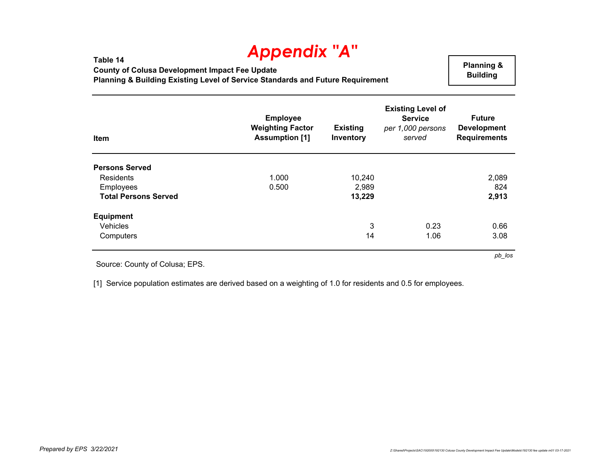**Table 14 County of Colusa Development Impact Fee Update Planning & Building Existing Level of Service Standards and Future Requirement**

 **Planning & Building** 

*pb\_los*

| Item                        | <b>Employee</b><br><b>Weighting Factor</b><br><b>Assumption [1]</b> | <b>Existing</b><br>Inventory | <b>Existing Level of</b><br><b>Service</b><br>per 1,000 persons<br>served | <b>Future</b><br><b>Development</b><br><b>Requirements</b> |
|-----------------------------|---------------------------------------------------------------------|------------------------------|---------------------------------------------------------------------------|------------------------------------------------------------|
| <b>Persons Served</b>       |                                                                     |                              |                                                                           |                                                            |
| Residents                   | 1.000                                                               | 10,240                       |                                                                           | 2,089                                                      |
| <b>Employees</b>            | 0.500                                                               | 2,989                        |                                                                           | 824                                                        |
| <b>Total Persons Served</b> |                                                                     | 13,229                       |                                                                           | 2,913                                                      |
| <b>Equipment</b>            |                                                                     |                              |                                                                           |                                                            |
| Vehicles                    |                                                                     | 3                            | 0.23                                                                      | 0.66                                                       |
| Computers                   |                                                                     | 14                           | 1.06                                                                      | 3.08                                                       |

Source: County of Colusa; EPS.

[1] Service population estimates are derived based on a weighting of 1.0 for residents and 0.5 for employees.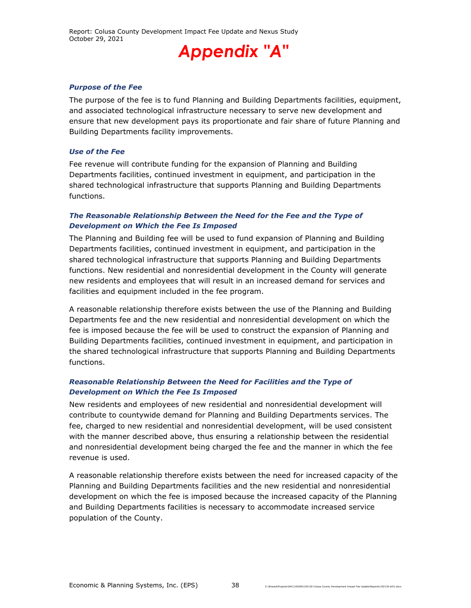Report: Colusa County Development Impact Fee Update and Nexus Study October 29, 2021



#### *Purpose of the Fee*

The purpose of the fee is to fund Planning and Building Departments facilities, equipment, and associated technological infrastructure necessary to serve new development and ensure that new development pays its proportionate and fair share of future Planning and Building Departments facility improvements.

#### *Use of the Fee*

Fee revenue will contribute funding for the expansion of Planning and Building Departments facilities, continued investment in equipment, and participation in the shared technological infrastructure that supports Planning and Building Departments functions.

#### *The Reasonable Relationship Between the Need for the Fee and the Type of Development on Which the Fee Is Imposed*

The Planning and Building fee will be used to fund expansion of Planning and Building Departments facilities, continued investment in equipment, and participation in the shared technological infrastructure that supports Planning and Building Departments functions. New residential and nonresidential development in the County will generate new residents and employees that will result in an increased demand for services and facilities and equipment included in the fee program.

A reasonable relationship therefore exists between the use of the Planning and Building Departments fee and the new residential and nonresidential development on which the fee is imposed because the fee will be used to construct the expansion of Planning and Building Departments facilities, continued investment in equipment, and participation in the shared technological infrastructure that supports Planning and Building Departments functions.

#### *Reasonable Relationship Between the Need for Facilities and the Type of Development on Which the Fee Is Imposed*

New residents and employees of new residential and nonresidential development will contribute to countywide demand for Planning and Building Departments services. The fee, charged to new residential and nonresidential development, will be used consistent with the manner described above, thus ensuring a relationship between the residential and nonresidential development being charged the fee and the manner in which the fee revenue is used.

A reasonable relationship therefore exists between the need for increased capacity of the Planning and Building Departments facilities and the new residential and nonresidential development on which the fee is imposed because the increased capacity of the Planning and Building Departments facilities is necessary to accommodate increased service population of the County.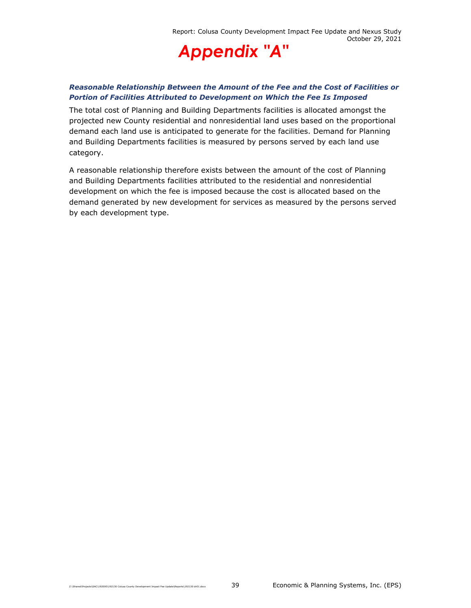

## *Reasonable Relationship Between the Amount of the Fee and the Cost of Facilities or Portion of Facilities Attributed to Development on Which the Fee Is Imposed*

The total cost of Planning and Building Departments facilities is allocated amongst the projected new County residential and nonresidential land uses based on the proportional demand each land use is anticipated to generate for the facilities. Demand for Planning and Building Departments facilities is measured by persons served by each land use category.

A reasonable relationship therefore exists between the amount of the cost of Planning and Building Departments facilities attributed to the residential and nonresidential development on which the fee is imposed because the cost is allocated based on the demand generated by new development for services as measured by the persons served by each development type.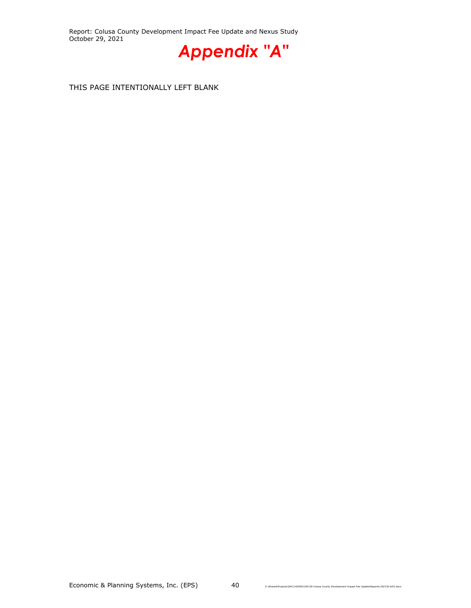Report: Colusa County Development Impact Fee Update and Nexus Study October 29, 2021



THIS PAGE INTENTIONALLY LEFT BLANK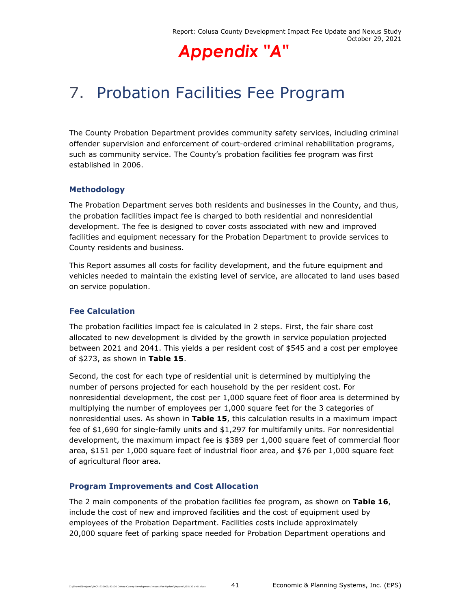## 7. Probation Facilities Fee Program

The County Probation Department provides community safety services, including criminal offender supervision and enforcement of court-ordered criminal rehabilitation programs, such as community service. The County's probation facilities fee program was first established in 2006.

## **Methodology**

The Probation Department serves both residents and businesses in the County, and thus, the probation facilities impact fee is charged to both residential and nonresidential development. The fee is designed to cover costs associated with new and improved facilities and equipment necessary for the Probation Department to provide services to County residents and business.

This Report assumes all costs for facility development, and the future equipment and vehicles needed to maintain the existing level of service, are allocated to land uses based on service population.

## **Fee Calculation**

The probation facilities impact fee is calculated in 2 steps. First, the fair share cost allocated to new development is divided by the growth in service population projected between 2021 and 2041. This yields a per resident cost of \$545 and a cost per employee of \$273, as shown in **Table 15**.

Second, the cost for each type of residential unit is determined by multiplying the number of persons projected for each household by the per resident cost. For nonresidential development, the cost per 1,000 square feet of floor area is determined by multiplying the number of employees per 1,000 square feet for the 3 categories of nonresidential uses. As shown in **Table 15**, this calculation results in a maximum impact fee of \$1,690 for single-family units and \$1,297 for multifamily units. For nonresidential development, the maximum impact fee is \$389 per 1,000 square feet of commercial floor area, \$151 per 1,000 square feet of industrial floor area, and \$76 per 1,000 square feet of agricultural floor area.

## **Program Improvements and Cost Allocation**

The 2 main components of the probation facilities fee program, as shown on **Table 16**, include the cost of new and improved facilities and the cost of equipment used by employees of the Probation Department. Facilities costs include approximately 20,000 square feet of parking space needed for Probation Department operations and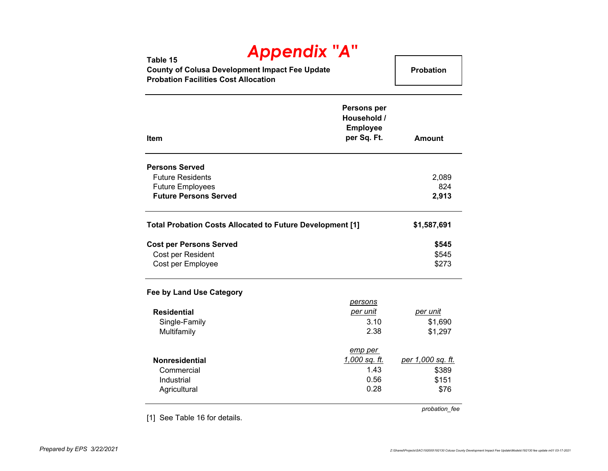| IPP<br>Table 15                                |                  |
|------------------------------------------------|------------------|
| County of Colusa Development Impact Fee Update | <b>Probation</b> |
| <b>Probation Facilities Cost Allocation</b>    |                  |

| <b>Item</b>                                                                                                 | <b>Persons per</b><br>Household /<br><b>Employee</b><br>per Sq. Ft. | Amount                                      |
|-------------------------------------------------------------------------------------------------------------|---------------------------------------------------------------------|---------------------------------------------|
| <b>Persons Served</b><br><b>Future Residents</b><br><b>Future Employees</b><br><b>Future Persons Served</b> |                                                                     | 2,089<br>824<br>2,913                       |
| Total Probation Costs Allocated to Future Development [1]                                                   |                                                                     | \$1,587,691                                 |
| <b>Cost per Persons Served</b><br>Cost per Resident<br>Cost per Employee                                    |                                                                     | \$545<br>\$545<br>\$273                     |
| Fee by Land Use Category<br><b>Residential</b><br>Single-Family<br>Multifamily                              | persons<br>per unit<br>3.10<br>2.38                                 | per unit<br>\$1,690<br>\$1,297              |
| <b>Nonresidential</b><br>Commercial<br>Industrial<br>Agricultural                                           | emp per<br>1,000 sq. ft.<br>1.43<br>0.56<br>0.28                    | per 1,000 sq. ft.<br>\$389<br>\$151<br>\$76 |

[1] See Table 16 for details.

*probation\_fee*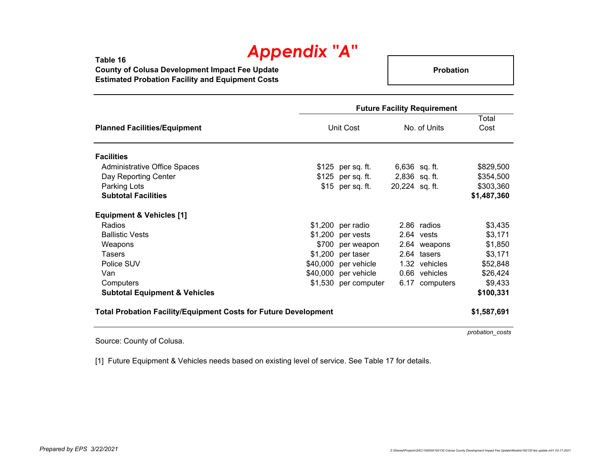**Table 16 County of Colusa Development Impact Fee Update Estimated Probation Facility and Equipment Costs**

**Probation**

|                                                                        | <b>Future Facility Requirement</b> |                      |                 |                |               |
|------------------------------------------------------------------------|------------------------------------|----------------------|-----------------|----------------|---------------|
| <b>Planned Facilities/Equipment</b>                                    |                                    | Unit Cost            |                 | No. of Units   | Total<br>Cost |
| <b>Facilities</b>                                                      |                                    |                      |                 |                |               |
| <b>Administrative Office Spaces</b>                                    |                                    | $$125$ per sq. ft.   | $6,636$ sq. ft. |                | \$829,500     |
| Day Reporting Center                                                   |                                    | \$125 per sq. ft.    | 2,836 sq. ft.   |                | \$354,500     |
| Parking Lots                                                           |                                    | \$15 per sq. ft.     | 20,224 sq. ft.  |                | \$303,360     |
| <b>Subtotal Facilities</b>                                             |                                    |                      |                 |                | \$1,487,360   |
| <b>Equipment &amp; Vehicles [1]</b>                                    |                                    |                      |                 |                |               |
| Radios                                                                 | \$1,200                            | per radio            |                 | 2.86 radios    | \$3,435       |
| <b>Ballistic Vests</b>                                                 | \$1,200                            | per vests            |                 | 2.64 vests     | \$3,171       |
| Weapons                                                                | \$700                              | per weapon           |                 | 2.64 weapons   | \$1,850       |
| <b>Tasers</b>                                                          | \$1,200                            | per taser            |                 | 2.64 tasers    | \$3,171       |
| Police SUV                                                             | \$40,000                           | per vehicle          |                 | 1.32 vehicles  | \$52,848      |
| Van                                                                    | \$40,000                           | per vehicle          |                 | 0.66 vehicles  | \$26,424      |
| Computers                                                              |                                    | \$1,530 per computer |                 | 6.17 computers | \$9,433       |
| <b>Subtotal Equipment &amp; Vehicles</b>                               |                                    |                      |                 |                | \$100,331     |
| <b>Total Probation Facility/Equipment Costs for Future Development</b> |                                    |                      |                 |                | \$1,587,691   |

*probation\_costs*

Source: County of Colusa.

[1] Future Equipment & Vehicles needs based on existing level of service. See Table 17 for details.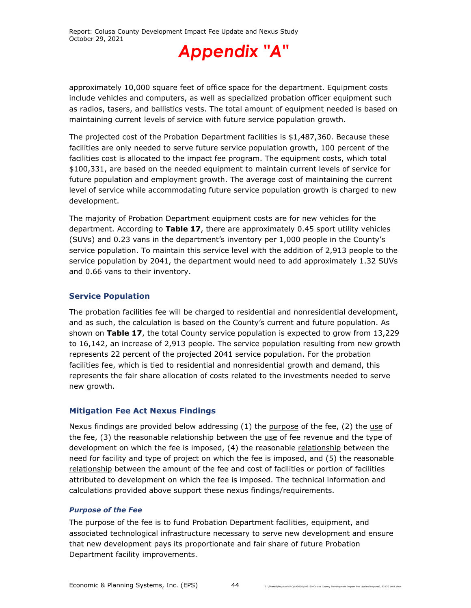

approximately 10,000 square feet of office space for the department. Equipment costs include vehicles and computers, as well as specialized probation officer equipment such as radios, tasers, and ballistics vests. The total amount of equipment needed is based on maintaining current levels of service with future service population growth.

The projected cost of the Probation Department facilities is \$1,487,360. Because these facilities are only needed to serve future service population growth, 100 percent of the facilities cost is allocated to the impact fee program. The equipment costs, which total \$100,331, are based on the needed equipment to maintain current levels of service for future population and employment growth. The average cost of maintaining the current level of service while accommodating future service population growth is charged to new development.

The majority of Probation Department equipment costs are for new vehicles for the department. According to **Table 17**, there are approximately 0.45 sport utility vehicles (SUVs) and 0.23 vans in the department's inventory per 1,000 people in the County's service population. To maintain this service level with the addition of 2,913 people to the service population by 2041, the department would need to add approximately 1.32 SUVs and 0.66 vans to their inventory.

## **Service Population**

The probation facilities fee will be charged to residential and nonresidential development, and as such, the calculation is based on the County's current and future population. As shown on **Table 17**, the total County service population is expected to grow from 13,229 to 16,142, an increase of 2,913 people. The service population resulting from new growth represents 22 percent of the projected 2041 service population. For the probation facilities fee, which is tied to residential and nonresidential growth and demand, this represents the fair share allocation of costs related to the investments needed to serve new growth.

## **Mitigation Fee Act Nexus Findings**

Nexus findings are provided below addressing  $(1)$  the purpose of the fee,  $(2)$  the use of the fee, (3) the reasonable relationship between the use of fee revenue and the type of development on which the fee is imposed, (4) the reasonable relationship between the need for facility and type of project on which the fee is imposed, and (5) the reasonable relationship between the amount of the fee and cost of facilities or portion of facilities attributed to development on which the fee is imposed. The technical information and calculations provided above support these nexus findings/requirements.

## *Purpose of the Fee*

The purpose of the fee is to fund Probation Department facilities, equipment, and associated technological infrastructure necessary to serve new development and ensure that new development pays its proportionate and fair share of future Probation Department facility improvements.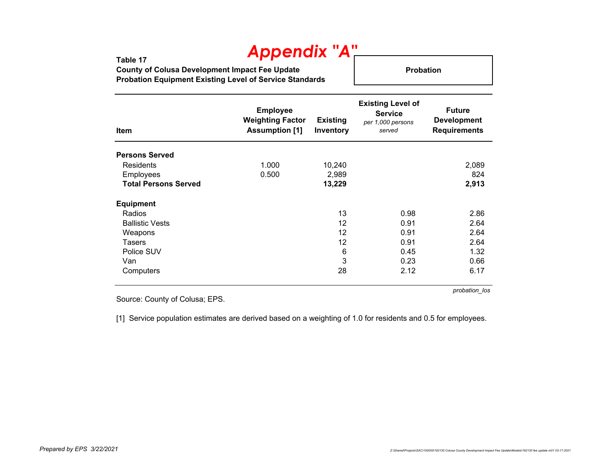**Table 17 County of Colusa Development Impact Fee Update Probation Equipment Existing Level of Service Standards**

**Probation**

| Item                        | <b>Employee</b><br><b>Weighting Factor</b><br><b>Assumption [1]</b> | <b>Existing</b><br>Inventory | <b>Existing Level of</b><br><b>Service</b><br>per 1,000 persons<br>served | <b>Future</b><br><b>Development</b><br><b>Requirements</b> |
|-----------------------------|---------------------------------------------------------------------|------------------------------|---------------------------------------------------------------------------|------------------------------------------------------------|
| <b>Persons Served</b>       |                                                                     |                              |                                                                           |                                                            |
| Residents                   | 1.000                                                               | 10,240                       |                                                                           | 2,089                                                      |
| Employees                   | 0.500                                                               | 2,989                        |                                                                           | 824                                                        |
| <b>Total Persons Served</b> |                                                                     | 13,229                       |                                                                           | 2,913                                                      |
| <b>Equipment</b>            |                                                                     |                              |                                                                           |                                                            |
| Radios                      |                                                                     | 13                           | 0.98                                                                      | 2.86                                                       |
| <b>Ballistic Vests</b>      |                                                                     | 12                           | 0.91                                                                      | 2.64                                                       |
| Weapons                     |                                                                     | 12                           | 0.91                                                                      | 2.64                                                       |
| Tasers                      |                                                                     | 12                           | 0.91                                                                      | 2.64                                                       |
| Police SUV                  |                                                                     | 6                            | 0.45                                                                      | 1.32                                                       |
| Van                         |                                                                     | 3                            | 0.23                                                                      | 0.66                                                       |
| Computers                   |                                                                     | 28                           | 2.12                                                                      | 6.17                                                       |

*probation\_los*

Source: County of Colusa; EPS.

[1] Service population estimates are derived based on a weighting of 1.0 for residents and 0.5 for employees.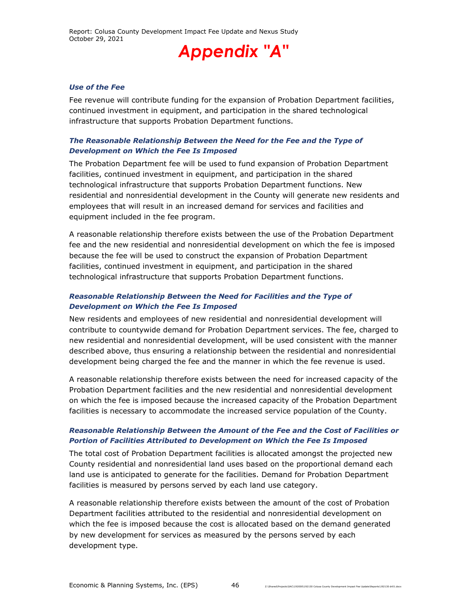#### *Use of the Fee*

Fee revenue will contribute funding for the expansion of Probation Department facilities, continued investment in equipment, and participation in the shared technological infrastructure that supports Probation Department functions.

### *The Reasonable Relationship Between the Need for the Fee and the Type of Development on Which the Fee Is Imposed*

The Probation Department fee will be used to fund expansion of Probation Department facilities, continued investment in equipment, and participation in the shared technological infrastructure that supports Probation Department functions. New residential and nonresidential development in the County will generate new residents and employees that will result in an increased demand for services and facilities and equipment included in the fee program.

A reasonable relationship therefore exists between the use of the Probation Department fee and the new residential and nonresidential development on which the fee is imposed because the fee will be used to construct the expansion of Probation Department facilities, continued investment in equipment, and participation in the shared technological infrastructure that supports Probation Department functions.

### *Reasonable Relationship Between the Need for Facilities and the Type of Development on Which the Fee Is Imposed*

New residents and employees of new residential and nonresidential development will contribute to countywide demand for Probation Department services. The fee, charged to new residential and nonresidential development, will be used consistent with the manner described above, thus ensuring a relationship between the residential and nonresidential development being charged the fee and the manner in which the fee revenue is used.

A reasonable relationship therefore exists between the need for increased capacity of the Probation Department facilities and the new residential and nonresidential development on which the fee is imposed because the increased capacity of the Probation Department facilities is necessary to accommodate the increased service population of the County.

#### *Reasonable Relationship Between the Amount of the Fee and the Cost of Facilities or Portion of Facilities Attributed to Development on Which the Fee Is Imposed*

The total cost of Probation Department facilities is allocated amongst the projected new County residential and nonresidential land uses based on the proportional demand each land use is anticipated to generate for the facilities. Demand for Probation Department facilities is measured by persons served by each land use category.

A reasonable relationship therefore exists between the amount of the cost of Probation Department facilities attributed to the residential and nonresidential development on which the fee is imposed because the cost is allocated based on the demand generated by new development for services as measured by the persons served by each development type.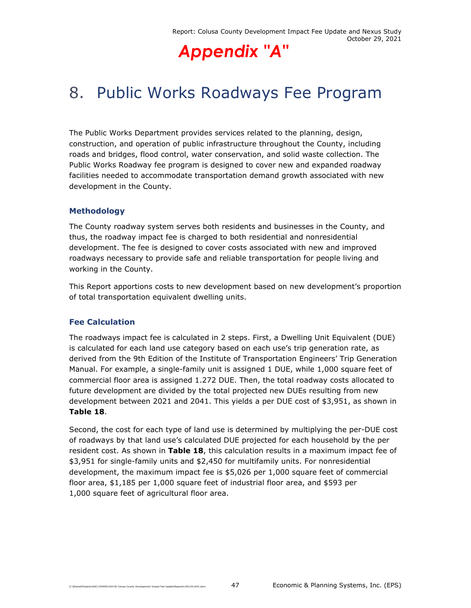## 8. Public Works Roadways Fee Program

The Public Works Department provides services related to the planning, design, construction, and operation of public infrastructure throughout the County, including roads and bridges, flood control, water conservation, and solid waste collection. The Public Works Roadway fee program is designed to cover new and expanded roadway facilities needed to accommodate transportation demand growth associated with new development in the County.

## **Methodology**

The County roadway system serves both residents and businesses in the County, and thus, the roadway impact fee is charged to both residential and nonresidential development. The fee is designed to cover costs associated with new and improved roadways necessary to provide safe and reliable transportation for people living and working in the County.

This Report apportions costs to new development based on new development's proportion of total transportation equivalent dwelling units.

## **Fee Calculation**

The roadways impact fee is calculated in 2 steps. First, a Dwelling Unit Equivalent (DUE) is calculated for each land use category based on each use's trip generation rate, as derived from the 9th Edition of the Institute of Transportation Engineers' Trip Generation Manual. For example, a single-family unit is assigned 1 DUE, while 1,000 square feet of commercial floor area is assigned 1.272 DUE. Then, the total roadway costs allocated to future development are divided by the total projected new DUEs resulting from new development between 2021 and 2041. This yields a per DUE cost of \$3,951, as shown in **Table 18**.

Second, the cost for each type of land use is determined by multiplying the per-DUE cost of roadways by that land use's calculated DUE projected for each household by the per resident cost. As shown in **Table 18**, this calculation results in a maximum impact fee of \$3,951 for single-family units and \$2,450 for multifamily units. For nonresidential development, the maximum impact fee is \$5,026 per 1,000 square feet of commercial floor area, \$1,185 per 1,000 square feet of industrial floor area, and \$593 per 1,000 square feet of agricultural floor area.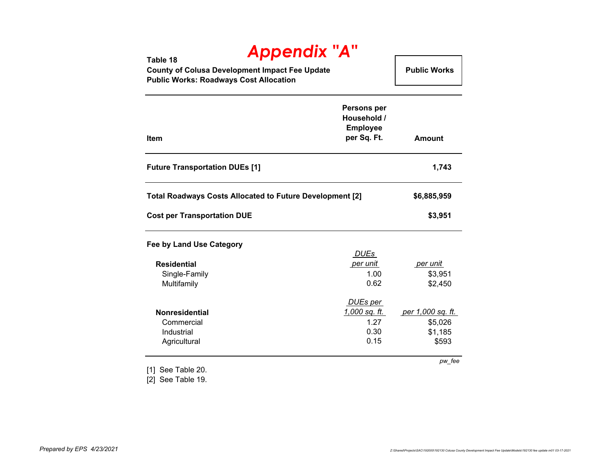**Table 18 County of Colusa Development Impact Fee Update Public Works: Roadways Cost Allocation Public Works** 

| <b>Item</b>                                                     | Persons per<br>Household /<br><b>Employee</b><br>per Sq. Ft. | <b>Amount</b>     |
|-----------------------------------------------------------------|--------------------------------------------------------------|-------------------|
| <b>Future Transportation DUEs [1]</b>                           |                                                              | 1,743             |
| <b>Total Roadways Costs Allocated to Future Development [2]</b> |                                                              | \$6,885,959       |
| <b>Cost per Transportation DUE</b>                              |                                                              | \$3,951           |
| Fee by Land Use Category                                        |                                                              |                   |
|                                                                 | DUEs                                                         |                   |
| <b>Residential</b>                                              | per unit                                                     | per unit          |
| Single-Family                                                   | 1.00                                                         | \$3,951           |
| Multifamily                                                     | 0.62                                                         | \$2,450           |
|                                                                 | DUEs per                                                     |                   |
| <b>Nonresidential</b>                                           | <u>1,000 sq. ft. </u>                                        | per 1,000 sq. ft. |
| Commercial                                                      | 1.27                                                         | \$5,026           |
| Industrial                                                      | 0.30                                                         | \$1,185           |
| Agricultural                                                    | 0.15                                                         | \$593             |
|                                                                 |                                                              | pw_fee            |

[1] See Table 20.

[2] See Table 19.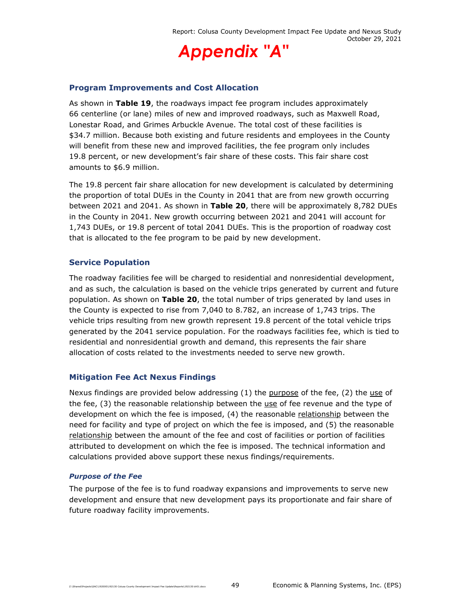

### **Program Improvements and Cost Allocation**

As shown in **Table 19**, the roadways impact fee program includes approximately 66 centerline (or lane) miles of new and improved roadways, such as Maxwell Road, Lonestar Road, and Grimes Arbuckle Avenue. The total cost of these facilities is \$34.7 million. Because both existing and future residents and employees in the County will benefit from these new and improved facilities, the fee program only includes 19.8 percent, or new development's fair share of these costs. This fair share cost amounts to \$6.9 million.

The 19.8 percent fair share allocation for new development is calculated by determining the proportion of total DUEs in the County in 2041 that are from new growth occurring between 2021 and 2041. As shown in **Table 20**, there will be approximately 8,782 DUEs in the County in 2041. New growth occurring between 2021 and 2041 will account for 1,743 DUEs, or 19.8 percent of total 2041 DUEs. This is the proportion of roadway cost that is allocated to the fee program to be paid by new development.

#### **Service Population**

The roadway facilities fee will be charged to residential and nonresidential development, and as such, the calculation is based on the vehicle trips generated by current and future population. As shown on **Table 20**, the total number of trips generated by land uses in the County is expected to rise from 7,040 to 8.782, an increase of 1,743 trips. The vehicle trips resulting from new growth represent 19.8 percent of the total vehicle trips generated by the 2041 service population. For the roadways facilities fee, which is tied to residential and nonresidential growth and demand, this represents the fair share allocation of costs related to the investments needed to serve new growth.

## **Mitigation Fee Act Nexus Findings**

Nexus findings are provided below addressing  $(1)$  the purpose of the fee,  $(2)$  the use of the fee, (3) the reasonable relationship between the use of fee revenue and the type of development on which the fee is imposed, (4) the reasonable relationship between the need for facility and type of project on which the fee is imposed, and (5) the reasonable relationship between the amount of the fee and cost of facilities or portion of facilities attributed to development on which the fee is imposed. The technical information and calculations provided above support these nexus findings/requirements.

#### *Purpose of the Fee*

The purpose of the fee is to fund roadway expansions and improvements to serve new development and ensure that new development pays its proportionate and fair share of future roadway facility improvements.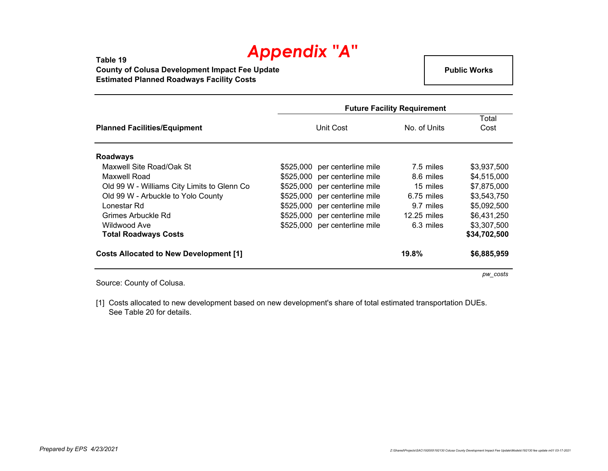**Table 19 County of Colusa Development Impact Fee Update Estimated Planned Roadways Facility Costs**

**Public Works**

|                                               | <b>Future Facility Requirement</b> |              |               |  |  |
|-----------------------------------------------|------------------------------------|--------------|---------------|--|--|
| <b>Planned Facilities/Equipment</b>           | Unit Cost                          | No. of Units | Total<br>Cost |  |  |
| <b>Roadways</b>                               |                                    |              |               |  |  |
| Maxwell Site Road/Oak St                      | \$525,000 per centerline mile      | 7.5 miles    | \$3,937,500   |  |  |
| Maxwell Road                                  | \$525,000 per centerline mile      | 8.6 miles    | \$4,515,000   |  |  |
| Old 99 W - Williams City Limits to Glenn Co   | \$525,000 per centerline mile      | 15 miles     | \$7,875,000   |  |  |
| Old 99 W - Arbuckle to Yolo County            | \$525,000 per centerline mile      | $6.75$ miles | \$3,543,750   |  |  |
| Lonestar Rd                                   | per centerline mile<br>\$525,000   | 9.7 miles    | \$5,092,500   |  |  |
| Grimes Arbuckle Rd                            | \$525,000 per centerline mile      | 12.25 miles  | \$6,431,250   |  |  |
| Wildwood Ave                                  | \$525,000 per centerline mile      | 6.3 miles    | \$3,307,500   |  |  |
| <b>Total Roadways Costs</b>                   |                                    |              | \$34,702,500  |  |  |
| <b>Costs Allocated to New Development [1]</b> |                                    | 19.8%        | \$6,885,959   |  |  |

Source: County of Colusa.

[1] Costs allocated to new development based on new development's share of total estimated transportation DUEs. See Table 20 for details.

*pw\_costs*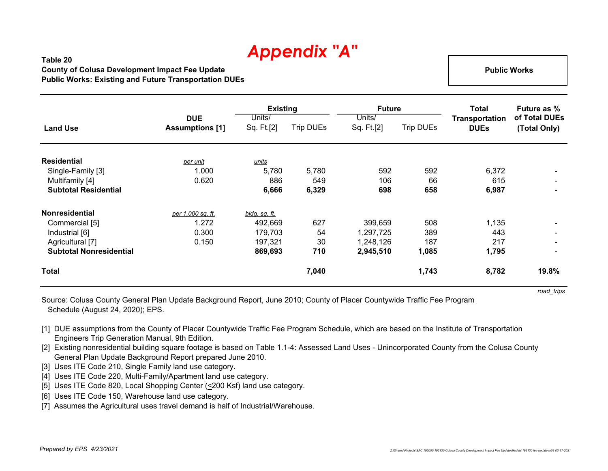## **Table 20County of Colusa Development Impact Fee Update Public Works: Existing and Future Transportation DUEs**

 **Public Works** 

|                                |                                      | <b>Existing</b>      |                  | <b>Future</b>        |                  | Total                                | <b>Future as %</b>            |
|--------------------------------|--------------------------------------|----------------------|------------------|----------------------|------------------|--------------------------------------|-------------------------------|
| <b>Land Use</b>                | <b>DUE</b><br><b>Assumptions [1]</b> | Units/<br>Sq. Ft.[2] | <b>Trip DUEs</b> | Units/<br>Sq. Ft.[2] | <b>Trip DUEs</b> | <b>Transportation</b><br><b>DUEs</b> | of Total DUEs<br>(Total Only) |
| <b>Residential</b>             | per unit                             | units                |                  |                      |                  |                                      |                               |
| Single-Family [3]              | 1.000                                | 5,780                | 5,780            | 592                  | 592              | 6,372                                | $\sim$                        |
| Multifamily [4]                | 0.620                                | 886                  | 549              | 106                  | 66               | 615                                  | $\sim$                        |
| <b>Subtotal Residential</b>    |                                      | 6,666                | 6,329            | 698                  | 658              | 6,987                                | $\blacksquare$                |
| <b>Nonresidential</b>          | per 1,000 sq. ft.                    | bldg. sq. ft.        |                  |                      |                  |                                      |                               |
| Commercial [5]                 | 1.272                                | 492,669              | 627              | 399,659              | 508              | 1,135                                |                               |
| Industrial [6]                 | 0.300                                | 179,703              | 54               | 1,297,725            | 389              | 443                                  | $\sim$                        |
| Agricultural [7]               | 0.150                                | 197,321              | 30               | 1,248,126            | 187              | 217                                  | $\sim$                        |
| <b>Subtotal Nonresidential</b> |                                      | 869,693              | 710              | 2,945,510            | 1,085            | 1,795                                | $\blacksquare$                |
| <b>Total</b>                   |                                      |                      | 7,040            |                      | 1,743            | 8,782                                | 19.8%                         |

*road\_trips*

Source: Colusa County General Plan Update Background Report, June 2010; County of Placer Countywide Traffic Fee Program Schedule (August 24, 2020); EPS.

- [1] DUE assumptions from the County of Placer Countywide Traffic Fee Program Schedule, which are based on the Institute of Transportation Engineers Trip Generation Manual, 9th Edition.
- [2] Existing nonresidential building square footage is based on Table 1.1-4: Assessed Land Uses Unincorporated County from the Colusa County General Plan Update Background Report prepared June 2010.
- [3] Uses ITE Code 210, Single Family land use category.
- [4] Uses ITE Code 220, Multi-Family/Apartment land use category.
- [5] Uses ITE Code 820, Local Shopping Center (<200 Ksf) land use category.
- [6] Uses ITE Code 150, Warehouse land use category.
- [7] Assumes the Agricultural uses travel demand is half of Industrial/Warehouse.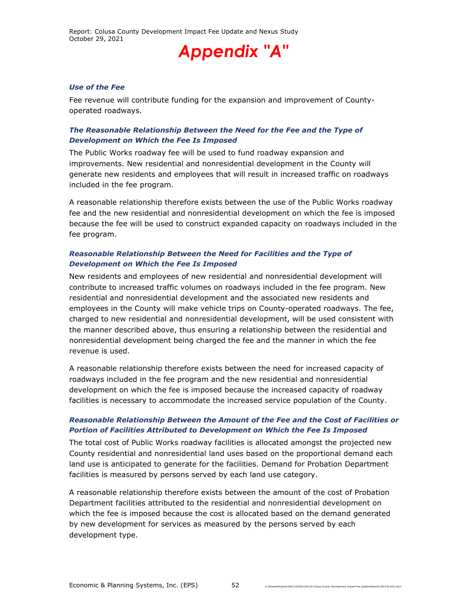#### *Use of the Fee*

Fee revenue will contribute funding for the expansion and improvement of Countyoperated roadways.

#### *The Reasonable Relationship Between the Need for the Fee and the Type of Development on Which the Fee Is Imposed*

The Public Works roadway fee will be used to fund roadway expansion and improvements. New residential and nonresidential development in the County will generate new residents and employees that will result in increased traffic on roadways included in the fee program.

A reasonable relationship therefore exists between the use of the Public Works roadway fee and the new residential and nonresidential development on which the fee is imposed because the fee will be used to construct expanded capacity on roadways included in the fee program.

### *Reasonable Relationship Between the Need for Facilities and the Type of Development on Which the Fee Is Imposed*

New residents and employees of new residential and nonresidential development will contribute to increased traffic volumes on roadways included in the fee program. New residential and nonresidential development and the associated new residents and employees in the County will make vehicle trips on County-operated roadways. The fee, charged to new residential and nonresidential development, will be used consistent with the manner described above, thus ensuring a relationship between the residential and nonresidential development being charged the fee and the manner in which the fee revenue is used.

A reasonable relationship therefore exists between the need for increased capacity of roadways included in the fee program and the new residential and nonresidential development on which the fee is imposed because the increased capacity of roadway facilities is necessary to accommodate the increased service population of the County.

## *Reasonable Relationship Between the Amount of the Fee and the Cost of Facilities or Portion of Facilities Attributed to Development on Which the Fee Is Imposed*

The total cost of Public Works roadway facilities is allocated amongst the projected new County residential and nonresidential land uses based on the proportional demand each land use is anticipated to generate for the facilities. Demand for Probation Department facilities is measured by persons served by each land use category.

A reasonable relationship therefore exists between the amount of the cost of Probation Department facilities attributed to the residential and nonresidential development on which the fee is imposed because the cost is allocated based on the demand generated by new development for services as measured by the persons served by each development type.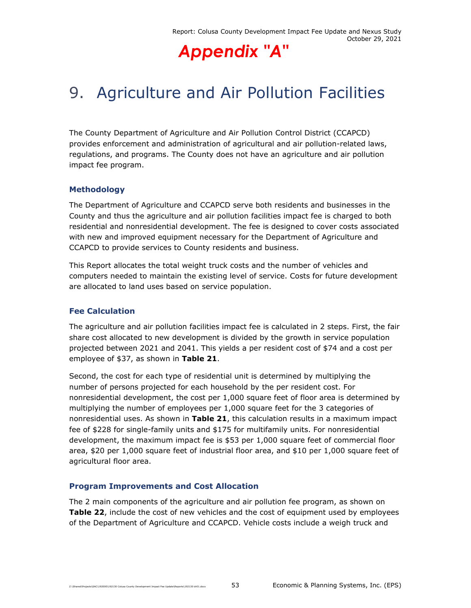

## 9. Agriculture and Air Pollution Facilities

The County Department of Agriculture and Air Pollution Control District (CCAPCD) provides enforcement and administration of agricultural and air pollution-related laws, regulations, and programs. The County does not have an agriculture and air pollution impact fee program.

## **Methodology**

The Department of Agriculture and CCAPCD serve both residents and businesses in the County and thus the agriculture and air pollution facilities impact fee is charged to both residential and nonresidential development. The fee is designed to cover costs associated with new and improved equipment necessary for the Department of Agriculture and CCAPCD to provide services to County residents and business.

This Report allocates the total weight truck costs and the number of vehicles and computers needed to maintain the existing level of service. Costs for future development are allocated to land uses based on service population.

## **Fee Calculation**

The agriculture and air pollution facilities impact fee is calculated in 2 steps. First, the fair share cost allocated to new development is divided by the growth in service population projected between 2021 and 2041. This yields a per resident cost of \$74 and a cost per employee of \$37, as shown in **Table 21**.

Second, the cost for each type of residential unit is determined by multiplying the number of persons projected for each household by the per resident cost. For nonresidential development, the cost per 1,000 square feet of floor area is determined by multiplying the number of employees per 1,000 square feet for the 3 categories of nonresidential uses. As shown in **Table 21**, this calculation results in a maximum impact fee of \$228 for single-family units and \$175 for multifamily units. For nonresidential development, the maximum impact fee is \$53 per 1,000 square feet of commercial floor area, \$20 per 1,000 square feet of industrial floor area, and \$10 per 1,000 square feet of agricultural floor area.

## **Program Improvements and Cost Allocation**

The 2 main components of the agriculture and air pollution fee program, as shown on **Table 22**, include the cost of new vehicles and the cost of equipment used by employees of the Department of Agriculture and CCAPCD. Vehicle costs include a weigh truck and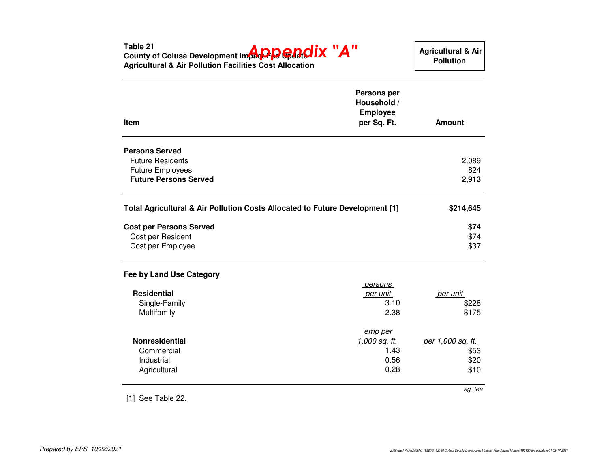Table 21<br>County of Colusa Development Impac**t PC GAOIX "A" Agricultural & Air Pollution Facilities Cost Allocation ItemPersons per Household / Employee per Sq. Ft. AmountPersons Served** Future Residents $\sim$  2,089 824 Future Employees $824$ 2,913 **Future Persons Served 2,913 Total Agricultural & Air Pollution Costs Allocated to Future Development [1] \$214,645Cost per Persons Served \$74** \$74 Cost per Residentt to the contract of the contract of the contract of the contract of the contract of the contract of the contract of the contract of the contract of the contract of the contract of the contract of the contract of the contr \$37 Cost per Employee $e$  \$37 **Fee by Land Use Category**  persons **Residential** per unit per unit per unit per unit per unit per unit per unit between  $p$ Single-Familyy and  $3.10$  \$228 \$175 Multifamilyy 2.38 \$175 **Nonresidential** emp per 1,000 sq. ft. per 1,000 sq. ft. Commercial 1.43 \$53\$20 Industrial 0.56 \$20\$10 **Agricultural**  $\frac{1}{2}$  by  $\frac{1}{2}$  by  $\frac{1}{2}$  by  $\frac{1}{2}$  by  $\frac{1}{2}$  by  $\frac{1}{2}$  by  $\frac{1}{2}$  by  $\frac{1}{2}$   $\frac{1}{2}$  by  $\frac{1}{2}$   $\frac{1}{2}$   $\frac{1}{2}$   $\frac{1}{2}$   $\frac{1}{2}$   $\frac{1}{2}$   $\frac{1}{2}$   $\frac{1}{2}$   $\frac{1}{2}$   $\frac{1}{2}$   $\frac{1}{2$ ag\_fee[1] See Table 22.  **Agricultural & Air Pollution**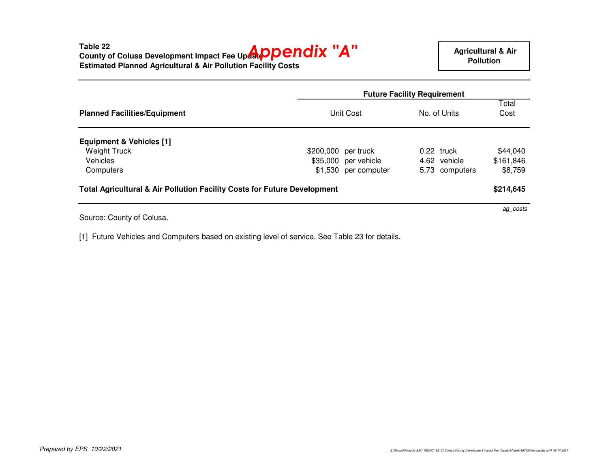|                                                                                     |                      | <b>Future Facility Requirement</b> |               |  |  |
|-------------------------------------------------------------------------------------|----------------------|------------------------------------|---------------|--|--|
| <b>Planned Facilities/Equipment</b>                                                 | Unit Cost            |                                    | Total<br>Cost |  |  |
| <b>Equipment &amp; Vehicles [1]</b>                                                 |                      |                                    |               |  |  |
| Weight Truck                                                                        | \$200,000 per truck  | 0.22 truck                         | \$44.040      |  |  |
| <b>Vehicles</b>                                                                     | \$35,000 per vehicle | 4.62 vehicle                       | \$161,846     |  |  |
| Computers                                                                           | \$1,530 per computer | 5.73 computers                     | \$8,759       |  |  |
| <b>Total Agricultural &amp; Air Pollution Facility Costs for Future Development</b> |                      |                                    | \$214,645     |  |  |
|                                                                                     |                      |                                    | ag_costs      |  |  |

Source: County of Colusa.

[1] Future Vehicles and Computers based on existing level of service. See Table 23 for details.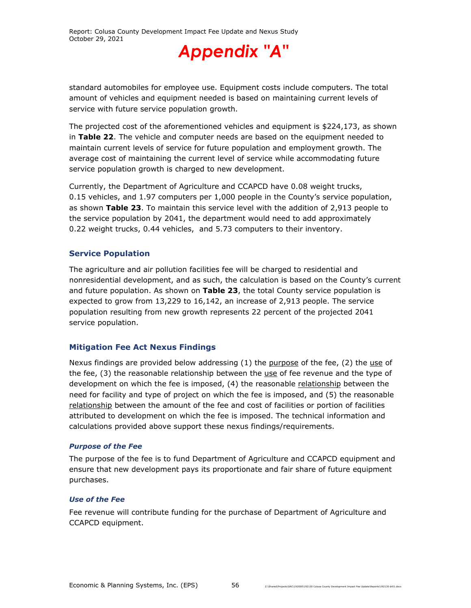

standard automobiles for employee use. Equipment costs include computers. The total amount of vehicles and equipment needed is based on maintaining current levels of service with future service population growth.

The projected cost of the aforementioned vehicles and equipment is \$224,173, as shown in **Table 22**. The vehicle and computer needs are based on the equipment needed to maintain current levels of service for future population and employment growth. The average cost of maintaining the current level of service while accommodating future service population growth is charged to new development.

Currently, the Department of Agriculture and CCAPCD have 0.08 weight trucks, 0.15 vehicles, and 1.97 computers per 1,000 people in the County's service population, as shown **Table 23**. To maintain this service level with the addition of 2,913 people to the service population by 2041, the department would need to add approximately 0.22 weight trucks, 0.44 vehicles, and 5.73 computers to their inventory.

## **Service Population**

The agriculture and air pollution facilities fee will be charged to residential and nonresidential development, and as such, the calculation is based on the County's current and future population. As shown on **Table 23**, the total County service population is expected to grow from 13,229 to 16,142, an increase of 2,913 people. The service population resulting from new growth represents 22 percent of the projected 2041 service population.

## **Mitigation Fee Act Nexus Findings**

Nexus findings are provided below addressing  $(1)$  the purpose of the fee,  $(2)$  the use of the fee,  $(3)$  the reasonable relationship between the  $use$  of fee revenue and the type of</u> development on which the fee is imposed, (4) the reasonable relationship between the need for facility and type of project on which the fee is imposed, and (5) the reasonable relationship between the amount of the fee and cost of facilities or portion of facilities attributed to development on which the fee is imposed. The technical information and calculations provided above support these nexus findings/requirements.

## *Purpose of the Fee*

The purpose of the fee is to fund Department of Agriculture and CCAPCD equipment and ensure that new development pays its proportionate and fair share of future equipment purchases.

#### *Use of the Fee*

Fee revenue will contribute funding for the purchase of Department of Agriculture and CCAPCD equipment.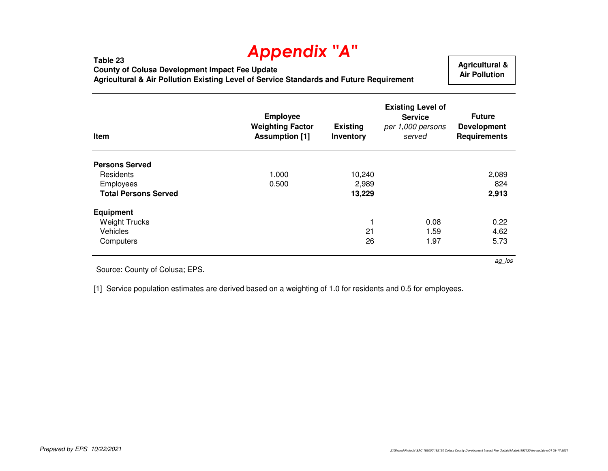**County of Colusa Development Impact Fee Update**

**Table 23**

**Agricultural & Air Pollution Existing Level of Service Standards and Future Requirement**

 **Agricultural & Air Pollution** 

ag\_los

| Item                        | <b>Employee</b><br><b>Weighting Factor</b><br><b>Assumption [1]</b> | <b>Existing</b><br>Inventory | <b>Existing Level of</b><br><b>Service</b><br>per 1,000 persons<br>served | <b>Future</b><br><b>Development</b><br><b>Requirements</b> |
|-----------------------------|---------------------------------------------------------------------|------------------------------|---------------------------------------------------------------------------|------------------------------------------------------------|
| <b>Persons Served</b>       |                                                                     |                              |                                                                           |                                                            |
| Residents                   | 1.000                                                               | 10,240                       |                                                                           | 2,089                                                      |
| Employees                   | 0.500                                                               | 2,989                        |                                                                           | 824                                                        |
| <b>Total Persons Served</b> |                                                                     | 13,229                       |                                                                           | 2,913                                                      |
| <b>Equipment</b>            |                                                                     |                              |                                                                           |                                                            |
| <b>Weight Trucks</b>        |                                                                     |                              | 0.08                                                                      | 0.22                                                       |
| Vehicles                    |                                                                     | 21                           | 1.59                                                                      | 4.62                                                       |
| Computers                   |                                                                     | 26                           | 1.97                                                                      | 5.73                                                       |

Source: County of Colusa; EPS.

[1] Service population estimates are derived based on a weighting of 1.0 for residents and 0.5 for employees.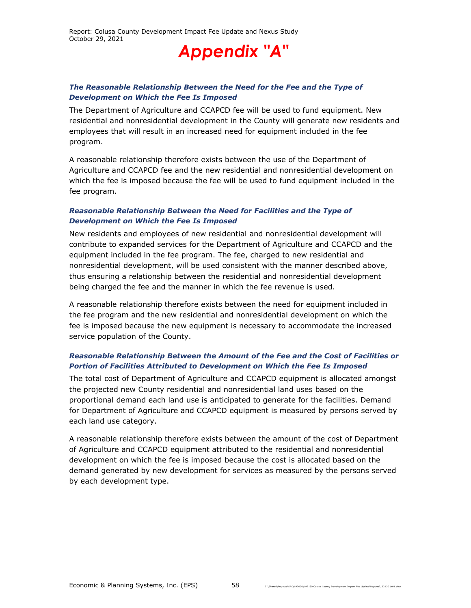## *The Reasonable Relationship Between the Need for the Fee and the Type of Development on Which the Fee Is Imposed*

The Department of Agriculture and CCAPCD fee will be used to fund equipment. New residential and nonresidential development in the County will generate new residents and employees that will result in an increased need for equipment included in the fee program.

A reasonable relationship therefore exists between the use of the Department of Agriculture and CCAPCD fee and the new residential and nonresidential development on which the fee is imposed because the fee will be used to fund equipment included in the fee program.

### *Reasonable Relationship Between the Need for Facilities and the Type of Development on Which the Fee Is Imposed*

New residents and employees of new residential and nonresidential development will contribute to expanded services for the Department of Agriculture and CCAPCD and the equipment included in the fee program. The fee, charged to new residential and nonresidential development, will be used consistent with the manner described above, thus ensuring a relationship between the residential and nonresidential development being charged the fee and the manner in which the fee revenue is used.

A reasonable relationship therefore exists between the need for equipment included in the fee program and the new residential and nonresidential development on which the fee is imposed because the new equipment is necessary to accommodate the increased service population of the County.

## *Reasonable Relationship Between the Amount of the Fee and the Cost of Facilities or Portion of Facilities Attributed to Development on Which the Fee Is Imposed*

The total cost of Department of Agriculture and CCAPCD equipment is allocated amongst the projected new County residential and nonresidential land uses based on the proportional demand each land use is anticipated to generate for the facilities. Demand for Department of Agriculture and CCAPCD equipment is measured by persons served by each land use category.

A reasonable relationship therefore exists between the amount of the cost of Department of Agriculture and CCAPCD equipment attributed to the residential and nonresidential development on which the fee is imposed because the cost is allocated based on the demand generated by new development for services as measured by the persons served by each development type.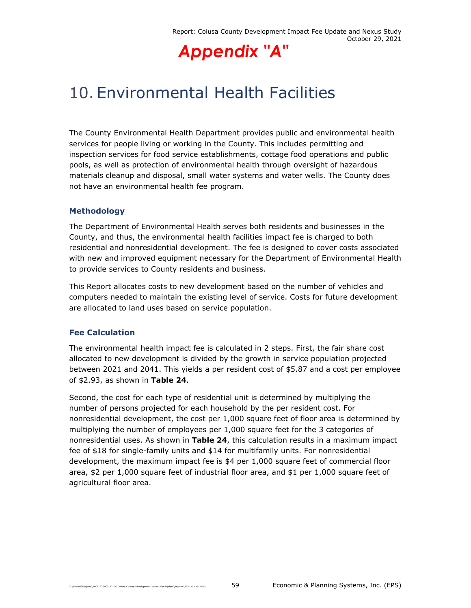## 10. Environmental Health Facilities

The County Environmental Health Department provides public and environmental health services for people living or working in the County. This includes permitting and inspection services for food service establishments, cottage food operations and public pools, as well as protection of environmental health through oversight of hazardous materials cleanup and disposal, small water systems and water wells. The County does not have an environmental health fee program.

## **Methodology**

The Department of Environmental Health serves both residents and businesses in the County, and thus, the environmental health facilities impact fee is charged to both residential and nonresidential development. The fee is designed to cover costs associated with new and improved equipment necessary for the Department of Environmental Health to provide services to County residents and business.

This Report allocates costs to new development based on the number of vehicles and computers needed to maintain the existing level of service. Costs for future development are allocated to land uses based on service population.

## **Fee Calculation**

The environmental health impact fee is calculated in 2 steps. First, the fair share cost allocated to new development is divided by the growth in service population projected between 2021 and 2041. This yields a per resident cost of \$5.87 and a cost per employee of \$2.93, as shown in **Table 24**.

Second, the cost for each type of residential unit is determined by multiplying the number of persons projected for each household by the per resident cost. For nonresidential development, the cost per 1,000 square feet of floor area is determined by multiplying the number of employees per 1,000 square feet for the 3 categories of nonresidential uses. As shown in **Table 24**, this calculation results in a maximum impact fee of \$18 for single-family units and \$14 for multifamily units. For nonresidential development, the maximum impact fee is \$4 per 1,000 square feet of commercial floor area, \$2 per 1,000 square feet of industrial floor area, and \$1 per 1,000 square feet of agricultural floor area.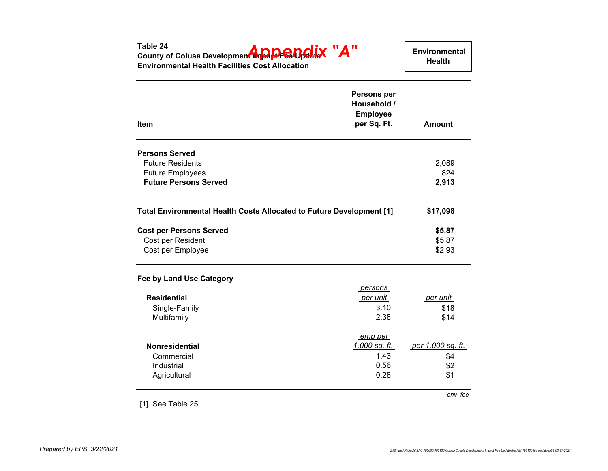| Table 24<br>County of Colusa Development in <b>Pape Cold</b> X "A"<br><b>Environmental Health Facilities Cost Allocation</b> |                                                              | Environmental<br><b>Health</b> |
|------------------------------------------------------------------------------------------------------------------------------|--------------------------------------------------------------|--------------------------------|
| Item                                                                                                                         | Persons per<br>Household /<br><b>Employee</b><br>per Sq. Ft. | <b>Amount</b>                  |
|                                                                                                                              |                                                              |                                |
| <b>Persons Served</b>                                                                                                        |                                                              |                                |
| <b>Future Residents</b>                                                                                                      |                                                              | 2,089                          |
| <b>Future Employees</b>                                                                                                      |                                                              | 824                            |
| <b>Future Persons Served</b>                                                                                                 |                                                              | 2,913                          |
| Total Environmental Health Costs Allocated to Future Development [1]                                                         |                                                              | \$17,098                       |
| <b>Cost per Persons Served</b>                                                                                               |                                                              | \$5.87                         |
| Cost per Resident                                                                                                            |                                                              | \$5.87                         |
| Cost per Employee                                                                                                            |                                                              | \$2.93                         |
| <b>Fee by Land Use Category</b>                                                                                              |                                                              |                                |
|                                                                                                                              | persons                                                      |                                |
| <b>Residential</b>                                                                                                           | per unit                                                     | per unit                       |
| Single-Family                                                                                                                | 3.10                                                         | \$18                           |
| Multifamily                                                                                                                  | 2.38                                                         | \$14                           |
|                                                                                                                              | emp per                                                      |                                |
| Nonresidential                                                                                                               | 1,000 sq. ft.                                                | <u>per 1,000 sq. ft.</u>       |
| Commercial                                                                                                                   | 1.43                                                         | \$4                            |
| Industrial                                                                                                                   | 0.56                                                         | \$2                            |
| Agricultural                                                                                                                 | 0.28                                                         | \$1                            |
|                                                                                                                              |                                                              | env_fee                        |
| [1] See Table 25.                                                                                                            |                                                              |                                |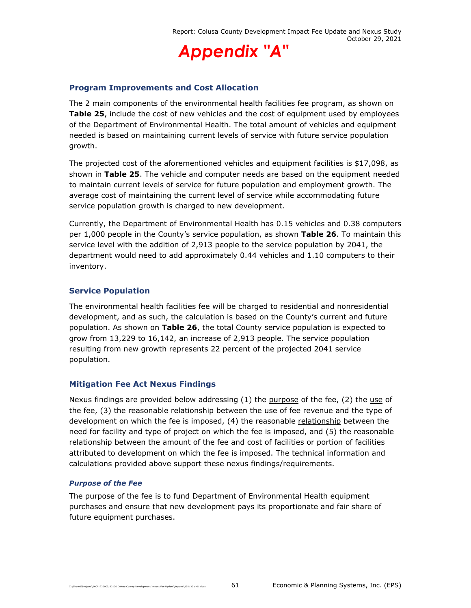

### **Program Improvements and Cost Allocation**

The 2 main components of the environmental health facilities fee program, as shown on **Table 25**, include the cost of new vehicles and the cost of equipment used by employees of the Department of Environmental Health. The total amount of vehicles and equipment needed is based on maintaining current levels of service with future service population growth.

The projected cost of the aforementioned vehicles and equipment facilities is \$17,098, as shown in **Table 25**. The vehicle and computer needs are based on the equipment needed to maintain current levels of service for future population and employment growth. The average cost of maintaining the current level of service while accommodating future service population growth is charged to new development.

Currently, the Department of Environmental Health has 0.15 vehicles and 0.38 computers per 1,000 people in the County's service population, as shown **Table 26**. To maintain this service level with the addition of 2,913 people to the service population by 2041, the department would need to add approximately 0.44 vehicles and 1.10 computers to their inventory.

#### **Service Population**

The environmental health facilities fee will be charged to residential and nonresidential development, and as such, the calculation is based on the County's current and future population. As shown on **Table 26**, the total County service population is expected to grow from 13,229 to 16,142, an increase of 2,913 people. The service population resulting from new growth represents 22 percent of the projected 2041 service population.

## **Mitigation Fee Act Nexus Findings**

Nexus findings are provided below addressing  $(1)$  the purpose of the fee,  $(2)$  the use of the fee, (3) the reasonable relationship between the use of fee revenue and the type of development on which the fee is imposed, (4) the reasonable relationship between the need for facility and type of project on which the fee is imposed, and (5) the reasonable relationship between the amount of the fee and cost of facilities or portion of facilities attributed to development on which the fee is imposed. The technical information and calculations provided above support these nexus findings/requirements.

#### *Purpose of the Fee*

The purpose of the fee is to fund Department of Environmental Health equipment purchases and ensure that new development pays its proportionate and fair share of future equipment purchases.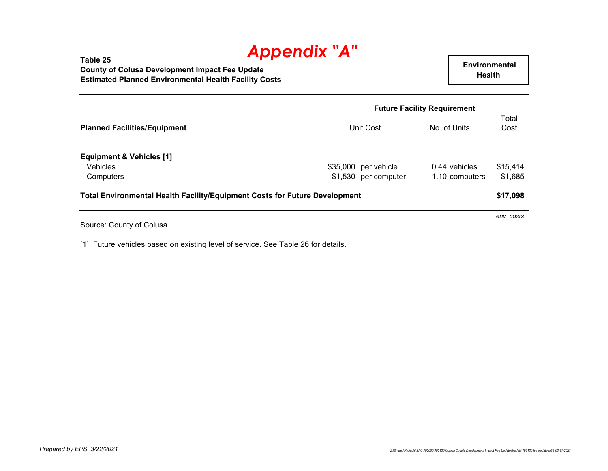#### **Table 25 County of Colusa Development Impact Fee Update Estimated Planned Environmental Health Facility Costs**

 **Environmental Health** 

|                                                                                   |                      | <b>Future Facility Requirement</b> |               |
|-----------------------------------------------------------------------------------|----------------------|------------------------------------|---------------|
| <b>Planned Facilities/Equipment</b>                                               | Unit Cost            | No. of Units                       | Total<br>Cost |
| <b>Equipment &amp; Vehicles [1]</b>                                               |                      |                                    |               |
| <b>Vehicles</b>                                                                   | \$35,000 per vehicle | 0.44 vehicles                      | \$15,414      |
| Computers                                                                         | \$1,530 per computer | 1.10 computers                     | \$1,685       |
| <b>Total Environmental Health Facility/Equipment Costs for Future Development</b> |                      |                                    | \$17,098      |
|                                                                                   |                      |                                    | env costs     |

Source: County of Colusa.

[1] Future vehicles based on existing level of service. See Table 26 for details.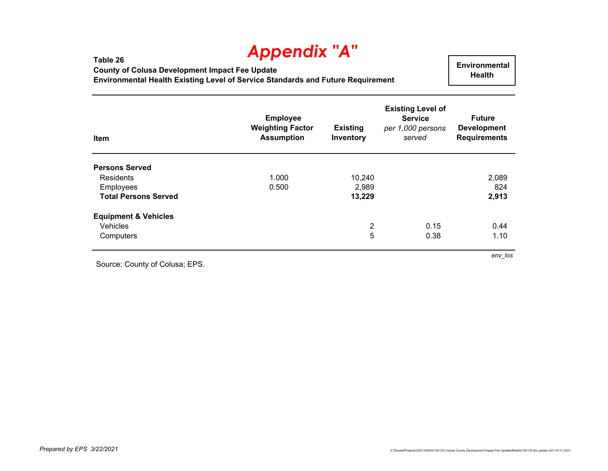**Table 26 County of Colusa Development Impact Fee Update Environmental Health Existing Level of Service Standards and Future Requirement**

 **Environmental Health** 

| Item                            | <b>Employee</b><br><b>Weighting Factor</b><br><b>Assumption</b> | <b>Existing</b><br>Inventory | <b>Existing Level of</b><br><b>Service</b><br>per 1,000 persons<br>served | <b>Future</b><br><b>Development</b><br><b>Requirements</b> |
|---------------------------------|-----------------------------------------------------------------|------------------------------|---------------------------------------------------------------------------|------------------------------------------------------------|
| <b>Persons Served</b>           |                                                                 |                              |                                                                           |                                                            |
| Residents                       | 1.000                                                           | 10,240                       |                                                                           | 2,089                                                      |
| Employees                       | 0.500                                                           | 2,989                        |                                                                           | 824                                                        |
| <b>Total Persons Served</b>     |                                                                 | 13,229                       |                                                                           | 2,913                                                      |
| <b>Equipment &amp; Vehicles</b> |                                                                 |                              |                                                                           |                                                            |
| Vehicles                        |                                                                 | $\overline{c}$               | 0.15                                                                      | 0.44                                                       |
| Computers                       |                                                                 | 5                            | 0.38                                                                      | 1.10                                                       |

Source: County of Colusa; EPS.

*env\_los*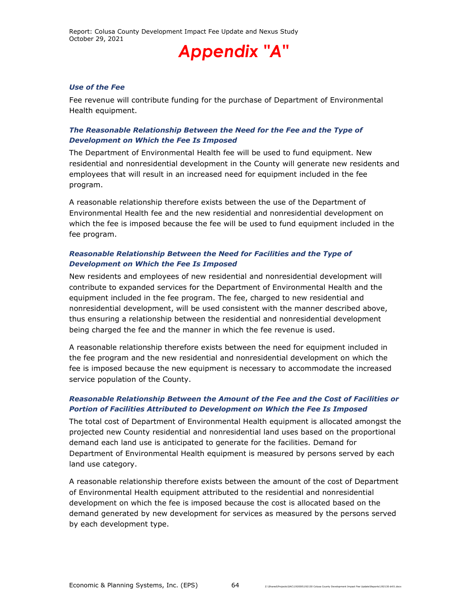#### *Use of the Fee*

Fee revenue will contribute funding for the purchase of Department of Environmental Health equipment.

#### *The Reasonable Relationship Between the Need for the Fee and the Type of Development on Which the Fee Is Imposed*

The Department of Environmental Health fee will be used to fund equipment. New residential and nonresidential development in the County will generate new residents and employees that will result in an increased need for equipment included in the fee program.

A reasonable relationship therefore exists between the use of the Department of Environmental Health fee and the new residential and nonresidential development on which the fee is imposed because the fee will be used to fund equipment included in the fee program.

### *Reasonable Relationship Between the Need for Facilities and the Type of Development on Which the Fee Is Imposed*

New residents and employees of new residential and nonresidential development will contribute to expanded services for the Department of Environmental Health and the equipment included in the fee program. The fee, charged to new residential and nonresidential development, will be used consistent with the manner described above, thus ensuring a relationship between the residential and nonresidential development being charged the fee and the manner in which the fee revenue is used.

A reasonable relationship therefore exists between the need for equipment included in the fee program and the new residential and nonresidential development on which the fee is imposed because the new equipment is necessary to accommodate the increased service population of the County.

## *Reasonable Relationship Between the Amount of the Fee and the Cost of Facilities or Portion of Facilities Attributed to Development on Which the Fee Is Imposed*

The total cost of Department of Environmental Health equipment is allocated amongst the projected new County residential and nonresidential land uses based on the proportional demand each land use is anticipated to generate for the facilities. Demand for Department of Environmental Health equipment is measured by persons served by each land use category.

A reasonable relationship therefore exists between the amount of the cost of Department of Environmental Health equipment attributed to the residential and nonresidential development on which the fee is imposed because the cost is allocated based on the demand generated by new development for services as measured by the persons served by each development type.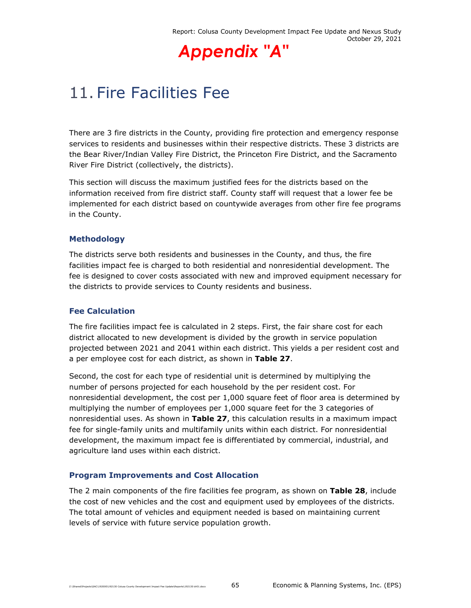

## 11. Fire Facilities Fee

There are 3 fire districts in the County, providing fire protection and emergency response services to residents and businesses within their respective districts. These 3 districts are the Bear River/Indian Valley Fire District, the Princeton Fire District, and the Sacramento River Fire District (collectively, the districts).

This section will discuss the maximum justified fees for the districts based on the information received from fire district staff. County staff will request that a lower fee be implemented for each district based on countywide averages from other fire fee programs in the County.

## **Methodology**

The districts serve both residents and businesses in the County, and thus, the fire facilities impact fee is charged to both residential and nonresidential development. The fee is designed to cover costs associated with new and improved equipment necessary for the districts to provide services to County residents and business.

## **Fee Calculation**

The fire facilities impact fee is calculated in 2 steps. First, the fair share cost for each district allocated to new development is divided by the growth in service population projected between 2021 and 2041 within each district. This yields a per resident cost and a per employee cost for each district, as shown in **Table 27**.

Second, the cost for each type of residential unit is determined by multiplying the number of persons projected for each household by the per resident cost. For nonresidential development, the cost per 1,000 square feet of floor area is determined by multiplying the number of employees per 1,000 square feet for the 3 categories of nonresidential uses. As shown in **Table 27**, this calculation results in a maximum impact fee for single-family units and multifamily units within each district. For nonresidential development, the maximum impact fee is differentiated by commercial, industrial, and agriculture land uses within each district.

## **Program Improvements and Cost Allocation**

The 2 main components of the fire facilities fee program, as shown on **Table 28**, include the cost of new vehicles and the cost and equipment used by employees of the districts. The total amount of vehicles and equipment needed is based on maintaining current levels of service with future service population growth.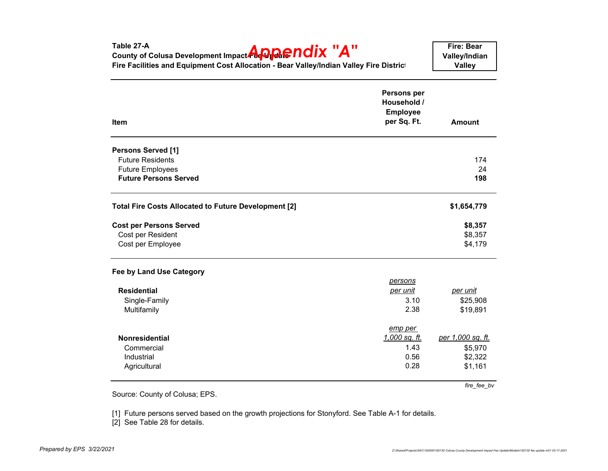| Table 27-A<br>County of Colusa Development Impact <b>Appe ndix</b> "A"<br>Fire Facilities and Equipment Cost Allocation - Bear Valley/Indian Valley Fire District |                                                                     | <b>Fire: Bear</b><br>Valley/Indian<br><b>Valley</b> |
|-------------------------------------------------------------------------------------------------------------------------------------------------------------------|---------------------------------------------------------------------|-----------------------------------------------------|
| <b>Item</b>                                                                                                                                                       | <b>Persons per</b><br>Household /<br><b>Employee</b><br>per Sq. Ft. | <b>Amount</b>                                       |
| <b>Persons Served [1]</b>                                                                                                                                         |                                                                     |                                                     |
| <b>Future Residents</b>                                                                                                                                           |                                                                     | 174                                                 |
| <b>Future Employees</b>                                                                                                                                           |                                                                     | 24                                                  |
| <b>Future Persons Served</b>                                                                                                                                      |                                                                     | 198                                                 |
| <b>Total Fire Costs Allocated to Future Development [2]</b>                                                                                                       |                                                                     | \$1,654,779                                         |
| <b>Cost per Persons Served</b>                                                                                                                                    |                                                                     | \$8,357                                             |
| Cost per Resident                                                                                                                                                 |                                                                     | \$8,357                                             |
| Cost per Employee                                                                                                                                                 |                                                                     | \$4,179                                             |
| Fee by Land Use Category                                                                                                                                          |                                                                     |                                                     |
|                                                                                                                                                                   | persons                                                             |                                                     |
| <b>Residential</b>                                                                                                                                                | <u>per unit</u>                                                     | per unit                                            |
| Single-Family                                                                                                                                                     | 3.10                                                                | \$25,908                                            |
| Multifamily                                                                                                                                                       | 2.38                                                                | \$19,891                                            |
|                                                                                                                                                                   | emp per                                                             |                                                     |
| Nonresidential                                                                                                                                                    | 1,000 sq. ft.                                                       | per 1,000 sq. ft.                                   |
| Commercial                                                                                                                                                        | 1.43                                                                | \$5,970                                             |
| Industrial                                                                                                                                                        | 0.56                                                                | \$2,322                                             |
| Agricultural                                                                                                                                                      | 0.28                                                                | \$1,161                                             |
|                                                                                                                                                                   |                                                                     | fire fee by                                         |

Source: County of Colusa; EPS.

[1] Future persons served based on the growth projections for Stonyford. See Table A-1 for details.

[2] See Table 28 for details.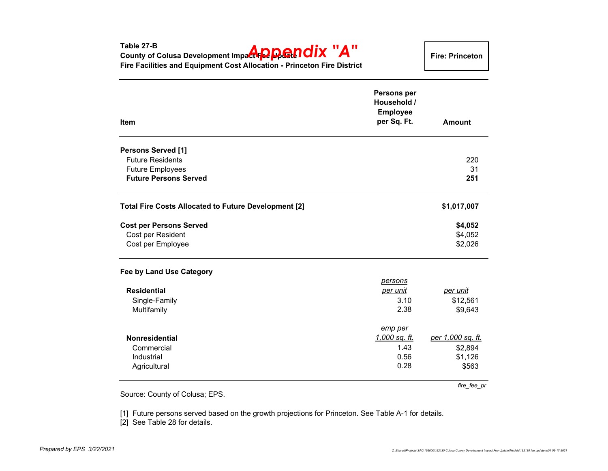**Fire: Princeton**

| <b>Item</b>                                          | Persons per<br>Household /<br><b>Employee</b><br>per Sq. Ft. | <b>Amount</b>     |
|------------------------------------------------------|--------------------------------------------------------------|-------------------|
| <b>Persons Served [1]</b>                            |                                                              |                   |
| <b>Future Residents</b>                              |                                                              | 220               |
| <b>Future Employees</b>                              |                                                              | 31                |
| <b>Future Persons Served</b>                         |                                                              | 251               |
| Total Fire Costs Allocated to Future Development [2] |                                                              | \$1,017,007       |
| <b>Cost per Persons Served</b>                       |                                                              | \$4,052           |
| Cost per Resident                                    |                                                              | \$4,052           |
| Cost per Employee                                    |                                                              | \$2,026           |
| Fee by Land Use Category                             |                                                              |                   |
|                                                      | <u>persons</u>                                               |                   |
| <b>Residential</b>                                   | per unit                                                     | per unit          |
| Single-Family                                        | 3.10                                                         | \$12,561          |
| Multifamily                                          | 2.38                                                         | \$9,643           |
|                                                      | emp per                                                      |                   |
| <b>Nonresidential</b>                                | <u>1,000 sq. ft.</u>                                         | per 1,000 sq. ft. |
| Commercial                                           | 1.43                                                         | \$2,894           |
| Industrial                                           | 0.56                                                         | \$1,126           |
| Agricultural                                         | 0.28                                                         | \$563             |
|                                                      |                                                              | fire fee pr       |

Source: County of Colusa; EPS.

[1] Future persons served based on the growth projections for Princeton. See Table A-1 for details.

[2] See Table 28 for details.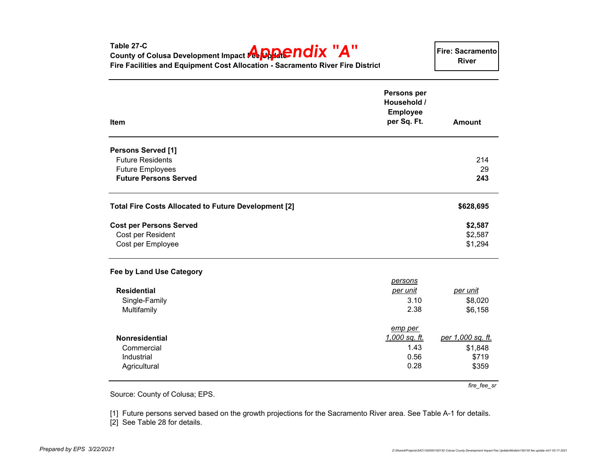| Fire Facilities and Equipment Cost Allocation - Sacramento River Fire District |                                                              | <b>River</b>      |
|--------------------------------------------------------------------------------|--------------------------------------------------------------|-------------------|
| Item                                                                           | Persons per<br>Household /<br><b>Employee</b><br>per Sq. Ft. | <b>Amount</b>     |
| <b>Persons Served [1]</b>                                                      |                                                              |                   |
| <b>Future Residents</b>                                                        |                                                              | 214               |
| <b>Future Employees</b>                                                        |                                                              | 29                |
| <b>Future Persons Served</b>                                                   |                                                              | 243               |
| Total Fire Costs Allocated to Future Development [2]                           |                                                              | \$628,695         |
| <b>Cost per Persons Served</b>                                                 |                                                              | \$2,587           |
| Cost per Resident                                                              |                                                              | \$2,587           |
| Cost per Employee                                                              |                                                              | \$1,294           |
| Fee by Land Use Category                                                       |                                                              |                   |
|                                                                                | persons                                                      |                   |
| <b>Residential</b>                                                             | per unit                                                     | per unit          |
| Single-Family                                                                  | 3.10                                                         | \$8,020           |
| Multifamily                                                                    | 2.38                                                         | \$6,158           |
|                                                                                | emp per                                                      |                   |
| Nonresidential                                                                 | 1,000 sq. ft.                                                | per 1,000 sq. ft. |
| Commercial                                                                     | 1.43                                                         | \$1,848           |
| Industrial                                                                     | 0.56                                                         | \$719             |
| Agricultural                                                                   | 0.28                                                         | \$359             |
|                                                                                |                                                              | fire_fee_sr       |
| Source: County of Colusa; EPS.                                                 |                                                              |                   |

**County of Colusa Development Impact <b>AppPENDIX "A"** 

[1] Future persons served based on the growth projections for the Sacramento River area. See Table A-1 for details. [2] See Table 28 for details.

**Table 27-C**

**Fire: Sacramento River**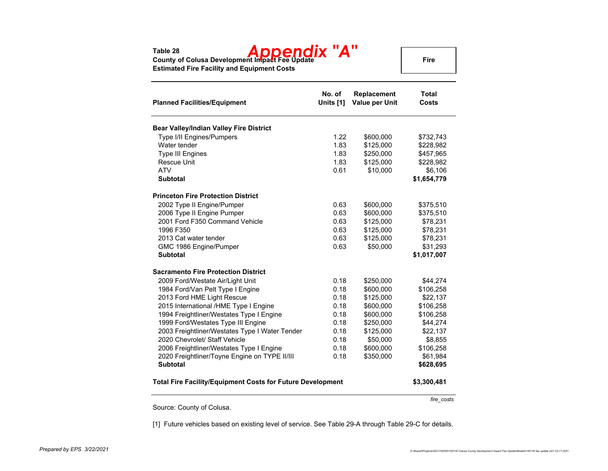# **Table 28 County of Colusa Development Impact Fee Update** *Appendix "A"*

**Fire**

**Estimated Fire Facility and Equipment Costs**

| <b>Planned Facilities/Equipment</b>                        | No. of<br>Units [1] | Replacement<br><b>Value per Unit</b> | <b>Total</b><br>Costs |
|------------------------------------------------------------|---------------------|--------------------------------------|-----------------------|
| Bear Valley/Indian Valley Fire District                    |                     |                                      |                       |
| Type I/II Engines/Pumpers                                  | 1.22                | \$600,000                            | \$732,743             |
| Water tender                                               | 1.83                | \$125,000                            | \$228,982             |
| <b>Type III Engines</b>                                    | 1.83                | \$250,000                            | \$457,965             |
| <b>Rescue Unit</b>                                         | 1.83                | \$125,000                            | \$228,982             |
| <b>ATV</b>                                                 | 0.61                | \$10,000                             | \$6,106               |
| <b>Subtotal</b>                                            |                     |                                      | \$1,654,779           |
| <b>Princeton Fire Protection District</b>                  |                     |                                      |                       |
| 2002 Type II Engine/Pumper                                 | 0.63                | \$600,000                            | \$375,510             |
| 2006 Type II Engine Pumper                                 | 0.63                | \$600,000                            | \$375,510             |
| 2001 Ford F350 Command Vehicle                             | 0.63                | \$125,000                            | \$78,231              |
| 1996 F350                                                  | 0.63                | \$125,000                            | \$78,231              |
| 2013 Cat water tender                                      | 0.63                | \$125,000                            | \$78,231              |
| GMC 1986 Engine/Pumper                                     | 0.63                | \$50,000                             | \$31,293              |
| <b>Subtotal</b>                                            |                     |                                      | \$1,017,007           |
| <b>Sacramento Fire Protection District</b>                 |                     |                                      |                       |
| 2009 Ford/Westate Air/Light Unit                           | 0.18                | \$250,000                            | \$44,274              |
| 1984 Ford/Van Pelt Type I Engine                           | 0.18                | \$600,000                            | \$106,258             |
| 2013 Ford HME Light Rescue                                 | 0.18                | \$125,000                            | \$22,137              |
| 2015 International /HME Type I Engine                      | 0.18                | \$600,000                            | \$106,258             |
| 1994 Freightliner/Westates Type I Engine                   | 0.18                | \$600,000                            | \$106,258             |
| 1999 Ford/Westates Type III Engine                         | 0.18                | \$250,000                            | \$44,274              |
| 2003 Freightliner/Westates Type I Water Tender             | 0.18                | \$125,000                            | \$22,137              |
| 2020 Chevrolet/ Staff Vehicle                              | 0.18                | \$50,000                             | \$8,855               |
| 2006 Freightliner/Westates Type I Engine                   | 0.18                | \$600,000                            | \$106,258             |
| 2020 Freightliner/Toyne Engine on TYPE II/III              | 0.18                | \$350,000                            | \$61,984              |
| <b>Subtotal</b>                                            |                     |                                      | \$628,695             |
| Total Fire Facility/Equipment Costs for Future Development |                     |                                      | \$3,300,481           |

Source: County of Colusa.

[1] Future vehicles based on existing level of service. See Table 29-A through Table 29-C for details.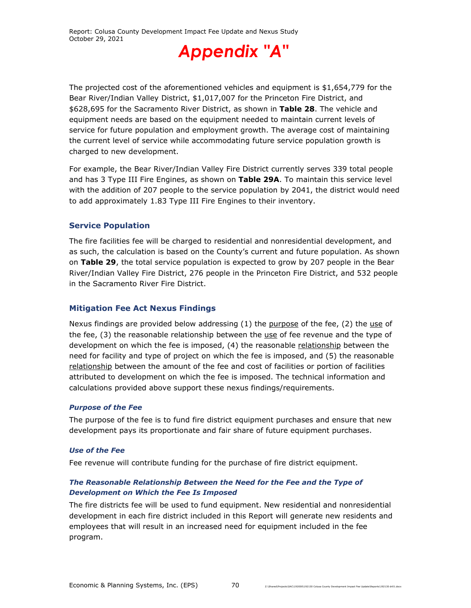

The projected cost of the aforementioned vehicles and equipment is \$1,654,779 for the Bear River/Indian Valley District, \$1,017,007 for the Princeton Fire District, and \$628,695 for the Sacramento River District, as shown in **Table 28**. The vehicle and equipment needs are based on the equipment needed to maintain current levels of service for future population and employment growth. The average cost of maintaining the current level of service while accommodating future service population growth is charged to new development.

For example, the Bear River/Indian Valley Fire District currently serves 339 total people and has 3 Type III Fire Engines, as shown on **Table 29A**. To maintain this service level with the addition of 207 people to the service population by 2041, the district would need to add approximately 1.83 Type III Fire Engines to their inventory.

#### **Service Population**

The fire facilities fee will be charged to residential and nonresidential development, and as such, the calculation is based on the County's current and future population. As shown on **Table 29**, the total service population is expected to grow by 207 people in the Bear River/Indian Valley Fire District, 276 people in the Princeton Fire District, and 532 people in the Sacramento River Fire District.

#### **Mitigation Fee Act Nexus Findings**

Nexus findings are provided below addressing  $(1)$  the purpose of the fee,  $(2)$  the use of the fee, (3) the reasonable relationship between the use of fee revenue and the type of development on which the fee is imposed, (4) the reasonable relationship between the need for facility and type of project on which the fee is imposed, and (5) the reasonable relationship between the amount of the fee and cost of facilities or portion of facilities attributed to development on which the fee is imposed. The technical information and calculations provided above support these nexus findings/requirements.

#### *Purpose of the Fee*

The purpose of the fee is to fund fire district equipment purchases and ensure that new development pays its proportionate and fair share of future equipment purchases.

#### *Use of the Fee*

Fee revenue will contribute funding for the purchase of fire district equipment.

#### *The Reasonable Relationship Between the Need for the Fee and the Type of Development on Which the Fee Is Imposed*

The fire districts fee will be used to fund equipment. New residential and nonresidential development in each fire district included in this Report will generate new residents and employees that will result in an increased need for equipment included in the fee program.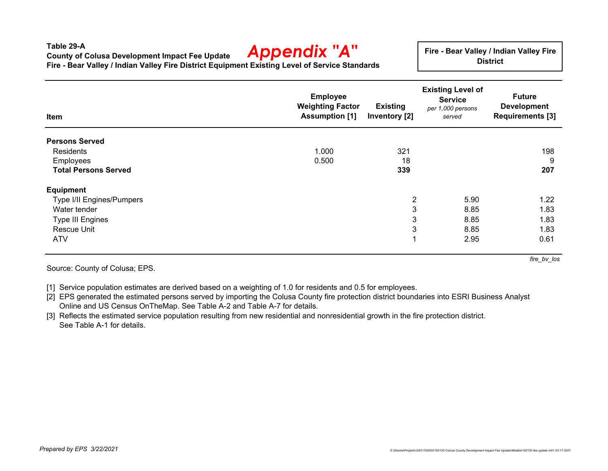#### **Table 29-ACounty of Colusa Development Impact Fee Update Fire - Bear Valley / Indian Valley Fire District Equipment Existing Level of Service Standards** *Appendix "A"*

**Fire - Bear Valley / Indian Valley Fire District**

| Item                        | <b>Employee</b><br><b>Weighting Factor</b><br><b>Assumption [1]</b> | <b>Existing</b><br>Inventory [2] | <b>Existing Level of</b><br><b>Service</b><br>per 1,000 persons<br>served | <b>Future</b><br><b>Development</b><br><b>Requirements [3]</b> |
|-----------------------------|---------------------------------------------------------------------|----------------------------------|---------------------------------------------------------------------------|----------------------------------------------------------------|
| <b>Persons Served</b>       |                                                                     |                                  |                                                                           |                                                                |
| Residents                   | 1.000                                                               | 321                              |                                                                           | 198                                                            |
| Employees                   | 0.500                                                               | 18                               |                                                                           | 9                                                              |
| <b>Total Persons Served</b> |                                                                     | 339                              |                                                                           | 207                                                            |
| <b>Equipment</b>            |                                                                     |                                  |                                                                           |                                                                |
| Type I/II Engines/Pumpers   |                                                                     | $\overline{2}$                   | 5.90                                                                      | 1.22                                                           |
| Water tender                |                                                                     | 3                                | 8.85                                                                      | 1.83                                                           |
| <b>Type III Engines</b>     |                                                                     | 3                                | 8.85                                                                      | 1.83                                                           |
| <b>Rescue Unit</b>          |                                                                     | 3                                | 8.85                                                                      | 1.83                                                           |
| <b>ATV</b>                  |                                                                     |                                  | 2.95                                                                      | 0.61                                                           |

Source: County of Colusa; EPS.

[1] Service population estimates are derived based on a weighting of 1.0 for residents and 0.5 for employees.

[2] EPS generated the estimated persons served by importing the Colusa County fire protection district boundaries into ESRI Business Analyst Online and US Census OnTheMap. See Table A-2 and Table A-7 for details.

[3] Reflects the estimated service population resulting from new residential and nonresidential growth in the fire protection district. See Table A-1 for details.

*fire\_bv\_los*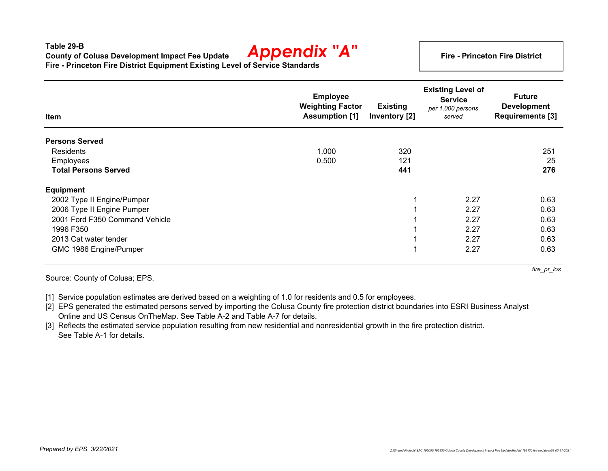#### **Table 29-BCounty of Colusa Development Impact Fee Update Fire - Princeton Fire District Equipment Existing Level of Service Standards** *Appendix "A"*

**Fire - Princeton Fire District**

| Item                           | <b>Employee</b><br><b>Weighting Factor</b><br><b>Assumption [1]</b> | <b>Existing</b><br>Inventory [2] | <b>Existing Level of</b><br><b>Service</b><br>per 1,000 persons<br>served | <b>Future</b><br><b>Development</b><br><b>Requirements [3]</b> |
|--------------------------------|---------------------------------------------------------------------|----------------------------------|---------------------------------------------------------------------------|----------------------------------------------------------------|
| <b>Persons Served</b>          |                                                                     |                                  |                                                                           |                                                                |
| <b>Residents</b>               | 1.000                                                               | 320                              |                                                                           | 251                                                            |
| Employees                      | 0.500                                                               | 121                              |                                                                           | 25                                                             |
| <b>Total Persons Served</b>    |                                                                     | 441                              |                                                                           | 276                                                            |
| <b>Equipment</b>               |                                                                     |                                  |                                                                           |                                                                |
| 2002 Type II Engine/Pumper     |                                                                     | 1                                | 2.27                                                                      | 0.63                                                           |
| 2006 Type II Engine Pumper     |                                                                     |                                  | 2.27                                                                      | 0.63                                                           |
| 2001 Ford F350 Command Vehicle |                                                                     |                                  | 2.27                                                                      | 0.63                                                           |
| 1996 F350                      |                                                                     |                                  | 2.27                                                                      | 0.63                                                           |
| 2013 Cat water tender          |                                                                     |                                  | 2.27                                                                      | 0.63                                                           |
| GMC 1986 Engine/Pumper         |                                                                     | $\overline{\mathbf{A}}$          | 2.27                                                                      | 0.63                                                           |

Source: County of Colusa; EPS.

[1] Service population estimates are derived based on a weighting of 1.0 for residents and 0.5 for employees.

[2] EPS generated the estimated persons served by importing the Colusa County fire protection district boundaries into ESRI Business Analyst Online and US Census OnTheMap. See Table A-2 and Table A-7 for details.

[3] Reflects the estimated service population resulting from new residential and nonresidential growth in the fire protection district. See Table A-1 for details.

*fire\_pr\_los*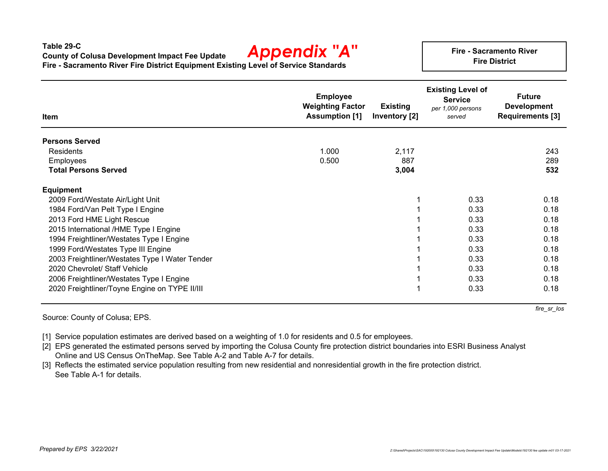**Table 29-CCounty of Colusa Development Impact Fee Update Fire - Sacramento River Fire District Equipment Existing Level of Service Standards** *Appendix "A"*

**Fire - Sacramento RiverFire District**

| Item                                           | <b>Employee</b><br><b>Weighting Factor</b><br><b>Assumption [1]</b> | <b>Existing</b><br>Inventory [2] | <b>Existing Level of</b><br><b>Service</b><br>per 1,000 persons<br>served | <b>Future</b><br><b>Development</b><br><b>Requirements [3]</b> |
|------------------------------------------------|---------------------------------------------------------------------|----------------------------------|---------------------------------------------------------------------------|----------------------------------------------------------------|
| <b>Persons Served</b>                          |                                                                     |                                  |                                                                           |                                                                |
| <b>Residents</b>                               | 1.000                                                               | 2,117                            |                                                                           | 243                                                            |
| <b>Employees</b>                               | 0.500                                                               | 887                              |                                                                           | 289                                                            |
| <b>Total Persons Served</b>                    |                                                                     | 3,004                            |                                                                           | 532                                                            |
| <b>Equipment</b>                               |                                                                     |                                  |                                                                           |                                                                |
| 2009 Ford/Westate Air/Light Unit               |                                                                     |                                  | 0.33                                                                      | 0.18                                                           |
| 1984 Ford/Van Pelt Type I Engine               |                                                                     |                                  | 0.33                                                                      | 0.18                                                           |
| 2013 Ford HME Light Rescue                     |                                                                     |                                  | 0.33                                                                      | 0.18                                                           |
| 2015 International /HME Type I Engine          |                                                                     |                                  | 0.33                                                                      | 0.18                                                           |
| 1994 Freightliner/Westates Type I Engine       |                                                                     |                                  | 0.33                                                                      | 0.18                                                           |
| 1999 Ford/Westates Type III Engine             |                                                                     |                                  | 0.33                                                                      | 0.18                                                           |
| 2003 Freightliner/Westates Type I Water Tender |                                                                     |                                  | 0.33                                                                      | 0.18                                                           |
| 2020 Chevrolet/ Staff Vehicle                  |                                                                     |                                  | 0.33                                                                      | 0.18                                                           |
| 2006 Freightliner/Westates Type I Engine       |                                                                     |                                  | 0.33                                                                      | 0.18                                                           |
| 2020 Freightliner/Toyne Engine on TYPE II/III  |                                                                     |                                  | 0.33                                                                      | 0.18                                                           |

Source: County of Colusa; EPS.

*fire\_sr\_los*

[1] Service population estimates are derived based on a weighting of 1.0 for residents and 0.5 for employees.

[2] EPS generated the estimated persons served by importing the Colusa County fire protection district boundaries into ESRI Business Analyst Online and US Census OnTheMap. See Table A-2 and Table A-7 for details.

[3] Reflects the estimated service population resulting from new residential and nonresidential growth in the fire protection district. See Table A-1 for details.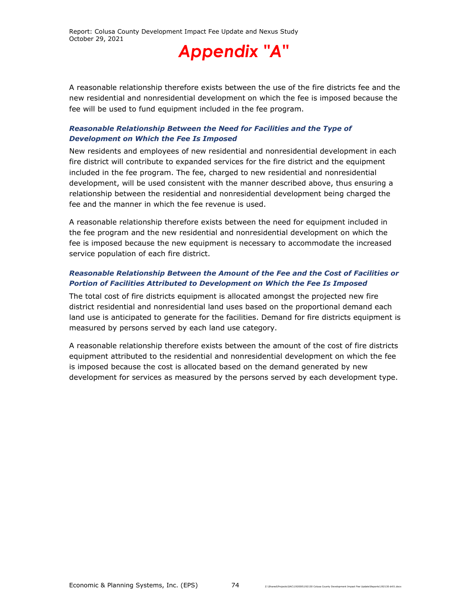A reasonable relationship therefore exists between the use of the fire districts fee and the new residential and nonresidential development on which the fee is imposed because the fee will be used to fund equipment included in the fee program.

#### *Reasonable Relationship Between the Need for Facilities and the Type of Development on Which the Fee Is Imposed*

New residents and employees of new residential and nonresidential development in each fire district will contribute to expanded services for the fire district and the equipment included in the fee program. The fee, charged to new residential and nonresidential development, will be used consistent with the manner described above, thus ensuring a relationship between the residential and nonresidential development being charged the fee and the manner in which the fee revenue is used.

A reasonable relationship therefore exists between the need for equipment included in the fee program and the new residential and nonresidential development on which the fee is imposed because the new equipment is necessary to accommodate the increased service population of each fire district.

#### *Reasonable Relationship Between the Amount of the Fee and the Cost of Facilities or Portion of Facilities Attributed to Development on Which the Fee Is Imposed*

The total cost of fire districts equipment is allocated amongst the projected new fire district residential and nonresidential land uses based on the proportional demand each land use is anticipated to generate for the facilities. Demand for fire districts equipment is measured by persons served by each land use category.

A reasonable relationship therefore exists between the amount of the cost of fire districts equipment attributed to the residential and nonresidential development on which the fee is imposed because the cost is allocated based on the demand generated by new development for services as measured by the persons served by each development type.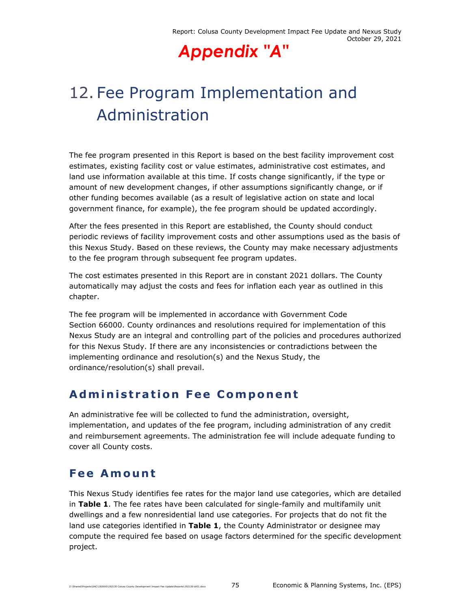## 12. Fee Program Implementation and Administration

The fee program presented in this Report is based on the best facility improvement cost estimates, existing facility cost or value estimates, administrative cost estimates, and land use information available at this time. If costs change significantly, if the type or amount of new development changes, if other assumptions significantly change, or if other funding becomes available (as a result of legislative action on state and local government finance, for example), the fee program should be updated accordingly.

After the fees presented in this Report are established, the County should conduct periodic reviews of facility improvement costs and other assumptions used as the basis of this Nexus Study. Based on these reviews, the County may make necessary adjustments to the fee program through subsequent fee program updates.

The cost estimates presented in this Report are in constant 2021 dollars. The County automatically may adjust the costs and fees for inflation each year as outlined in this chapter.

The fee program will be implemented in accordance with Government Code Section 66000. County ordinances and resolutions required for implementation of this Nexus Study are an integral and controlling part of the policies and procedures authorized for this Nexus Study. If there are any inconsistencies or contradictions between the implementing ordinance and resolution(s) and the Nexus Study, the ordinance/resolution(s) shall prevail.

### **Administration Fee Component**

An administrative fee will be collected to fund the administration, oversight, implementation, and updates of the fee program, including administration of any credit and reimbursement agreements. The administration fee will include adequate funding to cover all County costs.

### **Fee Amount**

This Nexus Study identifies fee rates for the major land use categories, which are detailed in **Table 1**. The fee rates have been calculated for single-family and multifamily unit dwellings and a few nonresidential land use categories. For projects that do not fit the land use categories identified in **Table 1**, the County Administrator or designee may compute the required fee based on usage factors determined for the specific development project.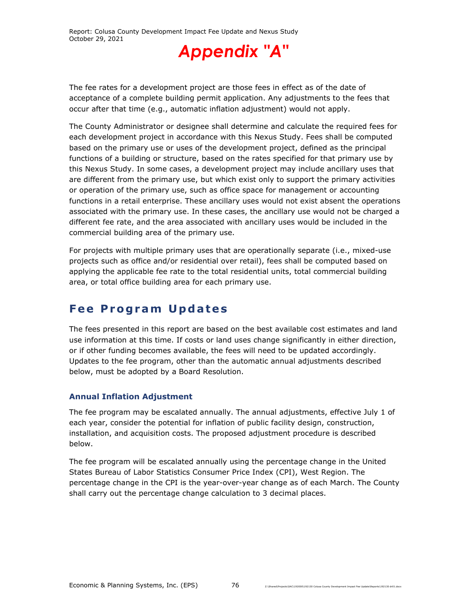

The fee rates for a development project are those fees in effect as of the date of acceptance of a complete building permit application. Any adjustments to the fees that occur after that time (e.g., automatic inflation adjustment) would not apply.

The County Administrator or designee shall determine and calculate the required fees for each development project in accordance with this Nexus Study. Fees shall be computed based on the primary use or uses of the development project, defined as the principal functions of a building or structure, based on the rates specified for that primary use by this Nexus Study. In some cases, a development project may include ancillary uses that are different from the primary use, but which exist only to support the primary activities or operation of the primary use, such as office space for management or accounting functions in a retail enterprise. These ancillary uses would not exist absent the operations associated with the primary use. In these cases, the ancillary use would not be charged a different fee rate, and the area associated with ancillary uses would be included in the commercial building area of the primary use.

For projects with multiple primary uses that are operationally separate (i.e., mixed-use projects such as office and/or residential over retail), fees shall be computed based on applying the applicable fee rate to the total residential units, total commercial building area, or total office building area for each primary use.

### **Fee Program Updates**

The fees presented in this report are based on the best available cost estimates and land use information at this time. If costs or land uses change significantly in either direction, or if other funding becomes available, the fees will need to be updated accordingly. Updates to the fee program, other than the automatic annual adjustments described below, must be adopted by a Board Resolution.

#### **Annual Inflation Adjustment**

The fee program may be escalated annually. The annual adjustments, effective July 1 of each year, consider the potential for inflation of public facility design, construction, installation, and acquisition costs. The proposed adjustment procedure is described below.

The fee program will be escalated annually using the percentage change in the United States Bureau of Labor Statistics Consumer Price Index (CPI), West Region. The percentage change in the CPI is the year-over-year change as of each March. The County shall carry out the percentage change calculation to 3 decimal places.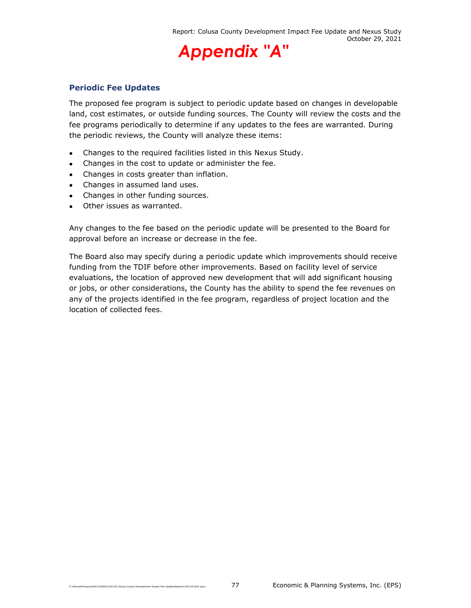#### **Periodic Fee Updates**

The proposed fee program is subject to periodic update based on changes in developable land, cost estimates, or outside funding sources. The County will review the costs and the fee programs periodically to determine if any updates to the fees are warranted. During the periodic reviews, the County will analyze these items:

- Changes to the required facilities listed in this Nexus Study.
- Changes in the cost to update or administer the fee.
- Changes in costs greater than inflation.
- Changes in assumed land uses.
- Changes in other funding sources.
- Other issues as warranted.

Any changes to the fee based on the periodic update will be presented to the Board for approval before an increase or decrease in the fee.

The Board also may specify during a periodic update which improvements should receive funding from the TDIF before other improvements. Based on facility level of service evaluations, the location of approved new development that will add significant housing or jobs, or other considerations, the County has the ability to spend the fee revenues on any of the projects identified in the fee program, regardless of project location and the location of collected fees.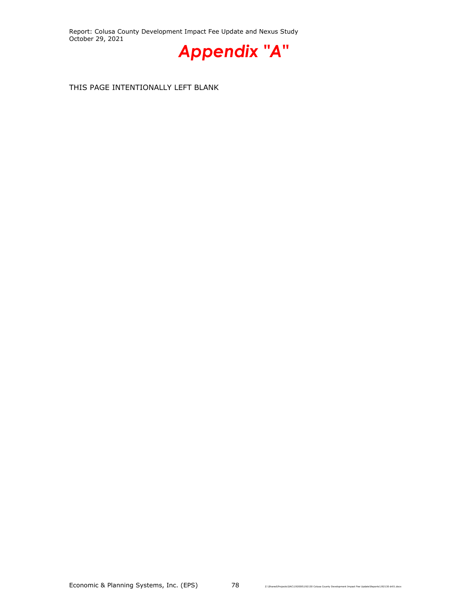Report: Colusa County Development Impact Fee Update and Nexus Study October 29, 2021



THIS PAGE INTENTIONALLY LEFT BLANK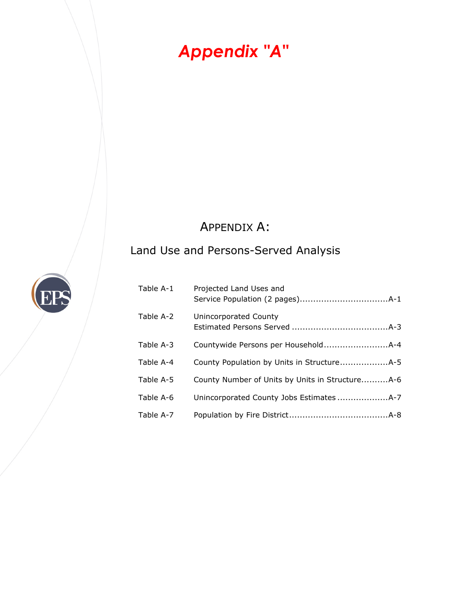### APPENDIX A:

### Land Use and Persons-Served Analysis

| Table A-1 | Projected Land Uses and                         |
|-----------|-------------------------------------------------|
| Table A-2 | Unincorporated County                           |
| Table A-3 |                                                 |
| Table A-4 |                                                 |
| Table A-5 | County Number of Units by Units in StructureA-6 |
| Table A-6 |                                                 |
| Table A-7 |                                                 |

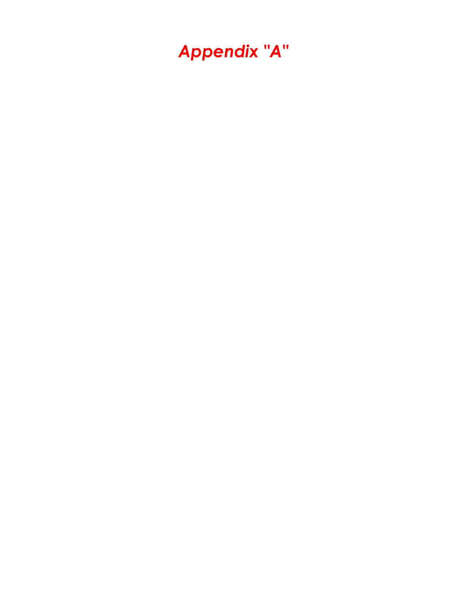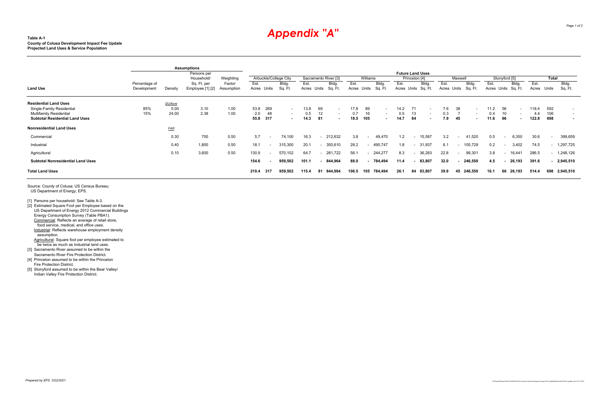#### **Table A-1County of Colusa Development Impact Fee Update Projected Land Uses & Service Population**

Agricultural: Square foot per employee estimated to be twice as much as Industrial land uses.

[3] Sacramento River assumed to be within the Sacramento River Fire Protection District.

|                                          |                              | <b>Assumptions</b> |                                 |                      |                     |     |                       |                      |     |                          |                     |          |                  |                             |                                          |                          |                     |         |                  |               |               |           |               |                          |                          |
|------------------------------------------|------------------------------|--------------------|---------------------------------|----------------------|---------------------|-----|-----------------------|----------------------|-----|--------------------------|---------------------|----------|------------------|-----------------------------|------------------------------------------|--------------------------|---------------------|---------|------------------|---------------|---------------|-----------|---------------|--------------------------|--------------------------|
|                                          |                              |                    | Persons per<br>Household/       | Weighting            |                     |     | Arbuckle/College City | Sacramento River [3] |     |                          |                     | Williams |                  |                             | <b>Future Land Uses</b><br>Princeton [4] |                          |                     | Maxwell |                  |               | Stonyford [5] |           |               | Total                    |                          |
| <b>Land Use</b>                          | Percentage of<br>Development | Density            | Sq. Ft. per<br>Employee [1] [2] | Factor<br>Assumption | Est.<br>Acres Units |     | Bldg.<br>Sq. Ft.      | Est.<br>Acres Units  |     | Bldg.<br>Sq. Ft.         | Est.<br>Acres Units |          | Bldg.<br>Sq. Ft. | Est.<br>Acres Units Sq. Ft. |                                          | Bldg.                    | Est.<br>Acres Units |         | Bldg.<br>Sq. Ft. | Est.<br>Acres | Units Sq. Ft. | Bldg.     | Est.<br>Acres | Units                    | Bldg.<br>Sq. Ft.         |
| <b>Residential Land Uses</b>             |                              | DU/Acre            |                                 |                      |                     |     |                       |                      |     |                          |                     |          |                  |                             |                                          |                          |                     |         |                  |               |               |           |               |                          |                          |
| Single-Family Residential                | 85%                          | 5.00               | 3.10                            | 1.00                 | 53.8                | 269 | $\sim$                | 13.8                 | 69  | $\overline{\phantom{a}}$ | 17.8                | 89       | $\sim$           | 14.2                        | 71                                       | $\overline{\phantom{a}}$ | 7.6                 | 38      |                  | 11.2          | 56            |           | 118.4         | 592                      | $\overline{\phantom{0}}$ |
| <b>Multifamily Residential</b>           | 15%                          | 24.00              | 2.38                            | 1.00                 | 2.0<br>55.8         | 48  |                       | 0.5                  |     | $\overline{\phantom{0}}$ | 0.7<br>18.5         | 16       |                  | 0.5<br>14.7                 | 13                                       |                          | 0.3<br>7.9          |         |                  | 0.4           |               |           | 4.4           | 106                      | $\overline{\phantom{0}}$ |
| <b>Subtotal Residential Land Uses</b>    |                              |                    |                                 |                      |                     | 317 |                       | 14.3                 | -81 | $\blacksquare$           |                     | 105      |                  |                             | 84                                       | . .                      |                     | 45      |                  | 11.6          | 66            |           | 122.8         | 698                      |                          |
| <b>Nonresidential Land Uses</b>          |                              | <b>FAR</b>         |                                 |                      |                     |     |                       |                      |     |                          |                     |          |                  |                             |                                          |                          |                     |         |                  |               |               |           |               |                          |                          |
| Commercial                               |                              | 0.30               | 700                             | 0.50                 | 5.7                 |     | 74.100                | 16.3                 |     | 212,632                  | 3.8                 | $\sim$   | 49,470           | 1.2                         | $\sim$                                   | 15,587                   | 3.2                 | $\sim$  | 41,520           | 0.5           | $\sim$        | 6,350     | 30.6          | $\overline{\phantom{a}}$ | 399,659                  |
| Industrial                               |                              | 0.40               | 1,800                           | 0.50                 | 18.1                |     | 315,300               | 20.1                 |     | 350,610                  | 28.2                | $\sim$   | 490,747          | 1.8                         | $\sim$                                   | 31,937                   | 6.1                 | $\sim$  | 105,729          | 0.2           | $\sim$        | 3,402     | 74.5          | $\sim$                   | 1,297,725                |
| Agricultural                             |                              | 0.10               | 3,600                           | 0.50                 | 130.9               |     | 570,102               | 64.7                 |     | 281,722                  | 56.1                |          | 244,277          | 8.3                         | $\sim$                                   | 36,283                   | 22.8                | $\sim$  | 99,301           | 3.8           | $\sim$        | 16,441    | 286.5         |                          | $-1,248,126$             |
| <b>Subtotal Nonresidential Land Uses</b> |                              |                    |                                 |                      | 154.6               |     | 959,502               | 101.1                |     | 844,964                  | 88.0                | $\sim$   | 784,494          | 11.4                        |                                          | $-83,807$                | 32.0                | $\sim$  | 246,550          | 4.5           |               | 26,193    | 391.6         |                          | $-2,945,510$             |
| <b>Total Land Uses</b>                   |                              |                    |                                 |                      | 210.4               | 317 | 959,502               | 115.4                | 81  | 844,964                  | 106.5               | 105      | 784,494          | 26.1                        | 84 83,807                                |                          | 39.9                | 45      | 246,550          | 16.า          |               | 66 26,193 | 514.4         | 698                      | 2,945,510                |

Source: County of Colusa; US Census Bureau; US Department of Energy; EPS.

[1] Persons per household: See Table A-3.

[2] Estimated Square Foot per Employee based on the US Department of Energy 2012 Commercial Buildings Energy Consumption Survey (Table PBA1). Commercial: Reflects an average of retail store, food service, medical, and office uses. Industrial: Reflects warehouse employment density assumption.

[4] Princeton assumed to be within the Princeton Fire Protection District.

 [5] Stonyford assumed to be within the Bear Valley/ Indian Valley Fire Protection District.

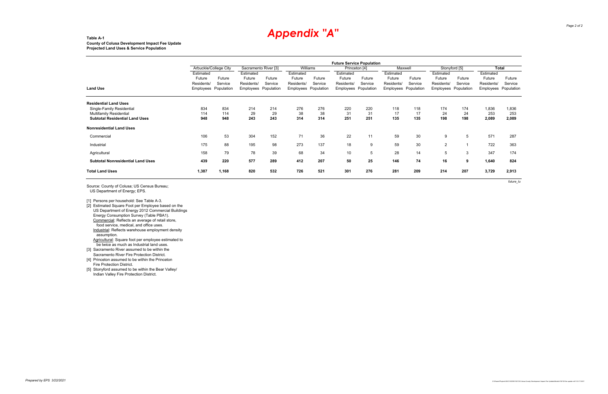#### **Table A-1County of Colusa Development Impact Fee Update Projected Land Uses & Service Population**

[2] Estimated Square Foot per Employee based on the US Department of Energy 2012 Commercial Buildings Energy Consumption Survey (Table PBA1). Commercial: Reflects an average of retail store, food service, medical, and office uses. Industrial: Reflects warehouse employment density assumption. Agricultural: Square foot per employee estimated to

Source: County of Colusa; US Census Bureau; US Department of Energy; EPS.

[1] Persons per household: See Table A-3.

- be twice as much as Industrial land uses. [3] Sacramento River assumed to be within the
- Sacramento River Fire Protection District.
- [4] Princeton assumed to be within the Princeton Fire Protection District.
- [5] Stonyford assumed to be within the Bear Valley/ Indian Valley Fire Protection District.

|                                          | <b>Future Service Population</b> |         |                      |         |            |            |               |            |            |            |                |            |              |            |
|------------------------------------------|----------------------------------|---------|----------------------|---------|------------|------------|---------------|------------|------------|------------|----------------|------------|--------------|------------|
|                                          | Arbuckle/College City            |         | Sacramento River [3] |         | Williams   |            | Princeton [4] |            | Maxwell    |            | Stonyford [5]  |            | <b>Total</b> |            |
|                                          | Estimated                        |         | Estimated            |         | Estimated  |            | Estimated     |            | Estimated  |            | Estimated      |            | Estimated    |            |
|                                          | Future                           | Future  | Future               | Future  | Future     | Future     | Future        | Future     | Future     | Future     | Future         | Future     | Future       | Future     |
|                                          | Residents/                       | Service | Residents/           | Service | Residents/ | Service    | Residents/    | Service    | Residents/ | Service    | Residents/     | Service    | Residents/   | Service    |
| Land Use                                 | <b>Employees</b> Population      |         | Employees Population |         | Employees  | Population | Employees     | Population | Employees  | Population | Employees      | Population | Employees    | Population |
| <b>Residential Land Uses</b>             |                                  |         |                      |         |            |            |               |            |            |            |                |            |              |            |
| Single-Family Residential                | 834                              | 834     | 214                  | 214     | 276        | 276        | 220           | 220        | 118        | 118        | 174            | 174        | 1,836        | 1,836      |
| <b>Multifamily Residential</b>           | 114                              | 114     | 29                   | 29      | 38         | 38         | 31            | 31         | 17         | 17         | 24             | 24         | 253          | 253        |
| <b>Subtotal Residential Land Uses</b>    | 948                              | 948     | 243                  | 243     | 314        | 314        | 251           | 251        | 135        | 135        | 198            | 198        | 2,089        | 2,089      |
| <b>Nonresidential Land Uses</b>          |                                  |         |                      |         |            |            |               |            |            |            |                |            |              |            |
| Commercial                               | 106                              | 53      | 304                  | 152     | 71         | 36         | 22            | 11         | 59         | 30         | 9              | 5          | 571          | 287        |
| Industrial                               | 175                              | 88      | 195                  | 98      | 273        | 137        | 18            | 9          | 59         | 30         | $\overline{2}$ |            | 722          | 363        |
| Agricultural                             | 158                              | 79      | 78                   | 39      | 68         | 34         | 10            | 5          | 28         | 14         | 5              | 3          | 347          | 174        |
| <b>Subtotal Nonresidential Land Uses</b> | 439                              | 220     | 577                  | 289     | 412        | 207        | 50            | 25         | 146        | 74         | 16             | 9          | 1,640        | 824        |
| <b>Total Land Uses</b>                   | 1,387                            | 1,168   | 820                  | 532     | 726        | 521        | 301           | 276        | 281        | 209        | 214            | 207        | 3,729        | 2,913      |

*future\_lu*

## *Appendix "A"*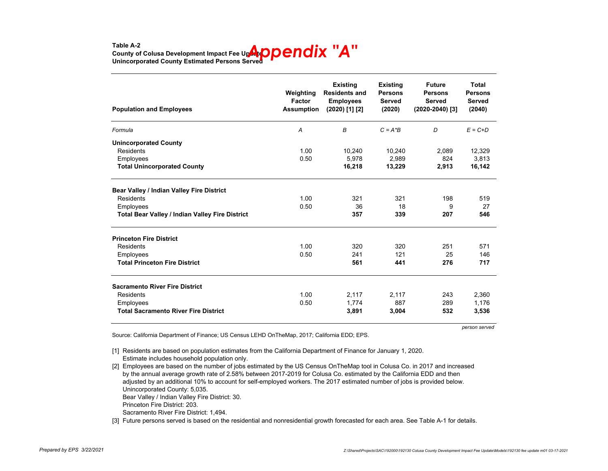### Table A-2<br>County of Colusa Development Impact Fee Up**AteDDENdix "A" Unincorporated County Estimated Persons Served**

| <b>Population and Employees</b>                        | Weighting<br>Factor<br><b>Assumption</b> | <b>Existing</b><br><b>Residents and</b><br><b>Employees</b><br>$(2020)$ [1] [2] | <b>Existing</b><br><b>Persons</b><br><b>Served</b><br>(2020) | <b>Future</b><br><b>Persons</b><br><b>Served</b><br>(2020-2040) [3] | Total<br><b>Persons</b><br><b>Served</b><br>(2040) |
|--------------------------------------------------------|------------------------------------------|---------------------------------------------------------------------------------|--------------------------------------------------------------|---------------------------------------------------------------------|----------------------------------------------------|
| Formula                                                | A                                        | B                                                                               | $C = A^*B$                                                   | D                                                                   | $E = C + D$                                        |
| <b>Unincorporated County</b>                           |                                          |                                                                                 |                                                              |                                                                     |                                                    |
| Residents                                              | 1.00                                     | 10,240                                                                          | 10,240                                                       | 2,089                                                               | 12,329                                             |
| Employees                                              | 0.50                                     | 5,978                                                                           | 2,989                                                        | 824                                                                 | 3,813                                              |
| <b>Total Unincorporated County</b>                     |                                          | 16,218                                                                          | 13,229                                                       | 2,913                                                               | 16,142                                             |
| Bear Valley / Indian Valley Fire District              |                                          |                                                                                 |                                                              |                                                                     |                                                    |
| <b>Residents</b>                                       | 1.00                                     | 321                                                                             | 321                                                          | 198                                                                 | 519                                                |
| Employees                                              | 0.50                                     | 36                                                                              | 18                                                           | 9                                                                   | 27                                                 |
| <b>Total Bear Valley / Indian Valley Fire District</b> |                                          | 357                                                                             | 339                                                          | 207                                                                 | 546                                                |
| <b>Princeton Fire District</b>                         |                                          |                                                                                 |                                                              |                                                                     |                                                    |
| <b>Residents</b>                                       | 1.00                                     | 320                                                                             | 320                                                          | 251                                                                 | 571                                                |
| Employees                                              | 0.50                                     | 241                                                                             | 121                                                          | 25                                                                  | 146                                                |
| <b>Total Princeton Fire District</b>                   |                                          | 561                                                                             | 441                                                          | 276                                                                 | 717                                                |
| <b>Sacramento River Fire District</b>                  |                                          |                                                                                 |                                                              |                                                                     |                                                    |
| Residents                                              | 1.00                                     | 2,117                                                                           | 2,117                                                        | 243                                                                 | 2,360                                              |
| Employees                                              | 0.50                                     | 1,774                                                                           | 887                                                          | 289                                                                 | 1,176                                              |
| <b>Total Sacramento River Fire District</b>            |                                          | 3,891                                                                           | 3,004                                                        | 532                                                                 | 3,536                                              |

*person served*

Source: California Department of Finance; US Census LEHD OnTheMap, 2017; California EDD; EPS.

[1] Residents are based on population estimates from the California Department of Finance for January 1, 2020. Estimate includes household population only.

Unincorporated County: 5,035. Bear Valley / Indian Valley Fire District: 30. Princeton Fire District: 203.[2] Employees are based on the number of jobs estimated by the US Census OnTheMap tool in Colusa Co. in 2017 and increased by the annual average growth rate of 2.58% between 2017-2019 for Colusa Co. estimated by the California EDD and then adjusted by an additional 10% to account for self-employed workers. The 2017 estimated number of jobs is provided below.

Sacramento River Fire District: 1,494.

[3] Future persons served is based on the residential and nonresidential growth forecasted for each area. See Table A-1 for details.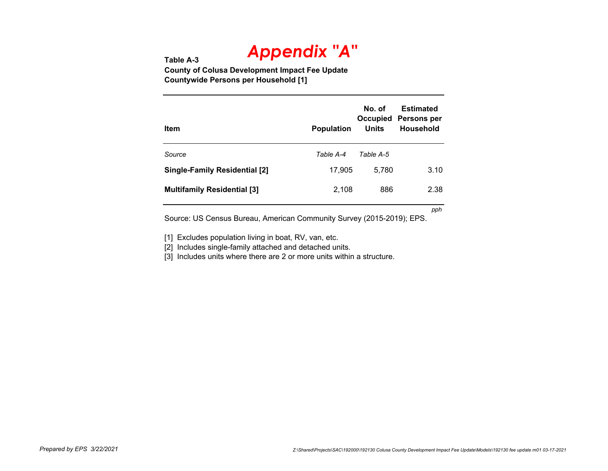**Table A-3 County of Colusa Development Impact Fee Update Countywide Persons per Household [1]**

| Item                                 | <b>Population</b> | No. of<br>Occupied<br>Units | <b>Estimated</b><br>Persons per<br><b>Household</b> |
|--------------------------------------|-------------------|-----------------------------|-----------------------------------------------------|
| Source                               | Table A-4         | Table A-5                   |                                                     |
| <b>Single-Family Residential [2]</b> | 17,905            | 5.780                       | 3.10                                                |
| <b>Multifamily Residential [3]</b>   | 2,108             | 886                         | 2.38                                                |

*pph*

Source: US Census Bureau, American Community Survey (2015-2019); EPS.

[1] Excludes population living in boat, RV, van, etc.

[2] Includes single-family attached and detached units.

[3] Includes units where there are 2 or more units within a structure.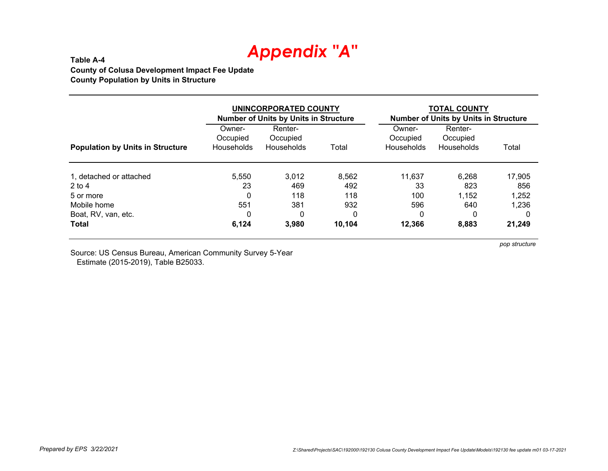**Table A-4 County of Colusa Development Impact Fee Update County Population by Units in Structure**

|                                         |                                         | UNINCORPORATED COUNTY<br><b>Number of Units by Units in Structure</b> |        | <b>TOTAL COUNTY</b><br><b>Number of Units by Units in Structure</b> |                                   |        |  |  |
|-----------------------------------------|-----------------------------------------|-----------------------------------------------------------------------|--------|---------------------------------------------------------------------|-----------------------------------|--------|--|--|
| <b>Population by Units in Structure</b> | Owner-<br>Occupied<br><b>Households</b> | Renter-<br>Occupied<br>Households                                     | Total  | Owner-<br>Occupied<br><b>Households</b>                             | Renter-<br>Occupied<br>Households | Total  |  |  |
| 1, detached or attached                 | 5.550                                   | 3,012                                                                 | 8.562  | 11,637                                                              | 6,268                             | 17,905 |  |  |
| $2$ to 4                                | 23                                      | 469                                                                   | 492    | 33                                                                  | 823                               | 856    |  |  |
| 5 or more                               | 0                                       | 118                                                                   | 118    | 100                                                                 | 1,152                             | 1,252  |  |  |
| Mobile home                             | 551                                     | 381                                                                   | 932    | 596                                                                 | 640                               | 1,236  |  |  |
| Boat, RV, van, etc.                     | 0                                       | 0                                                                     | 0      | 0                                                                   | 0                                 |        |  |  |
| <b>Total</b>                            | 6,124                                   | 3,980                                                                 | 10,104 | 12,366                                                              | 8,883                             | 21,249 |  |  |

Source: US Census Bureau, American Community Survey 5-Year Estimate (2015-2019), Table B25033.

*pop structure*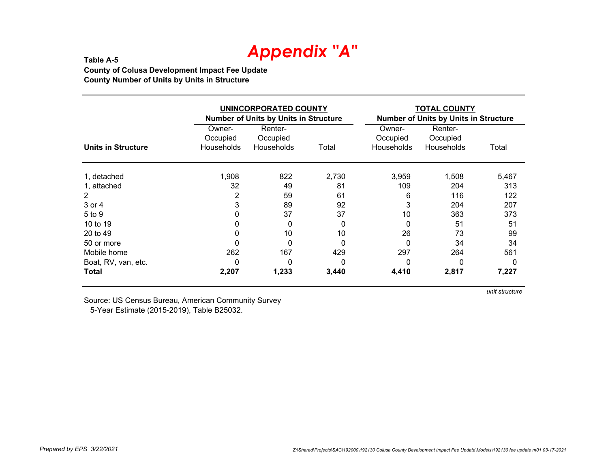#### **Table A-5 County of Colusa Development Impact Fee Update County Number of Units by Units in Structure**

|                           |                        | UNINCORPORATED COUNTY<br><b>Number of Units by Units in Structure</b> |       | <b>TOTAL COUNTY</b><br><b>Number of Units by Units in Structure</b> |                        |       |  |  |  |  |
|---------------------------|------------------------|-----------------------------------------------------------------------|-------|---------------------------------------------------------------------|------------------------|-------|--|--|--|--|
|                           | Owner-                 | Renter-                                                               |       | Owner-                                                              | Renter-                |       |  |  |  |  |
| <b>Units in Structure</b> | Occupied<br>Households | Occupied<br>Households                                                | Total | Occupied<br><b>Households</b>                                       | Occupied<br>Households | Total |  |  |  |  |
| 1, detached               | 1,908                  | 822                                                                   | 2,730 | 3,959                                                               | 1,508                  | 5,467 |  |  |  |  |
| 1, attached               | 32                     | 49                                                                    | 81    | 109                                                                 | 204                    | 313   |  |  |  |  |
| $\overline{2}$            | 2                      | 59                                                                    | 61    | 6                                                                   | 116                    | 122   |  |  |  |  |
| 3 or 4                    | 3                      | 89                                                                    | 92    | 3                                                                   | 204                    | 207   |  |  |  |  |
| 5 to 9                    | 0                      | 37                                                                    | 37    | 10                                                                  | 363                    | 373   |  |  |  |  |
| 10 to 19                  | 0                      | 0                                                                     | 0     | 0                                                                   | 51                     | 51    |  |  |  |  |
| 20 to 49                  | 0                      | 10                                                                    | 10    | 26                                                                  | 73                     | 99    |  |  |  |  |
| 50 or more                | 0                      | 0                                                                     | 0     | 0                                                                   | 34                     | 34    |  |  |  |  |
| Mobile home               | 262                    | 167                                                                   | 429   | 297                                                                 | 264                    | 561   |  |  |  |  |
| Boat, RV, van, etc.       | 0                      | 0                                                                     | 0     | 0                                                                   | 0                      | 0     |  |  |  |  |
| Total                     | 2,207                  | 1,233                                                                 | 3,440 | 4,410                                                               | 2,817                  | 7,227 |  |  |  |  |

Source: US Census Bureau, American Community Survey 5-Year Estimate (2015-2019), Table B25032.

*unit structure*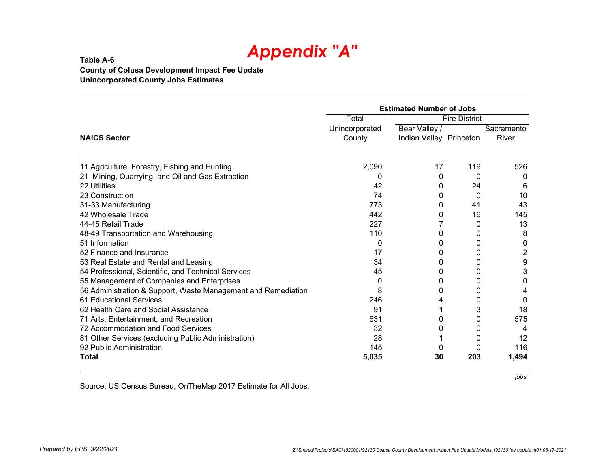#### **Table A-6 County of Colusa Development Impact Fee Update Unincorporated County Jobs Estimates**

|                                                               | <b>Estimated Number of Jobs</b> |                         |     |            |
|---------------------------------------------------------------|---------------------------------|-------------------------|-----|------------|
|                                                               | Total                           | <b>Fire District</b>    |     |            |
|                                                               | Unincorporated                  | Bear Valley /           |     | Sacramento |
| <b>NAICS Sector</b>                                           | County                          | Indian Valley Princeton |     | River      |
| 11 Agriculture, Forestry, Fishing and Hunting                 | 2,090                           | 17                      | 119 | 526        |
| 21 Mining, Quarrying, and Oil and Gas Extraction              | O                               | 0                       | 0   | 0          |
| 22 Utilities                                                  | 42                              | 0                       | 24  | 6          |
| 23 Construction                                               | 74                              | $\Omega$                | 0   | 10         |
| 31-33 Manufacturing                                           | 773                             | 0                       | 41  | 43         |
| 42 Wholesale Trade                                            | 442                             | 0                       | 16  | 145        |
| 44-45 Retail Trade                                            | 227                             |                         | 0   | 13         |
| 48-49 Transportation and Warehousing                          | 110                             | 0                       | 0   | 8          |
| 51 Information                                                | O                               | 0                       | 0   | 0          |
| 52 Finance and Insurance                                      | 17                              | 0                       | 0   | 2          |
| 53 Real Estate and Rental and Leasing                         | 34                              | 0                       | 0   | 9          |
| 54 Professional, Scientific, and Technical Services           | 45                              | 0                       | 0   | 3          |
| 55 Management of Companies and Enterprises                    | 0                               | 0                       | 0   | 0          |
| 56 Administration & Support, Waste Management and Remediation | 8                               | 0                       | 0   |            |
| 61 Educational Services                                       | 246                             |                         | 0   | 0          |
| 62 Health Care and Social Assistance                          | 91                              |                         | 3   | 18         |
| 71 Arts, Entertainment, and Recreation                        | 631                             | 0                       | 0   | 575        |
| 72 Accommodation and Food Services                            | 32                              | 0                       | 0   | 4          |
| 81 Other Services (excluding Public Administration)           | 28                              |                         | 0   | 12         |
| 92 Public Administration                                      | 145                             |                         | 0   | 116        |
| Total                                                         | 5,035                           | 30                      | 203 | 1,494      |

Source: US Census Bureau, OnTheMap 2017 Estimate for All Jobs.

*jobs*